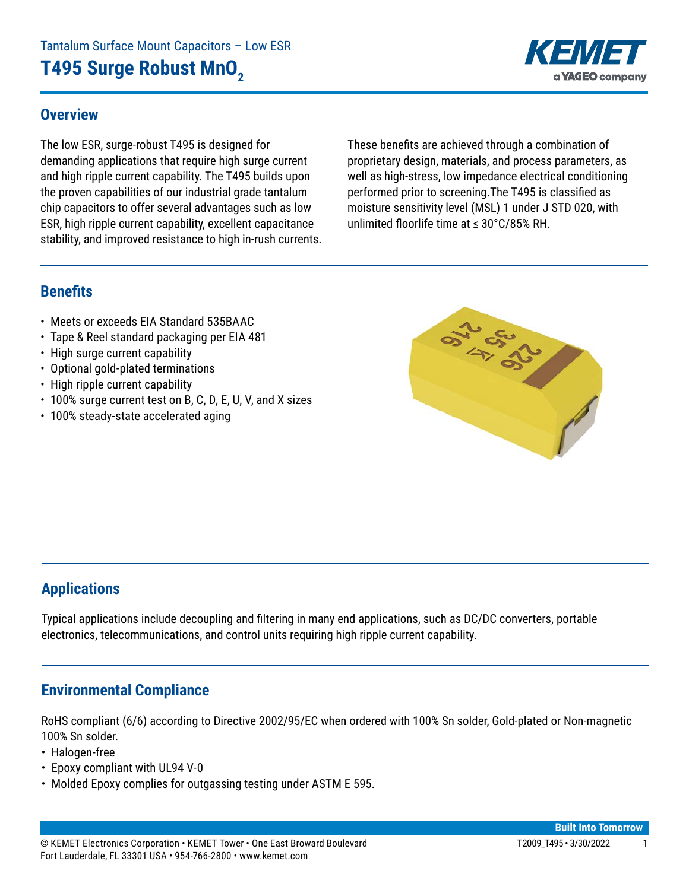#### **Overview**

The low ESR, surge-robust T495 is designed for demanding applications that require high surge current and high ripple current capability. The T495 builds upon the proven capabilities of our industrial grade tantalum chip capacitors to offer several advantages such as low ESR, high ripple current capability, excellent capacitance stability, and improved resistance to high in-rush currents. These benefits are achieved through a combination of proprietary design, materials, and process parameters, as well as high-stress, low impedance electrical conditioning performed prior to screening.The T495 is classified as moisture sensitivity level (MSL) 1 under J STD 020, with unlimited floorlife time at ≤ 30°C/85% RH.

#### **Benefits**

- Meets or exceeds EIA Standard 535BAAC
- Tape & Reel standard packaging per EIA 481
- High surge current capability
- Optional gold-plated terminations
- High ripple current capability
- 100% surge current test on B, C, D, E, U, V, and X sizes
- 100% steady-state accelerated aging



## **Applications**

Typical applications include decoupling and filtering in many end applications, such as DC/DC converters, portable electronics, telecommunications, and control units requiring high ripple current capability.

## **Environmental Compliance**

RoHS compliant (6/6) according to Directive 2002/95/EC when ordered with 100% Sn solder, Gold-plated or Non-magnetic 100% Sn solder.

- Halogen-free
- Epoxy compliant with UL94 V-0
- Molded Epoxy complies for outgassing testing under ASTM E 595.

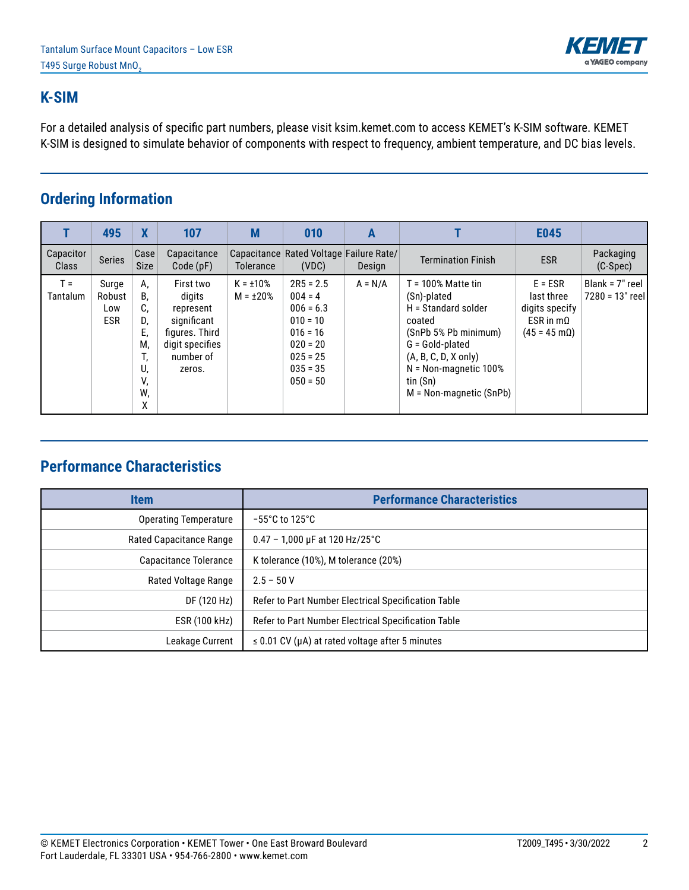

#### **K-SIM**

For a detailed analysis of specific part numbers, please visit ksim.kemet.com to access KEMET's K-SIM software. KEMET K-SIM is designed to simulate behavior of components with respect to frequency, ambient temperature, and DC bias levels.

## **Ordering Information**

|                           | 495                                  | $\boldsymbol{X}$                                              | 107                                                                                                         | M                                | 010                                                                                                                         | Α         |                                                                                                                                                                                                                  | E045                                                                                            |                                       |
|---------------------------|--------------------------------------|---------------------------------------------------------------|-------------------------------------------------------------------------------------------------------------|----------------------------------|-----------------------------------------------------------------------------------------------------------------------------|-----------|------------------------------------------------------------------------------------------------------------------------------------------------------------------------------------------------------------------|-------------------------------------------------------------------------------------------------|---------------------------------------|
| Capacitor<br><b>Class</b> | <b>Series</b>                        | Case<br><b>Size</b>                                           | Capacitance<br>Code(pF)                                                                                     | <b>Tolerance</b>                 | Capacitance Rated Voltage Failure Rate/<br>(VDC)                                                                            | Design    | <b>Termination Finish</b>                                                                                                                                                                                        | <b>ESR</b>                                                                                      | Packaging<br>$(C-Spec)$               |
| $T =$<br><b>Tantalum</b>  | Surge<br>Robust<br>Low<br><b>ESR</b> | А,<br>В,<br>C.<br>D,<br>Е,<br>М,<br>ι,<br>U,<br>V,<br>W,<br>x | First two<br>digits<br>represent<br>significant<br>figures. Third<br>digit specifies<br>number of<br>zeros. | $K = \pm 10\%$<br>$M = \pm 20\%$ | $2R5 = 2.5$<br>$004 = 4$<br>$006 = 6.3$<br>$010 = 10$<br>$016 = 16$<br>$020 = 20$<br>$025 = 25$<br>$035 = 35$<br>$050 = 50$ | $A = N/A$ | $T = 100\%$ Matte tin<br>(Sn)-plated<br>H = Standard solder<br>coated<br>(SnPb 5% Pb minimum)<br>G = Gold-plated<br>$(A, B, C, D, X)$ only)<br>$N = Non-magnetic 100\%$<br>tin (Sn)<br>$M = Non-magnetic (SnPb)$ | $E = ESR$<br>last three<br>digits specify<br>$ESR$ in m $\Omega$<br>$(45 = 45 \text{ m}\Omega)$ | Blank = $7"$ reel<br>7280 = 13" reell |

# **Performance Characteristics**

| <b>Item</b>                    | <b>Performance Characteristics</b>                         |
|--------------------------------|------------------------------------------------------------|
| <b>Operating Temperature</b>   | $-55^{\circ}$ C to 125 $^{\circ}$ C                        |
| <b>Rated Capacitance Range</b> | $0.47 - 1,000 \,\mu F$ at 120 Hz/25°C                      |
| Capacitance Tolerance          | K tolerance (10%), M tolerance (20%)                       |
| Rated Voltage Range            | $2.5 - 50V$                                                |
| DF (120 Hz)                    | Refer to Part Number Electrical Specification Table        |
| ESR (100 kHz)                  | Refer to Part Number Electrical Specification Table        |
| Leakage Current                | $\leq$ 0.01 CV ( $\mu$ A) at rated voltage after 5 minutes |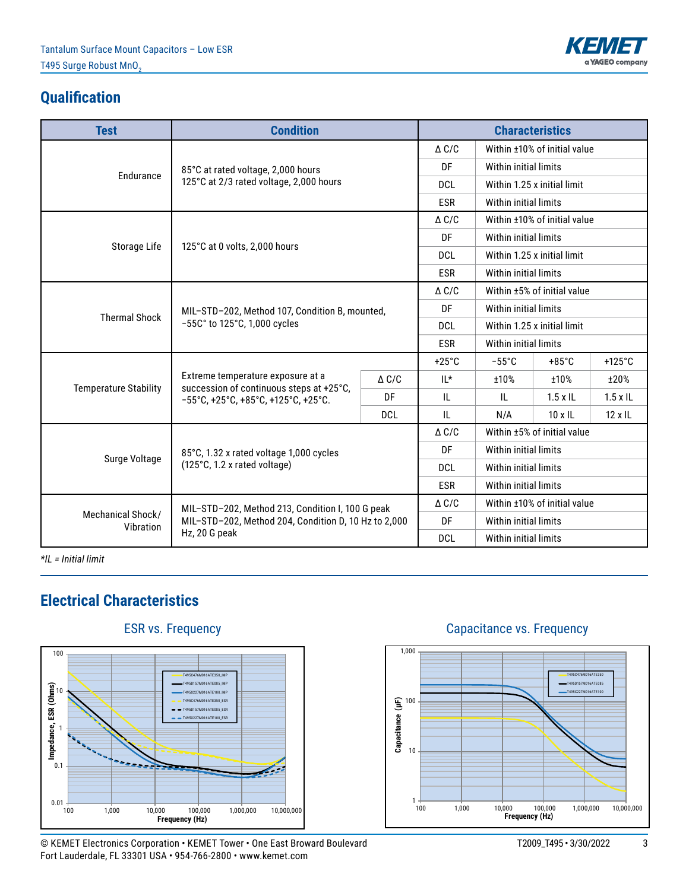

## **Qualification**

| <b>Test</b>                                      | <b>Condition</b>                                                                          |              |                       |                              | <b>Characteristics</b>       |                  |  |
|--------------------------------------------------|-------------------------------------------------------------------------------------------|--------------|-----------------------|------------------------------|------------------------------|------------------|--|
|                                                  |                                                                                           |              | $\triangle C/C$       |                              | Within ±10% of initial value |                  |  |
|                                                  | 85°C at rated voltage, 2,000 hours                                                        |              | DF                    | Within initial limits        |                              |                  |  |
| Endurance                                        | 125°C at 2/3 rated voltage, 2,000 hours                                                   |              | <b>DCL</b>            |                              | Within 1.25 x initial limit  |                  |  |
|                                                  |                                                                                           |              | <b>ESR</b>            | Within initial limits        |                              |                  |  |
|                                                  |                                                                                           |              | $\triangle$ C/C       |                              | Within ±10% of initial value |                  |  |
|                                                  |                                                                                           |              | DF                    | Within initial limits        |                              |                  |  |
| Storage Life                                     | 125°C at 0 volts, 2,000 hours                                                             |              | <b>DCL</b>            |                              | Within 1.25 x initial limit  |                  |  |
|                                                  |                                                                                           |              | <b>ESR</b>            | Within initial limits        |                              |                  |  |
|                                                  |                                                                                           |              | $\triangle$ C/C       | Within ±5% of initial value  |                              |                  |  |
| <b>Thermal Shock</b>                             | MIL-STD-202, Method 107, Condition B, mounted,                                            |              | DF                    | Within initial limits        |                              |                  |  |
|                                                  | $-55C$ ° to 125°C, 1,000 cycles                                                           |              | <b>DCL</b>            | Within 1.25 x initial limit  |                              |                  |  |
|                                                  |                                                                                           |              | <b>ESR</b>            | Within initial limits        |                              |                  |  |
|                                                  |                                                                                           |              | $+25^{\circ}$ C       | $-55^{\circ}$ C              | $+85^{\circ}$ C              | $+125^{\circ}$ C |  |
| <b>Temperature Stability</b>                     | Extreme temperature exposure at a<br>succession of continuous steps at +25°C,             | $\Delta$ C/C | $IL^*$                | ±10%                         | ±10%                         | ±20%             |  |
|                                                  | $-55^{\circ}$ C, +25 $^{\circ}$ C, +85 $^{\circ}$ C, +125 $^{\circ}$ C, +25 $^{\circ}$ C. | DF           | IL.                   | $\mathbf{H}$                 | $1.5 \times$ IL              | $1.5 \times$ IL  |  |
|                                                  |                                                                                           | <b>DCL</b>   | IL.                   | N/A                          | $10 \times$ IL               | $12 \times 11$   |  |
|                                                  |                                                                                           |              | $\triangle C/C$       |                              | Within ±5% of initial value  |                  |  |
| Surge Voltage                                    | 85°C, 1.32 x rated voltage 1,000 cycles                                                   |              | DF                    | Within initial limits        |                              |                  |  |
|                                                  | (125°C, 1.2 x rated voltage)                                                              |              | <b>DCL</b>            | Within initial limits        |                              |                  |  |
|                                                  |                                                                                           | <b>ESR</b>   | Within initial limits |                              |                              |                  |  |
| MIL-STD-202, Method 213, Condition I, 100 G peak |                                                                                           |              | $\triangle$ C/C       | Within ±10% of initial value |                              |                  |  |
| Vibration                                        | Mechanical Shock/<br>MIL-STD-202, Method 204, Condition D, 10 Hz to 2,000                 |              |                       | Within initial limits        |                              |                  |  |
|                                                  | Hz, 20 G peak                                                                             |              | <b>DCL</b>            | Within initial limits        |                              |                  |  |

*\*IL = Initial limit*

## **Electrical Characteristics**



#### © KEMET Electronics Corporation • KEMET Tower • One East Broward Boulevard T2009\_T495 • 3/30/2022 3 Fort Lauderdale, FL 33301 USA • 954-766-2800 • www.kemet.com

### Capacitance vs. Frequency

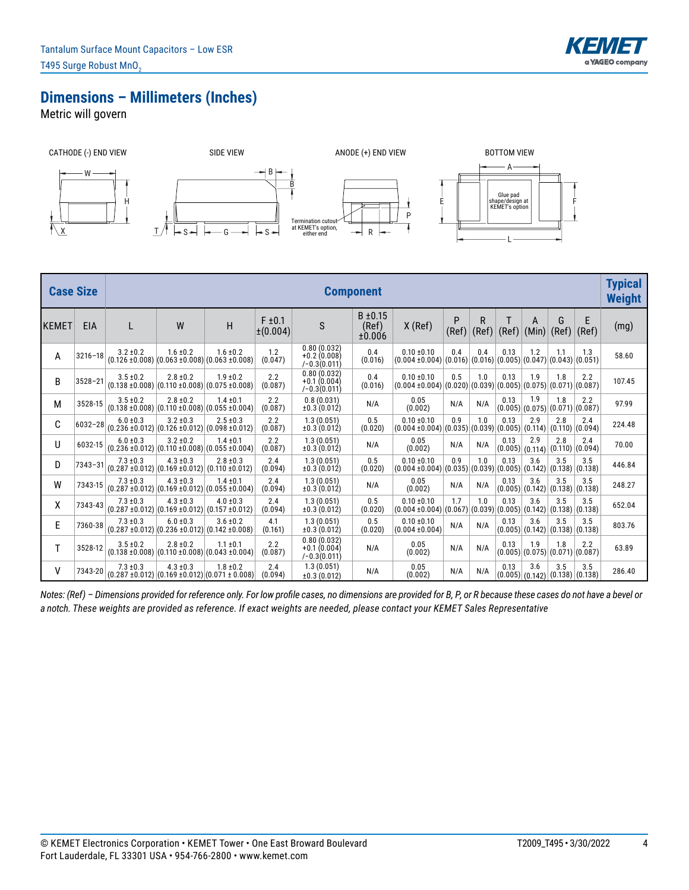

#### **Dimensions – Millimeters (Inches)**

Metric will govern



| <b>Case Size</b> |             |                                                                              |               |                                                                              |                         |                                                 | <b>Component</b>                |                                                                                        |            |            |       |                                                           |                            |            | <b>Typical</b><br><b>Weight</b> |
|------------------|-------------|------------------------------------------------------------------------------|---------------|------------------------------------------------------------------------------|-------------------------|-------------------------------------------------|---------------------------------|----------------------------------------------------------------------------------------|------------|------------|-------|-----------------------------------------------------------|----------------------------|------------|---------------------------------|
| KEMET            | <b>EIA</b>  | L                                                                            | W             | H                                                                            | $F \pm 0.1$<br>±(0.004) | $\mathsf S$                                     | $B \pm 0.15$<br>(Ref)<br>±0.006 | $X$ (Ref)                                                                              | P<br>(Ref) | R<br>(Ref) | (Ref) | A<br>(Min)                                                | G<br>(Ref)                 | E<br>(Ref) | (mg)                            |
| Α                | $3216 - 18$ | $3.2 \pm 0.2$                                                                | $1.6 \pm 0.2$ | $1.6 \pm 0.2$<br>$(0.126 \pm 0.008)$ $(0.063 \pm 0.008)$ $(0.063 \pm 0.008)$ | 1.2<br>(0.047)          | 0.80(0.032)<br>$+0.2(0.008)$<br>$(-0.3(0.011))$ | 0.4<br>(0.016)                  | $0.10 \pm 0.10$<br>$(0.004 \pm 0.004) (0.016) (0.016) (0.005) (0.047) (0.043) (0.051)$ | 0.4        | 0.4        | 0.13  | 1.2                                                       | 1.1                        | 1.3        | 58.60                           |
| B                | $3528 - 21$ | $3.5 \pm 0.2$                                                                | $2.8 \pm 0.2$ | $1.9 \pm 0.2$<br>$(0.138 \pm 0.008)  (0.110 \pm 0.008)  (0.075 \pm 0.008)$   | 2.2<br>(0.087)          | 0.80(0.032)<br>$+0.1(0.004)$<br>$(-0.3(0.011))$ | 0.4<br>(0.016)                  | $0.10 \pm 0.10$<br>$(0.004 \pm 0.004) (0.020) (0.039) (0.005) (0.075)$                 | 0.5        | 1.0        | 0.13  | 1.9                                                       | 1.8<br>(0.071)(0.087)      | 2.2        | 107.45                          |
| Μ                | 3528-15     | $3.5 \pm 0.2$                                                                | $2.8 \pm 0.2$ | $1.4 \pm 0.1$<br>$(0.138 \pm 0.008)$ $(0.110 \pm 0.008)$ $(0.055 \pm 0.004)$ | 2.2<br>(0.087)          | 0.8(0.031)<br>±0.3(0.012)                       | N/A                             | 0.05<br>(0.002)                                                                        | N/A        | N/A        | 0.13  | 1.9<br>$(0.005)$ $(0.075)$                                | 1.8<br> (0.071) (0.087)    | 2.2        | 97.99                           |
| С                | $6032 - 28$ | $6.0 \pm 0.3$<br>$(0.236 \pm 0.012)  (0.126 \pm 0.012)  (0.098 \pm 0.012)$   | $3.2 \pm 0.3$ | $2.5 \pm 0.3$                                                                | 2.2<br>(0.087)          | 1.3(0.051)<br>±0.3(0.012)                       | 0.5<br>(0.020)                  | $0.10 \pm 0.10$<br>$(0.004 \pm 0.004)$ $(0.035)$ $(0.039)$ $(0.005)$ $(0.114)$         | 0.9        | 1.0        | 0.13  | 2.9                                                       | 2.8<br>$(0.110)$ $(0.094)$ | 2.4        | 224.48                          |
| U                | 6032-15     | $6.0 \pm 0.3$<br>$(0.236 \pm 0.012)$ $(0.110 \pm 0.008)$ $(0.055 \pm 0.004)$ | $3.2 \pm 0.2$ | $1.4 \pm 0.1$                                                                | 2.2<br>(0.087)          | 1.3(0.051)<br>±0.3(0.012)                       | N/A                             | 0.05<br>(0.002)                                                                        | N/A        | N/A        | 0.13  | 2.9<br>(0.005) (0.114)                                    | 2.8<br>$(0.110)$ $(0.094)$ | 2.4        | 70.00                           |
| D                | $7343 - 31$ | $7.3 \pm 0.3$<br>$(0.287 \pm 0.012)$ $(0.169 \pm 0.012)$ $(0.110 \pm 0.012)$ | $4.3 \pm 0.3$ | $2.8 \pm 0.3$                                                                | 2.4<br>(0.094)          | 1.3(0.051)<br>±0.3(0.012)                       | 0.5<br>(0.020)                  | $0.10 \pm 0.10$<br>$(0.004 \pm 0.004)$                                                 | 0.9        | 1.0        | 0.13  | 3.6<br>$ (0.035) (0.039) (0.005) (0.142) (0.138) (0.138)$ | 3.5                        | 3.5        | 446.84                          |
| W                | 7343-15     | $7.3 \pm 0.3$                                                                | $4.3 \pm 0.3$ | $1.4 \pm 0.1$<br>$(0.287 \pm 0.012)  (0.169 \pm 0.012)  (0.055 \pm 0.004)$   | 2.4<br>(0.094)          | 1.3(0.051)<br>±0.3(0.012)                       | N/A                             | 0.05<br>(0.002)                                                                        | N/A        | N/A        | 0.13  | 3.6<br>(0.005) (0.142) (0.138) (0.138)                    | 3.5                        | 3.5        | 248.27                          |
| χ                | 7343-43     | $7.3 \pm 0.3$<br>$(0.287 \pm 0.012)$ $(0.169 \pm 0.012)$ $(0.157 \pm 0.012)$ | $4.3 \pm 0.3$ | $4.0 \pm 0.3$                                                                | 2.4<br>(0.094)          | 1.3(0.051)<br>±0.3(0.012)                       | 0.5<br>(0.020)                  | $0.10 \pm 0.10$<br>$(0.004 \pm 0.004) (0.067) (0.039) (0.005) (0.142)$                 | 1.7        | 1.0        | 0.13  | 3.6                                                       | 3.5<br>(0.138)(0.138)      | 3.5        | 652.04                          |
| E                | 7360-38     | $7.3 \pm 0.3$<br>$(0.287 \pm 0.012)$ $(0.236 \pm 0.012)$ $(0.142 \pm 0.008)$ | $6.0 \pm 0.3$ | $3.6 \pm 0.2$                                                                | 4.1<br>(0.161)          | 1.3(0.051)<br>±0.3(0.012)                       | 0.5<br>(0.020)                  | $0.10 \pm 0.10$<br>$(0.004 \pm 0.004)$                                                 | N/A        | N/A        | 0.13  | 3.6<br>(0.005) (0.142) (0.138) (0.138)                    | 3.5                        | 3.5        | 803.76                          |
| T                | 3528-12     | $3.5 \pm 0.2$<br>$(0.138 \pm 0.008)$ $(0.110 \pm 0.008)$ $(0.043 \pm 0.004)$ | $2.8 \pm 0.2$ | $1.1 \pm 0.1$                                                                | 2.2<br>(0.087)          | 0.80(0.032)<br>$+0.1(0.004)$<br>$(-0.3(0.011))$ | N/A                             | 0.05<br>(0.002)                                                                        | N/A        | N/A        | 0.13  | 1.9<br>(0.005) (0.075) (0.071) (0.087)                    | 1.8                        | 2.2        | 63.89                           |
| ٧                | 7343-20     | $7.3 \pm 0.3$                                                                | $4.3 \pm 0.3$ | $1.8 \pm 0.2$<br>$(0.287 \pm 0.012)$ $(0.169 \pm 0.012)$ $(0.071 \pm 0.008)$ | 2.4<br>(0.094)          | 1.3(0.051)<br>±0.3(0.012)                       | N/A                             | 0.05<br>(0.002)                                                                        | N/A        | N/A        | 0.13  | 3.6<br>(0.005) (0.142) (0.138) (0.138)                    | 3.5                        | 3.5        | 286.40                          |

*Notes: (Ref) – Dimensions provided for reference only. For low profile cases, no dimensions are provided for B, P, or R because these cases do not have a bevel or a notch. These weights are provided as reference. If exact weights are needed, please contact your KEMET Sales Representative*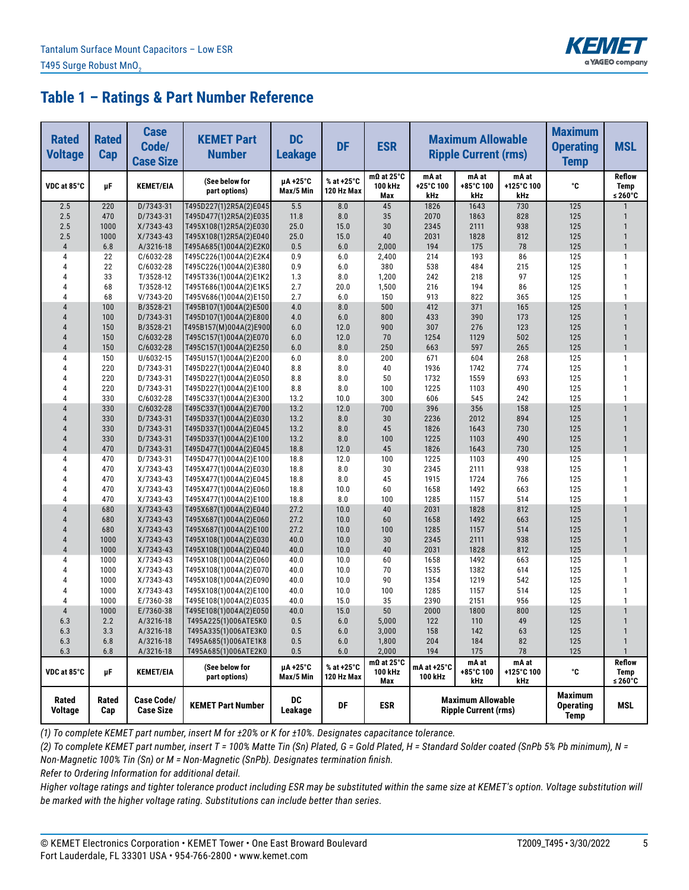

| <b>Rated</b><br><b>Voltage</b> | <b>Rated</b><br><b>Cap</b> | <b>Case</b><br>Code/<br><b>Case Size</b> | <b>KEMET Part</b><br><b>Number</b>               | <b>DC</b><br><b>Leakage</b> | <b>DF</b>                | <b>ESR</b>                          | <b>Maximum Allowable</b><br><b>Ripple Current (rms)</b> |                                                         |                            | <b>Maximum</b><br><b>Operating</b><br><b>Temp</b> | <b>MSL</b>                       |
|--------------------------------|----------------------------|------------------------------------------|--------------------------------------------------|-----------------------------|--------------------------|-------------------------------------|---------------------------------------------------------|---------------------------------------------------------|----------------------------|---------------------------------------------------|----------------------------------|
| VDC at 85°C                    | μF                         | <b>KEMET/EIA</b>                         | (See below for<br>part options)                  | µA +25°C<br>Max/5 Min       | % at +25°C<br>120 Hz Max | $m\Omega$ at 25°C<br>100 kHz<br>Max | mA at<br>+25°C 100<br>kHz                               | mA at<br>+85°C 100<br>kHz                               | mA at<br>+125°C 100<br>kHz | °C                                                | <b>Reflow</b><br>Temp<br>≤ 260°C |
| 2.5                            | 220                        | D/7343-31                                | T495D227(1)2R5A(2)E045                           | 5.5                         | 8.0                      | 45                                  | 1826                                                    | 1643                                                    | 730                        | 125                                               |                                  |
| 2.5                            | 470                        | D/7343-31                                | T495D477(1)2R5A(2)E035                           | 11.8                        | 8.0                      | 35                                  | 2070                                                    | 1863                                                    | 828                        | 125                                               |                                  |
| 2.5                            | 1000                       | $X/7343-43$                              | T495X108(1)2R5A(2)E030                           | 25.0                        | 15.0                     | 30                                  | 2345                                                    | 2111                                                    | 938                        | 125                                               | $\mathbf{1}$                     |
| 2.5                            | 1000                       | $X/7343-43$                              | T495X108(1)2R5A(2)E040                           | 25.0                        | 15.0                     | 40                                  | 2031                                                    | 1828                                                    | 812                        | 125                                               | $\mathbf{1}$                     |
| $\sqrt{4}$                     | 6.8                        | A/3216-18                                | T495A685(1)004A(2)E2K0                           | 0.5                         | 6.0                      | 2,000                               | 194                                                     | 175                                                     | 78                         | 125                                               | $\mathbf{1}$                     |
| 4                              | 22                         | C/6032-28                                | T495C226(1)004A(2)E2K4                           | 0.9                         | 6.0                      | 2,400                               | 214                                                     | 193                                                     | 86                         | 125                                               | 1                                |
| $\overline{4}$<br>4            | 22                         | C/6032-28                                | T495C226(1)004A(2)E380                           | 0.9                         | 6.0                      | 380                                 | 538                                                     | 484                                                     | 215<br>97                  | 125                                               | $\mathbf{1}$<br>$\mathbf{1}$     |
| 4                              | 33<br>68                   | T/3528-12<br>T/3528-12                   | T495T336(1)004A(2)E1K2                           | 1.3<br>2.7                  | 8.0<br>20.0              | 1,200                               | 242<br>216                                              | 218<br>194                                              | 86                         | 125<br>125                                        | $\mathbf{1}$                     |
| 4                              | 68                         | V/7343-20                                | T495T686(1)004A(2)E1K5<br>T495V686(1)004A(2)E150 | 2.7                         | 6.0                      | 1,500<br>150                        | 913                                                     | 822                                                     | 365                        | 125                                               | $\mathbf{1}$                     |
| $\overline{4}$                 | 100                        | B/3528-21                                | T495B107(1)004A(2)E500                           | 4.0                         | 8.0                      | 500                                 | 412                                                     | 371                                                     | 165                        | 125                                               | $\mathbf{1}$                     |
| $\overline{4}$                 | 100                        | D/7343-31                                | T495D107(1)004A(2)E800                           | 4.0                         | 6.0                      | 800                                 | 433                                                     | 390                                                     | 173                        | 125                                               | $\mathbf{1}$                     |
| $\overline{4}$                 | 150                        | B/3528-21                                | T495B157(M)004A(2)E900                           | 6.0                         | 12.0                     | 900                                 | 307                                                     | 276                                                     | 123                        | 125                                               | $\mathbf{1}$                     |
| $\overline{4}$                 | 150                        | $C/6032-28$                              | T495C157(1)004A(2)E070                           | 6.0                         | 12.0                     | 70                                  | 1254                                                    | 1129                                                    | 502                        | 125                                               | $\mathbf{1}$                     |
| $\overline{4}$                 | 150                        | $C/6032-28$                              | T495C157(1)004A(2)E250                           | 6.0                         | 8.0                      | 250                                 | 663                                                     | 597                                                     | 265                        | 125                                               | $\mathbf{1}$                     |
| 4                              | 150                        | U/6032-15                                | T495U157(1)004A(2)E200                           | 6.0                         | 8.0                      | 200                                 | 671                                                     | 604                                                     | 268                        | 125                                               | $\mathbf{1}$                     |
| $\overline{4}$                 | 220                        | D/7343-31                                | T495D227(1)004A(2)E040                           | 8.8                         | 8.0                      | 40                                  | 1936                                                    | 1742                                                    | 774                        | 125                                               | $\mathbf{1}$                     |
| 4                              | 220                        | D/7343-31                                | T495D227(1)004A(2)E050                           | 8.8                         | 8.0                      | 50                                  | 1732                                                    | 1559                                                    | 693                        | 125                                               | $\mathbf{1}$                     |
| 4                              | 220                        | D/7343-31                                | T495D227(1)004A(2)E100                           | 8.8                         | 8.0                      | 100                                 | 1225                                                    | 1103                                                    | 490                        | 125                                               | $\mathbf{1}$                     |
| 4                              | 330                        | C/6032-28                                | T495C337(1)004A(2)E300                           | 13.2                        | 10.0                     | 300                                 | 606                                                     | 545                                                     | 242                        | 125                                               | $\mathbf{1}$                     |
| $\overline{4}$                 | 330                        | C/6032-28                                | T495C337(1)004A(2)E700                           | 13.2                        | 12.0                     | 700                                 | 396                                                     | 356                                                     | 158                        | 125                                               | $\mathbf{1}$                     |
| $\overline{4}$                 | 330                        | D/7343-31                                | T495D337(1)004A(2)E030                           | 13.2                        | 8.0                      | 30                                  | 2236                                                    | 2012                                                    | 894                        | 125                                               | $\mathbf{1}$                     |
| 4                              | 330                        | D/7343-31                                | T495D337(1)004A(2)E045                           | 13.2                        | 8.0                      | 45                                  | 1826                                                    | 1643                                                    | 730                        | 125                                               | $\mathbf{1}$                     |
| $\overline{4}$                 | 330                        | D/7343-31                                | T495D337(1)004A(2)E100                           | 13.2                        | 8.0                      | 100                                 | 1225                                                    | 1103                                                    | 490                        | 125                                               | $\mathbf{1}$                     |
| $\overline{4}$                 | 470                        | D/7343-31                                | T495D477(1)004A(2)E045                           | 18.8                        | 12.0                     | 45                                  | 1826                                                    | 1643                                                    | 730                        | 125                                               | $\mathbf{1}$                     |
| 4                              | 470                        | D/7343-31                                | T495D477(1)004A(2)E100                           | 18.8                        | 12.0                     | 100                                 | 1225                                                    | 1103                                                    | 490                        | 125                                               | 1                                |
| $\overline{4}$                 | 470                        | X/7343-43                                | T495X477(1)004A(2)E030                           | 18.8                        | 8.0                      | 30                                  | 2345                                                    | 2111                                                    | 938                        | 125                                               | $\mathbf{1}$                     |
| 4                              | 470                        | $X/7343-43$                              | T495X477(1)004A(2)E045                           | 18.8                        | 8.0                      | 45                                  | 1915                                                    | 1724                                                    | 766                        | 125                                               | $\mathbf{1}$                     |
| 4<br>4                         | 470<br>470                 | X/7343-43                                | T495X477(1)004A(2)E060                           | 18.8                        | 10.0                     | 60<br>100                           | 1658                                                    | 1492                                                    | 663<br>514                 | 125                                               | $\mathbf{1}$<br>$\mathbf{1}$     |
| $\overline{4}$                 | 680                        | $X/7343-43$<br>$X/7343-43$               | T495X477(1)004A(2)E100<br>T495X687(1)004A(2)E040 | 18.8<br>27.2                | 8.0<br>10.0              | 40                                  | 1285<br>2031                                            | 1157<br>1828                                            | 812                        | 125<br>125                                        | $\mathbf{1}$                     |
| $\overline{4}$                 | 680                        | $X/7343-43$                              | T495X687(1)004A(2)E060                           | 27.2                        | 10.0                     | 60                                  | 1658                                                    | 1492                                                    | 663                        | 125                                               | $\mathbf{1}$                     |
| $\overline{4}$                 | 680                        | $X/7343-43$                              | T495X687(1)004A(2)E100                           | 27.2                        | 10.0                     | 100                                 | 1285                                                    | 1157                                                    | 514                        | 125                                               | $\mathbf{1}$                     |
| $\overline{4}$                 | 1000                       | $X/7343-43$                              | T495X108(1)004A(2)E030                           | 40.0                        | 10.0                     | 30                                  | 2345                                                    | 2111                                                    | 938                        | 125                                               | $\mathbf{1}$                     |
| $\overline{4}$                 | 1000                       | X/7343-43                                | T495X108(1)004A(2)E040                           | 40.0                        | 10.0                     | 40                                  | 2031                                                    | 1828                                                    | 812                        | 125                                               | $\mathbf{1}$                     |
| 4                              | 1000                       | $X/7343-43$                              | T495X108(1)004A(2)E060                           | 40.0                        | 10.0                     | 60                                  | 1658                                                    | 1492                                                    | 663                        | 125                                               | $\mathbf{1}$                     |
| 4                              | 1000                       | X/7343-43                                | T495X108(1)004A(2)E070                           | 40.0                        | 10.0                     | 70                                  | 1535                                                    | 1382                                                    | 614                        | 125                                               | $\mathbf{1}$                     |
| 4                              | 1000                       | X/7343-43                                | T495X108(1)004A(2)E090                           | 40.0                        | 10.0                     | 90                                  | 1354                                                    | 1219                                                    | 542                        | 125                                               | $\mathbf{1}$                     |
| 4                              | 1000                       | X/7343-43                                | T495X108(1)004A(2)E100                           | 40.0                        | 10.0                     | 100                                 | 1285                                                    | 1157                                                    | 514                        | 125                                               | 1                                |
| 4                              | 1000                       | E/7360-38                                | T495E108(1)004A(2)E035                           | 40.0                        | 15.0                     | 35                                  | 2390                                                    | 2151                                                    | 956                        | 125                                               | 1                                |
| 4                              | 1000                       | E/7360-38                                | T495E108(1)004A(2)E050                           | 40.0                        | 15.0                     | 50                                  | 2000                                                    | 1800                                                    | 800                        | 125                                               | $\mathbf{1}$                     |
| 6.3                            | 2.2                        | A/3216-18                                | T495A225(1)006ATE5K0                             | 0.5                         | 6.0                      | 5,000                               | 122                                                     | 110                                                     | 49                         | 125                                               | $\mathbf{1}$                     |
| 6.3                            | 3.3                        | A/3216-18                                | T495A335(1)006ATE3K0                             | 0.5                         | 6.0                      | 3,000                               | 158                                                     | 142                                                     | 63                         | 125                                               | $\mathbf{1}$                     |
| 6.3                            | 6.8                        | A/3216-18                                | T495A685(1)006ATE1K8                             | 0.5                         | 6.0                      | 1,800                               | 204                                                     | 184                                                     | 82                         | 125                                               | $\mathbf{1}$                     |
| 6.3                            | 6.8                        | A/3216-18                                | T495A685(1)006ATE2K0                             | 0.5                         | $6.0\,$                  | 2,000                               | 194                                                     | 175                                                     | 78                         | 125                                               | $\mathbf{1}$                     |
| VDC at 85°C                    | μF                         | <b>KEMET/EIA</b>                         | (See below for<br>part options)                  | µA+25°C<br>Max/5 Min        | % at +25°C<br>120 Hz Max | $m\Omega$ at 25°C<br>100 kHz<br>Max | mA at +25°C<br>100 kHz                                  | mA at<br>+85°C 100<br>kHz                               | mA at<br>+125°C 100<br>kHz | ۰c                                                | Reflow<br>Temp<br>≤ 260°C        |
| Rated<br><b>Voltage</b>        | Rated<br>Cap               | <b>Case Code/</b><br><b>Case Size</b>    | <b>KEMET Part Number</b>                         | DC<br>Leakage               | DF                       | <b>ESR</b>                          |                                                         | <b>Maximum Allowable</b><br><b>Ripple Current (rms)</b> |                            | <b>Maximum</b><br><b>Operating</b><br><b>Temp</b> | MSL                              |

*(1) To complete KEMET part number, insert M for ±20% or K for ±10%. Designates capacitance tolerance.*

*(2) To complete KEMET part number, insert T = 100% Matte Tin (Sn) Plated, G = Gold Plated, H = Standard Solder coated (SnPb 5% Pb minimum), N = Non-Magnetic 100% Tin (Sn) or M = Non-Magnetic (SnPb). Designates termination finish.*

*Refer to Ordering Information for additional detail.*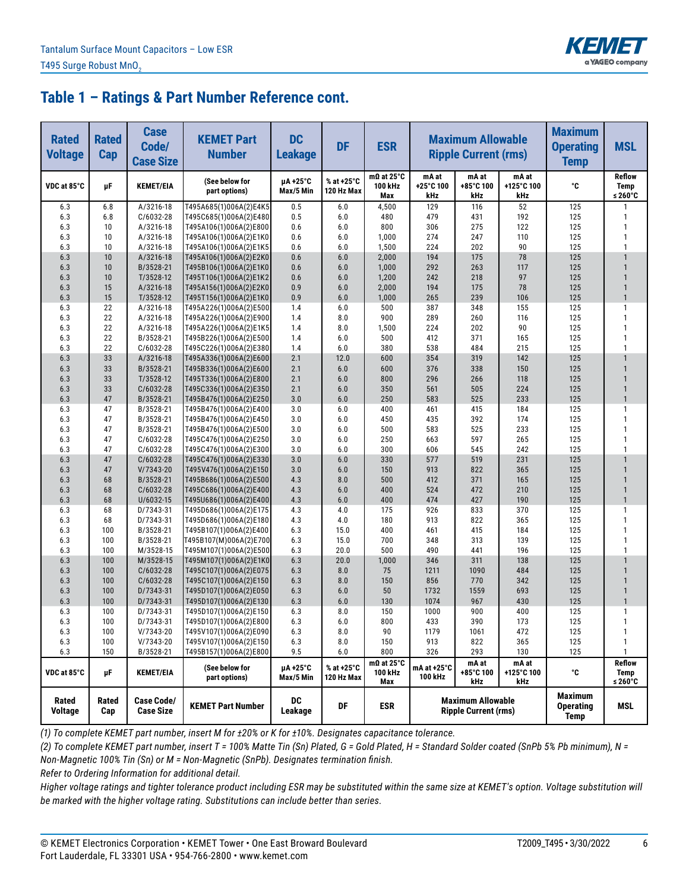

| <b>Rated</b><br><b>Voltage</b> | <b>Rated</b><br>Cap | <b>Case</b><br>Code/<br><b>Case Size</b> | <b>KEMET Part</b><br><b>Number</b>               | <b>DC</b><br><b>Leakage</b> | <b>DF</b>                | <b>ESR</b>                          | <b>Maximum Allowable</b><br><b>Ripple Current (rms)</b><br>mA at<br>mA at |                                                         |                            | <b>Maximum</b><br><b>Operating</b><br><b>Temp</b> | <b>MSL</b>                       |
|--------------------------------|---------------------|------------------------------------------|--------------------------------------------------|-----------------------------|--------------------------|-------------------------------------|---------------------------------------------------------------------------|---------------------------------------------------------|----------------------------|---------------------------------------------------|----------------------------------|
| VDC at 85°C                    | μF                  | <b>KEMET/EIA</b>                         | (See below for<br>part options)                  | µA +25°C<br>Max/5 Min       | % at +25°C<br>120 Hz Max | $m\Omega$ at 25°C<br>100 kHz<br>Max | +25°C 100<br>kHz                                                          | +85°C 100<br>kHz                                        | mA at<br>+125°C 100<br>kHz | °C                                                | <b>Reflow</b><br>Temp<br>≤ 260°C |
| 6.3                            | 6.8                 | A/3216-18                                | T495A685(1)006A(2)E4K5                           | 0.5                         | 6.0                      | 4,500                               | 129                                                                       | 116                                                     | 52                         | 125                                               | 1                                |
| 6.3                            | 6.8                 | $C/6032-28$                              | T495C685(1)006A(2)E480                           | 0.5                         | 6.0                      | 480                                 | 479                                                                       | 431                                                     | 192                        | 125                                               | $\mathbf{1}$                     |
| 6.3                            | 10                  | A/3216-18                                | T495A106(1)006A(2)E800                           | 0.6                         | 6.0                      | 800                                 | 306                                                                       | 275                                                     | 122                        | 125                                               | 1                                |
| 6.3                            | 10                  | A/3216-18                                | T495A106(1)006A(2)E1K0                           | 0.6                         | 6.0                      | 1,000                               | 274                                                                       | 247                                                     | 110                        | 125                                               | $\mathbf{1}$                     |
| 6.3                            | 10                  | A/3216-18                                | T495A106(1)006A(2)E1K5                           | 0.6                         | 6.0                      | 1,500                               | 224                                                                       | 202                                                     | 90                         | 125                                               | 1                                |
| 6.3                            | 10                  | A/3216-18                                | T495A106(1)006A(2)E2K0                           | 0.6                         | 6.0                      | 2,000                               | 194                                                                       | 175                                                     | 78                         | 125                                               |                                  |
| 6.3                            | 10                  | B/3528-21                                | T495B106(1)006A(2)E1K0                           | 0.6                         | 6.0                      | 1,000                               | 292                                                                       | 263                                                     | 117                        | 125                                               | $\mathbf{1}$                     |
| 6.3                            | 10                  | T/3528-12                                | T495T106(1)006A(2)E1K2                           | 0.6                         | 6.0                      | 1,200                               | 242                                                                       | 218                                                     | 97                         | 125                                               | $\mathbf{1}$                     |
| 6.3<br>6.3                     | 15<br>15            | A/3216-18<br>T/3528-12                   | T495A156(1)006A(2)E2K0                           | 0.9<br>0.9                  | 6.0<br>6.0               | 2,000                               | 194<br>265                                                                | 175<br>239                                              | 78<br>106                  | 125<br>125                                        | $\mathbf{1}$                     |
| 6.3                            | 22                  | A/3216-18                                | T495T156(1)006A(2)E1K0<br>T495A226(1)006A(2)E500 | 1.4                         | 6.0                      | 1,000<br>500                        | 387                                                                       | 348                                                     | 155                        | 125                                               | $\mathbf{1}$                     |
| 6.3                            | 22                  | A/3216-18                                | T495A226(1)006A(2)E900                           | 1.4                         | 8.0                      | 900                                 | 289                                                                       | 260                                                     | 116                        | 125                                               | $\mathbf{1}$                     |
| 6.3                            | 22                  | A/3216-18                                | T495A226(1)006A(2)E1K5                           | 1.4                         | 8.0                      | 1,500                               | 224                                                                       | 202                                                     | 90                         | 125                                               | 1                                |
| 6.3                            | 22                  | B/3528-21                                | T495B226(1)006A(2)E500                           | 1.4                         | 6.0                      | 500                                 | 412                                                                       | 371                                                     | 165                        | 125                                               | 1                                |
| 6.3                            | 22                  | C/6032-28                                | T495C226(1)006A(2)E380                           | 1.4                         | 6.0                      | 380                                 | 538                                                                       | 484                                                     | 215                        | 125                                               | 1                                |
| 6.3                            | 33                  | A/3216-18                                | T495A336(1)006A(2)E600                           | 2.1                         | 12.0                     | 600                                 | 354                                                                       | 319                                                     | 142                        | 125                                               |                                  |
| 6.3                            | 33                  | B/3528-21                                | T495B336(1)006A(2)E600                           | 2.1                         | 6.0                      | 600                                 | 376                                                                       | 338                                                     | 150                        | 125                                               | $\mathbf{1}$                     |
| 6.3                            | 33                  | T/3528-12                                | T495T336(1)006A(2)E800                           | 2.1                         | 6.0                      | 800                                 | 296                                                                       | 266                                                     | 118                        | 125                                               | $\mathbf{1}$                     |
| 6.3                            | 33                  | $C/6032-28$                              | T495C336(1)006A(2)E350                           | 2.1                         | 6.0                      | 350                                 | 561                                                                       | 505                                                     | 224                        | 125                                               | $\mathbf{1}$                     |
| 6.3                            | 47                  | B/3528-21                                | T495B476(1)006A(2)E250                           | 3.0                         | 6.0                      | 250                                 | 583                                                                       | 525                                                     | 233                        | 125                                               | $\mathbf{1}$                     |
| 6.3                            | 47                  | B/3528-21                                | T495B476(1)006A(2)E400                           | 3.0                         | 6.0                      | 400                                 | 461                                                                       | 415                                                     | 184                        | 125                                               | $\mathbf{1}$                     |
| 6.3                            | 47                  | B/3528-21                                | T495B476(1)006A(2)E450                           | 3.0                         | 6.0                      | 450                                 | 435                                                                       | 392                                                     | 174                        | 125                                               | 1                                |
| 6.3                            | 47                  | B/3528-21                                | T495B476(1)006A(2)E500                           | 3.0                         | 6.0                      | 500                                 | 583                                                                       | 525                                                     | 233                        | 125                                               | 1                                |
| 6.3                            | 47                  | C/6032-28                                | T495C476(1)006A(2)E250                           | 3.0                         | 6.0                      | 250                                 | 663                                                                       | 597                                                     | 265                        | 125                                               | 1                                |
| 6.3                            | 47                  | C/6032-28                                | T495C476(1)006A(2)E300                           | 3.0                         | 6.0                      | 300                                 | 606                                                                       | 545                                                     | 242                        | 125                                               | 1                                |
| 6.3                            | 47                  | C/6032-28                                | T495C476(1)006A(2)E330                           | 3.0                         | 6.0                      | 330                                 | 577                                                                       | 519                                                     | 231                        | 125                                               |                                  |
| 6.3                            | 47                  | $V/7343-20$                              | T495V476(1)006A(2)E150                           | 3.0                         | 6.0                      | 150                                 | 913                                                                       | 822                                                     | 365                        | 125                                               | $\mathbf{1}$                     |
| 6.3                            | 68                  | B/3528-21                                | T495B686(1)006A(2)E500                           | 4.3                         | 8.0                      | 500                                 | 412                                                                       | 371                                                     | 165                        | 125                                               |                                  |
| 6.3                            | 68                  | C/6032-28                                | T495C686(1)006A(2)E400                           | 4.3                         | 6.0                      | 400                                 | 524                                                                       | 472                                                     | 210                        | 125                                               | $\mathbf{1}$                     |
| 6.3                            | 68                  | U/6032-15                                | T495U686(1)006A(2)E400                           | 4.3                         | 6.0                      | 400                                 | 474                                                                       | 427                                                     | 190                        | 125                                               | $\mathbf{1}$                     |
| 6.3                            | 68                  | D/7343-31                                | T495D686(1)006A(2)E175                           | 4.3                         | 4.0                      | 175                                 | 926                                                                       | 833                                                     | 370                        | 125                                               | $\mathbf{1}$                     |
| 6.3                            | 68                  | D/7343-31                                | T495D686(1)006A(2)E180                           | 4.3                         | 4.0                      | 180                                 | 913                                                                       | 822                                                     | 365                        | 125                                               | 1                                |
| 6.3<br>6.3                     | 100<br>100          | B/3528-21<br>B/3528-21                   | T495B107(1)006A(2)E400                           | 6.3<br>6.3                  | 15.0<br>15.0             | 400<br>700                          | 461<br>348                                                                | 415<br>313                                              | 184<br>139                 | 125<br>125                                        | $\mathbf{1}$<br>1                |
| 6.3                            | 100                 | M/3528-15                                | T495B107(M)006A(2)E700<br>T495M107(1)006A(2)E500 | 6.3                         | 20.0                     | 500                                 | 490                                                                       | 441                                                     | 196                        | 125                                               | 1                                |
| 6.3                            | 100                 | M/3528-15                                | T495M107(1)006A(2)E1K0                           | 6.3                         | 20.0                     | 1,000                               | 346                                                                       | 311                                                     | 138                        | 125                                               |                                  |
| 6.3                            | 100                 | $C/6032-28$                              | T495C107(1)006A(2)E075                           | 6.3                         | 8.0                      | 75                                  | 1211                                                                      | 1090                                                    | 484                        | 125                                               | $\mathbf{1}$                     |
| 6.3                            | 100                 | $C/6032-28$                              | T495C107(1)006A(2)E150                           | 6.3                         | 8.0                      | 150                                 | 856                                                                       | 770                                                     | 342                        | 125                                               | $\mathbf{1}$                     |
| 6.3                            | 100                 | D/7343-31                                | T495D107(1)006A(2)E050                           | 6.3                         | 6.0                      | 50                                  | 1732                                                                      | 1559                                                    | 693                        | 125                                               | $\mathbf{1}$                     |
| 6.3                            | 100                 | D/7343-31                                | T495D107(1)006A(2)E130                           | 6.3                         | 6.0                      | 130                                 | 1074                                                                      | 967                                                     | 430                        | 125                                               | $\mathbf{1}$                     |
| 6.3                            | 100                 | D/7343-31                                | T495D107(1)006A(2)E150                           | 6.3                         | 8.0                      | 150                                 | 1000                                                                      | 900                                                     | 400                        | 125                                               | $\mathbf{1}$                     |
| 6.3                            | 100                 | D/7343-31                                | T495D107(1)006A(2)E800                           | 6.3                         | 6.0                      | 800                                 | 433                                                                       | 390                                                     | 173                        | 125                                               | $\mathbf{1}$                     |
| 6.3                            | 100                 | $V/7343-20$                              | T495V107(1)006A(2)E090                           | 6.3                         | 8.0                      | 90                                  | 1179                                                                      | 1061                                                    | 472                        | 125                                               | 1                                |
| 6.3                            | 100                 | $V/7343-20$                              | T495V107(1)006A(2)E150                           | 6.3                         | 8.0                      | 150                                 | 913                                                                       | 822                                                     | 365                        | 125                                               | 1                                |
| 6.3                            | 150                 | B/3528-21                                | T495B157(1)006A(2)E800                           | 9.5                         | 6.0                      | 800                                 | 326                                                                       | 293                                                     | 130                        | 125                                               | 1                                |
| VDC at 85°C                    | μF                  | <b>KEMET/EIA</b>                         | (See below for<br>part options)                  | µA+25°C<br>Max/5 Min        | % at +25°C<br>120 Hz Max | $m\Omega$ at 25°C<br>100 kHz<br>Max | mA at +25°C<br>100 kHz                                                    | mA at<br>+85°C 100<br>kHz                               | mA at<br>+125°C 100<br>kHz | ۰c                                                | <b>Reflow</b><br>Temp<br>≤ 260°C |
| Rated<br>Voltage               | Rated<br>Cap        | <b>Case Code/</b><br><b>Case Size</b>    | <b>KEMET Part Number</b>                         | DC<br>Leakage               | DF                       | <b>ESR</b>                          |                                                                           | <b>Maximum Allowable</b><br><b>Ripple Current (rms)</b> |                            | <b>Maximum</b><br><b>Operating</b><br><b>Temp</b> | MSL                              |

*(1) To complete KEMET part number, insert M for ±20% or K for ±10%. Designates capacitance tolerance.*

*(2) To complete KEMET part number, insert T = 100% Matte Tin (Sn) Plated, G = Gold Plated, H = Standard Solder coated (SnPb 5% Pb minimum), N = Non-Magnetic 100% Tin (Sn) or M = Non-Magnetic (SnPb). Designates termination finish.*

*Refer to Ordering Information for additional detail.*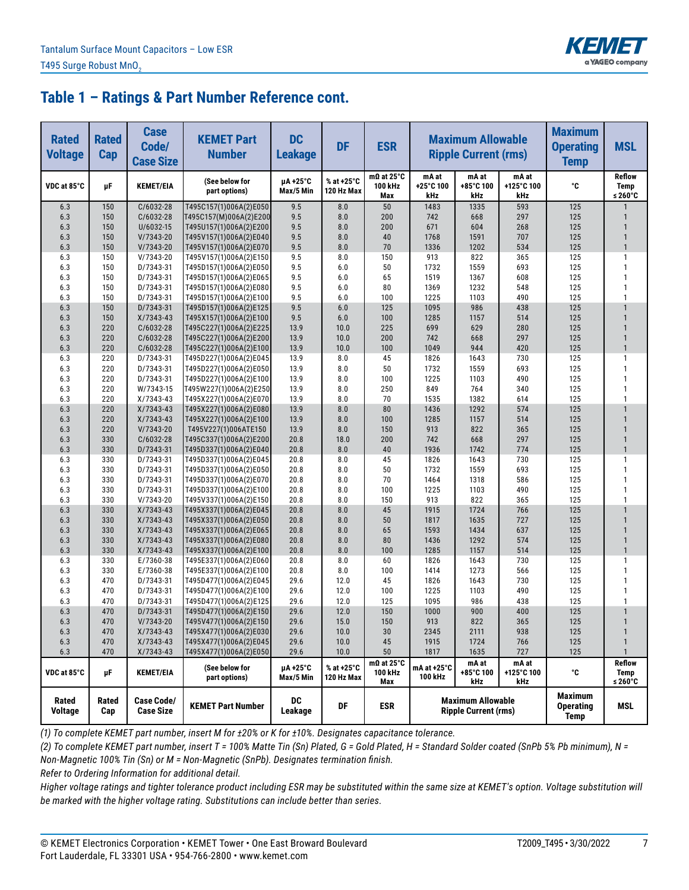

| <b>Rated</b><br><b>Voltage</b> | <b>Rated</b><br>Cap | <b>Case</b><br>Code/<br><b>Case Size</b> | <b>KEMET Part</b><br><b>Number</b>               | <b>DC</b><br><b>Leakage</b> | <b>DF</b>                | <b>ESR</b>                          | <b>Maximum Allowable</b><br><b>Ripple Current (rms)</b> |                                                         |                            | <b>Maximum</b><br><b>Operating</b><br><b>Temp</b> | <b>MSL</b>                       |
|--------------------------------|---------------------|------------------------------------------|--------------------------------------------------|-----------------------------|--------------------------|-------------------------------------|---------------------------------------------------------|---------------------------------------------------------|----------------------------|---------------------------------------------------|----------------------------------|
| VDC at 85°C                    | μF                  | <b>KEMET/EIA</b>                         | (See below for<br>part options)                  | µA +25°C<br>Max/5 Min       | % at +25°C<br>120 Hz Max | $m\Omega$ at 25°C<br>100 kHz<br>Max | mA at<br>+25°C 100<br>kHz                               | mA at<br>+85°C 100<br>kHz                               | mA at<br>+125°C 100<br>kHz | °C                                                | <b>Reflow</b><br>Temp<br>≤ 260°C |
| 6.3                            | 150                 | C/6032-28                                | T495C157(1)006A(2)E050                           | 9.5                         | 8.0                      | 50                                  | 1483                                                    | 1335                                                    | 593                        | 125                                               |                                  |
| 6.3                            | 150                 | C/6032-28                                | T495C157(M)006A(2)E200                           | 9.5                         | 8.0                      | 200                                 | 742                                                     | 668                                                     | 297                        | 125                                               | 1                                |
| 6.3                            | 150                 | U/6032-15                                | T495U157(1)006A(2)E200                           | 9.5                         | 8.0                      | 200                                 | 671                                                     | 604                                                     | 268                        | 125                                               | $\mathbf{1}$                     |
| 6.3                            | 150                 | $V/7343-20$                              | T495V157(1)006A(2)E040                           | 9.5                         | 8.0                      | 40                                  | 1768                                                    | 1591                                                    | 707                        | 125                                               | $\mathbf{1}$                     |
| 6.3                            | 150                 | V/7343-20                                | T495V157(1)006A(2)E070                           | 9.5                         | 8.0                      | 70                                  | 1336                                                    | 1202                                                    | 534                        | 125                                               | $\mathbf{1}$                     |
| 6.3                            | 150                 | V/7343-20                                | T495V157(1)006A(2)E150                           | 9.5                         | 8.0                      | 150                                 | 913                                                     | 822                                                     | 365                        | 125                                               | $\mathbf{1}$                     |
| 6.3                            | 150                 | D/7343-31                                | T495D157(1)006A(2)E050                           | 9.5                         | 6.0                      | 50                                  | 1732                                                    | 1559                                                    | 693                        | 125                                               | $\mathbf{1}$                     |
| 6.3                            | 150                 | D/7343-31                                | T495D157(1)006A(2)E065                           | 9.5                         | 6.0                      | 65                                  | 1519                                                    | 1367                                                    | 608                        | 125                                               | $\mathbf{1}$                     |
| 6.3                            | 150                 | D/7343-31                                | T495D157(1)006A(2)E080                           | 9.5                         | 6.0                      | 80                                  | 1369                                                    | 1232                                                    | 548                        | 125                                               | $\mathbf{1}$<br>$\mathbf{1}$     |
| 6.3<br>6.3                     | 150<br>150          | D/7343-31<br>D/7343-31                   | T495D157(1)006A(2)E100<br>T495D157(1)006A(2)E125 | 9.5<br>9.5                  | 6.0<br>6.0               | 100<br>125                          | 1225<br>1095                                            | 1103<br>986                                             | 490<br>438                 | 125<br>125                                        | $\mathbf{1}$                     |
| 6.3                            | 150                 | $X/7343-43$                              | T495X157(1)006A(2)E100                           | 9.5                         | 6.0                      | 100                                 | 1285                                                    | 1157                                                    | 514                        | 125                                               | $\mathbf{1}$                     |
| 6.3                            | 220                 | C/6032-28                                | T495C227(1)006A(2)E225                           | 13.9                        | 10.0                     | 225                                 | 699                                                     | 629                                                     | 280                        | 125                                               | $\mathbf{1}$                     |
| 6.3                            | 220                 | C/6032-28                                | T495C227(1)006A(2)E200                           | 13.9                        | 10.0                     | 200                                 | 742                                                     | 668                                                     | 297                        | 125                                               | $\mathbf{1}$                     |
| 6.3                            | 220                 | C/6032-28                                | T495C227(1)006A(2)E100                           | 13.9                        | 10.0                     | 100                                 | 1049                                                    | 944                                                     | 420                        | 125                                               | $\mathbf{1}$                     |
| 6.3                            | 220                 | D/7343-31                                | T495D227(1)006A(2)E045                           | 13.9                        | 8.0                      | 45                                  | 1826                                                    | 1643                                                    | 730                        | 125                                               | 1                                |
| 6.3                            | 220                 | D/7343-31                                | T495D227(1)006A(2)E050                           | 13.9                        | 8.0                      | 50                                  | 1732                                                    | 1559                                                    | 693                        | 125                                               | $\mathbf{1}$                     |
| 6.3                            | 220                 | D/7343-31                                | T495D227(1)006A(2)E100                           | 13.9                        | 8.0                      | 100                                 | 1225                                                    | 1103                                                    | 490                        | 125                                               | 1                                |
| 6.3                            | 220                 | W/7343-15                                | T495W227(1)006A(2)E250                           | 13.9                        | 8.0                      | 250                                 | 849                                                     | 764                                                     | 340                        | 125                                               | $\mathbf{1}$                     |
| 6.3                            | 220                 | $X/7343-43$                              | T495X227(1)006A(2)E070                           | 13.9                        | 8.0                      | 70                                  | 1535                                                    | 1382                                                    | 614                        | 125                                               | 1                                |
| 6.3                            | 220                 | X/7343-43                                | T495X227(1)006A(2)E080                           | 13.9                        | 8.0                      | 80                                  | 1436                                                    | 1292                                                    | 574                        | 125                                               | $\mathbf{1}$                     |
| 6.3                            | 220                 | $X/7343-43$                              | T495X227(1)006A(2)E100                           | 13.9                        | 8.0                      | 100                                 | 1285                                                    | 1157                                                    | 514                        | 125                                               | $\mathbf{1}$                     |
| 6.3                            | 220                 | $V/7343-20$                              | T495V227(1)006ATE150                             | 13.9                        | 8.0                      | 150                                 | 913                                                     | 822                                                     | 365                        | 125                                               | $\mathbf{1}$                     |
| 6.3                            | 330                 | C/6032-28                                | T495C337(1)006A(2)E200                           | 20.8                        | 18.0                     | 200                                 | 742                                                     | 668                                                     | 297                        | 125                                               | $\mathbf{1}$                     |
| 6.3                            | 330                 | D/7343-31                                | T495D337(1)006A(2)E040                           | 20.8                        | 8.0                      | 40                                  | 1936                                                    | 1742                                                    | 774                        | 125                                               | $\mathbf{1}$                     |
| 6.3                            | 330                 | D/7343-31                                | T495D337(1)006A(2)E045                           | 20.8                        | 8.0                      | 45                                  | 1826                                                    | 1643                                                    | 730                        | 125                                               | 1                                |
| 6.3                            | 330                 | D/7343-31                                | T495D337(1)006A(2)E050                           | 20.8                        | 8.0                      | 50                                  | 1732                                                    | 1559                                                    | 693                        | 125                                               | $\mathbf{1}$                     |
| 6.3                            | 330                 | D/7343-31                                | T495D337(1)006A(2)E070                           | 20.8                        | 8.0                      | 70                                  | 1464                                                    | 1318                                                    | 586                        | 125                                               | 1                                |
| 6.3                            | 330                 | D/7343-31                                | T495D337(1)006A(2)E100                           | 20.8                        | 8.0                      | 100                                 | 1225                                                    | 1103                                                    | 490                        | 125                                               | 1                                |
| 6.3                            | 330                 | V/7343-20                                | T495V337(1)006A(2)E150                           | 20.8                        | 8.0                      | 150                                 | 913                                                     | 822                                                     | 365                        | 125                                               | 1                                |
| 6.3                            | 330                 | $X/7343-43$                              | T495X337(1)006A(2)E045                           | 20.8                        | 8.0                      | 45                                  | 1915                                                    | 1724                                                    | 766                        | 125                                               | $\mathbf{1}$                     |
| 6.3                            | 330                 | $X/7343-43$                              | T495X337(1)006A(2)E050                           | 20.8                        | 8.0                      | 50                                  | 1817                                                    | 1635                                                    | 727                        | 125                                               | $\mathbf{1}$<br>$\mathbf{1}$     |
| 6.3<br>6.3                     | 330<br>330          | X/7343-43<br>$X/7343-43$                 | T495X337(1)006A(2)E065                           | 20.8<br>20.8                | 8.0<br>8.0               | 65<br>80                            | 1593<br>1436                                            | 1434<br>1292                                            | 637<br>574                 | 125<br>125                                        | $\mathbf{1}$                     |
| 6.3                            | 330                 | $X/7343-43$                              | T495X337(1)006A(2)E080<br>T495X337(1)006A(2)E100 | 20.8                        | 8.0                      | 100                                 | 1285                                                    | 1157                                                    | 514                        | 125                                               | $\mathbf{1}$                     |
| 6.3                            | 330                 | E/7360-38                                | T495E337(1)006A(2)E060                           | 20.8                        | 8.0                      | 60                                  | 1826                                                    | 1643                                                    | 730                        | 125                                               | $\mathbf{1}$                     |
| 6.3                            | 330                 | E/7360-38                                | T495E337(1)006A(2)E100                           | 20.8                        | 8.0                      | 100                                 | 1414                                                    | 1273                                                    | 566                        | 125                                               | $\mathbf{1}$                     |
| 6.3                            | 470                 | D/7343-31                                | T495D477(1)006A(2)E045                           | 29.6                        | 12.0                     | 45                                  | 1826                                                    | 1643                                                    | 730                        | 125                                               | $\mathbf{1}$                     |
| 6.3                            | 470                 | D/7343-31                                | T495D477(1)006A(2)E100                           | 29.6                        | 12.0                     | 100                                 | 1225                                                    | 1103                                                    | 490                        | 125                                               | 1                                |
| 6.3                            | 470                 | D/7343-31                                | T495D477(1)006A(2)E125                           | 29.6                        | 12.0                     | 125                                 | 1095                                                    | 986                                                     | 438                        | 125                                               | 1                                |
| 6.3                            | 470                 | D/7343-31                                | T495D477(1)006A(2)E150                           | 29.6                        | 12.0                     | 150                                 | 1000                                                    | 900                                                     | 400                        | 125                                               | $\mathbf{1}$                     |
| 6.3                            | 470                 | $V/7343-20$                              | T495V477(1)006A(2)E150                           | 29.6                        | 15.0                     | 150                                 | 913                                                     | 822                                                     | 365                        | 125                                               | $\mathbf{1}$                     |
| 6.3                            | 470                 | $X/7343-43$                              | T495X477(1)006A(2)E030                           | 29.6                        | 10.0                     | 30                                  | 2345                                                    | 2111                                                    | 938                        | 125                                               | $\mathbf{1}$                     |
| 6.3                            | 470                 | $X/7343-43$                              | T495X477(1)006A(2)E045                           | 29.6                        | 10.0                     | 45                                  | 1915                                                    | 1724                                                    | 766                        | 125                                               | $\mathbf{1}$                     |
| 6.3                            | 470                 | $X/7343-43$                              | T495X477(1)006A(2)E050                           | 29.6                        | 10.0                     | 50                                  | 1817                                                    | 1635                                                    | 727                        | 125                                               | $\mathbf{1}$                     |
| VDC at 85°C                    | μF                  | <b>KEMET/EIA</b>                         | (See below for<br>part options)                  | µA+25°C<br>Max/5 Min        | % at +25°C<br>120 Hz Max | $m\Omega$ at 25°C<br>100 kHz<br>Max | mA at +25°C<br>100 kHz                                  | mA at<br>+85°C 100<br>kHz                               | mA at<br>+125°C 100<br>kHz | ۰c                                                | Reflow<br>Temp<br>≤ 260°C        |
| Rated<br>Voltage               | Rated<br>Cap        | Case Code/<br><b>Case Size</b>           | <b>KEMET Part Number</b>                         | DC<br>Leakage               | DF                       | <b>ESR</b>                          |                                                         | <b>Maximum Allowable</b><br><b>Ripple Current (rms)</b> |                            | <b>Maximum</b><br><b>Operating</b><br><b>Temp</b> | MSL                              |

*(1) To complete KEMET part number, insert M for ±20% or K for ±10%. Designates capacitance tolerance.*

*(2) To complete KEMET part number, insert T = 100% Matte Tin (Sn) Plated, G = Gold Plated, H = Standard Solder coated (SnPb 5% Pb minimum), N = Non-Magnetic 100% Tin (Sn) or M = Non-Magnetic (SnPb). Designates termination finish.*

*Refer to Ordering Information for additional detail.*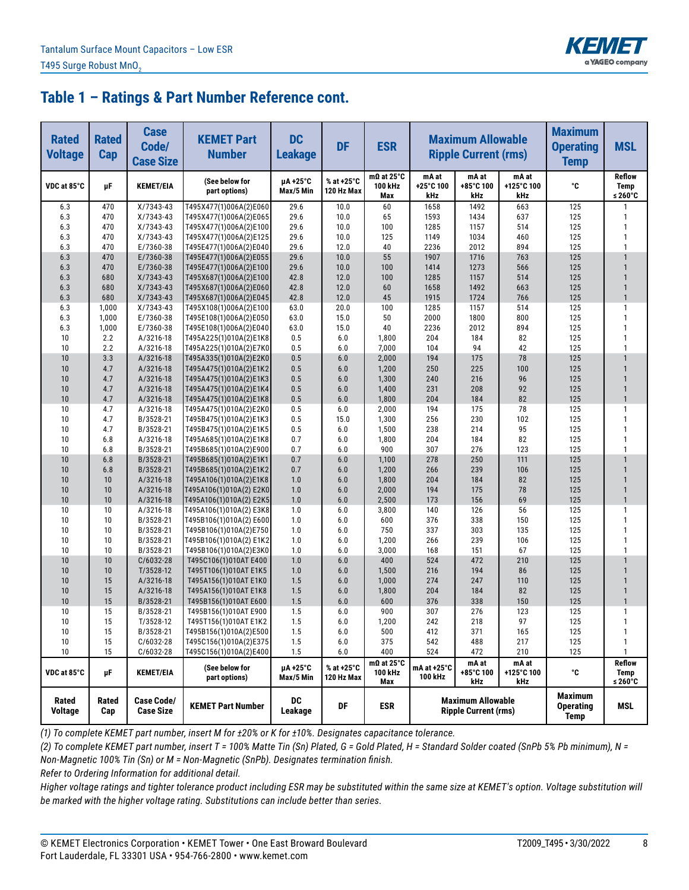

| <b>Rated</b><br><b>Voltage</b> | <b>Rated</b><br><b>Cap</b> | <b>Case</b><br>Code/<br><b>Case Size</b> | <b>KEMET Part</b><br><b>Number</b>                | <b>DC</b><br><b>Leakage</b> | <b>DF</b>                | <b>ESR</b>                          | <b>Maximum Allowable</b><br><b>Ripple Current (rms)</b> |                                                         |                            | <b>Maximum</b><br><b>Operating</b><br><b>Temp</b> | <b>MSL</b>                       |
|--------------------------------|----------------------------|------------------------------------------|---------------------------------------------------|-----------------------------|--------------------------|-------------------------------------|---------------------------------------------------------|---------------------------------------------------------|----------------------------|---------------------------------------------------|----------------------------------|
| VDC at 85°C                    | μF                         | <b>KEMET/EIA</b>                         | (See below for<br>part options)                   | µA +25°C<br>Max/5 Min       | % at +25°C<br>120 Hz Max | $m\Omega$ at 25°C<br>100 kHz<br>Max | mA at<br>+25°C 100<br>kHz                               | mA at<br>+85°C 100<br>kHz                               | mA at<br>+125°C 100<br>kHz | °C                                                | <b>Reflow</b><br>Temp<br>≤ 260°C |
| 6.3                            | 470                        | X/7343-43                                | T495X477(1)006A(2)E060                            | 29.6                        | 10.0                     | 60                                  | 1658                                                    | 1492                                                    | 663                        | 125                                               | 1                                |
| 6.3                            | 470                        | $X/7343-43$                              | T495X477(1)006A(2)E065                            | 29.6                        | 10.0                     | 65                                  | 1593                                                    | 1434                                                    | 637                        | 125                                               | 1                                |
| 6.3                            | 470                        | X/7343-43                                | T495X477(1)006A(2)E100                            | 29.6                        | 10.0                     | 100                                 | 1285                                                    | 1157                                                    | 514                        | 125                                               | 1                                |
| 6.3                            | 470                        | $X/7343-43$                              | T495X477(1)006A(2)E125                            | 29.6                        | 10.0                     | 125                                 | 1149                                                    | 1034                                                    | 460                        | 125                                               | $\mathbf{1}$                     |
| 6.3                            | 470                        | E/7360-38                                | T495E477(1)006A(2)E040                            | 29.6                        | 12.0                     | 40                                  | 2236                                                    | 2012                                                    | 894                        | 125                                               | 1                                |
| 6.3                            | 470                        | E/7360-38                                | T495E477(1)006A(2)E055                            | 29.6                        | 10.0                     | 55                                  | 1907                                                    | 1716                                                    | 763                        | 125                                               |                                  |
| 6.3                            | 470                        | E/7360-38                                | T495E477(1)006A(2)E100                            | 29.6                        | 10.0                     | 100                                 | 1414                                                    | 1273                                                    | 566                        | 125                                               | $\mathbf{1}$                     |
| 6.3                            | 680                        | $X/7343-43$                              | T495X687(1)006A(2)E100                            | 42.8                        | 12.0                     | 100                                 | 1285                                                    | 1157                                                    | 514                        | 125                                               | $\mathbf{1}$                     |
| 6.3<br>6.3                     | 680<br>680                 | $X/7343-43$                              | T495X687(1)006A(2)E060                            | 42.8                        | 12.0                     | 60<br>45                            | 1658                                                    | 1492<br>1724                                            | 663<br>766                 | 125<br>125                                        | $\mathbf{1}$<br>$\mathbf{1}$     |
| 6.3                            | 1,000                      | $X/7343-43$<br>$X/7343-43$               | T495X687(1)006A(2)E045<br>T495X108(1)006A(2)E100  | 42.8<br>63.0                | 12.0<br>20.0             | 100                                 | 1915<br>1285                                            | 1157                                                    | 514                        | 125                                               | 1                                |
| 6.3                            | 1,000                      | E/7360-38                                | T495E108(1)006A(2)E050                            | 63.0                        | 15.0                     | 50                                  | 2000                                                    | 1800                                                    | 800                        | 125                                               | $\mathbf{1}$                     |
| 6.3                            | 1,000                      | E/7360-38                                | T495E108(1)006A(2)E040                            | 63.0                        | 15.0                     | 40                                  | 2236                                                    | 2012                                                    | 894                        | 125                                               | $\mathbf{1}$                     |
| 10                             | 2.2                        | A/3216-18                                | T495A225(1)010A(2)E1K8                            | 0.5                         | 6.0                      | 1,800                               | 204                                                     | 184                                                     | 82                         | 125                                               | 1                                |
| 10                             | 2.2                        | A/3216-18                                | T495A225(1)010A(2)E7K0                            | 0.5                         | 6.0                      | 7,000                               | 104                                                     | 94                                                      | 42                         | 125                                               | 1                                |
| 10                             | 3.3                        | A/3216-18                                | T495A335(1)010A(2)E2K0                            | $0.5\,$                     | 6.0                      | 2,000                               | 194                                                     | 175                                                     | 78                         | 125                                               |                                  |
| 10                             | 4.7                        | A/3216-18                                | T495A475(1)010A(2)E1K2                            | 0.5                         | 6.0                      | 1,200                               | 250                                                     | 225                                                     | 100                        | 125                                               | $\mathbf{1}$                     |
| 10                             | 4.7                        | A/3216-18                                | T495A475(1)010A(2)E1K3                            | 0.5                         | 6.0                      | 1,300                               | 240                                                     | 216                                                     | 96                         | 125                                               | $\mathbf{1}$                     |
| 10                             | 4.7                        | A/3216-18                                | T495A475(1)010A(2)E1K4                            | 0.5                         | 6.0                      | 1,400                               | 231                                                     | 208                                                     | 92                         | 125                                               | $\mathbf{1}$                     |
| 10                             | 4.7                        | A/3216-18                                | T495A475(1)010A(2)E1K8                            | 0.5                         | 6.0                      | 1,800                               | 204                                                     | 184                                                     | 82                         | 125                                               | $\mathbf{1}$                     |
| 10                             | 4.7                        | A/3216-18                                | T495A475(1)010A(2)E2K0                            | 0.5                         | 6.0                      | 2,000                               | 194                                                     | 175                                                     | 78                         | 125                                               | $\mathbf{1}$                     |
| 10                             | 4.7                        | B/3528-21                                | T495B475(1)010A(2)E1K3                            | 0.5                         | 15.0                     | 1,300                               | 256                                                     | 230                                                     | 102                        | 125                                               | 1                                |
| 10                             | 4.7                        | B/3528-21                                | T495B475(1)010A(2)E1K5                            | 0.5                         | 6.0                      | 1,500                               | 238                                                     | 214                                                     | 95                         | 125                                               | $\mathbf{1}$                     |
| 10                             | 6.8                        | A/3216-18                                | T495A685(1)010A(2)E1K8                            | 0.7                         | 6.0                      | 1,800                               | 204                                                     | 184                                                     | 82                         | 125                                               | 1                                |
| 10                             | 6.8                        | B/3528-21                                | T495B685(1)010A(2)E900                            | 0.7                         | 6.0                      | 900                                 | 307                                                     | 276                                                     | 123                        | 125                                               | 1                                |
| 10                             | 6.8                        | B/3528-21                                | T495B685(1)010A(2)E1K1                            | 0.7                         | 6.0                      | 1,100                               | 278                                                     | 250                                                     | 111                        | 125                                               |                                  |
| 10                             | 6.8                        | B/3528-21                                | T495B685(1)010A(2)E1K2                            | 0.7                         | 6.0                      | 1,200                               | 266                                                     | 239                                                     | 106                        | 125                                               | $\mathbf{1}$                     |
| 10                             | 10                         | A/3216-18                                | T495A106(1)010A(2)E1K8                            | 1.0                         | 6.0                      | 1,800                               | 204                                                     | 184                                                     | 82                         | 125                                               | $\mathbf{1}$                     |
| 10                             | 10                         | A/3216-18                                | T495A106(1)010A(2) E2K0                           | 1.0                         | 6.0                      | 2,000                               | 194                                                     | 175                                                     | 78                         | 125                                               | $\mathbf{1}$                     |
| 10                             | 10                         | A/3216-18                                | T495A106(1)010A(2) E2K5                           | 1.0                         | 6.0                      | 2,500                               | 173                                                     | 156                                                     | 69                         | 125                                               | $\mathbf{1}$                     |
| 10                             | 10                         | A/3216-18                                | T495A106(1)010A(2) E3K8                           | 1.0                         | 6.0                      | 3,800                               | 140                                                     | 126                                                     | 56                         | 125                                               | $\mathbf{1}$                     |
| 10                             | 10                         | B/3528-21                                | T495B106(1)010A(2) E600                           | 1.0                         | 6.0                      | 600                                 | 376                                                     | 338                                                     | 150                        | 125                                               | 1                                |
| 10<br>10                       | 10<br>10                   | B/3528-21<br>B/3528-21                   | T495B106(1)010A(2)E750                            | 1.0<br>1.0                  | 6.0<br>6.0               | 750<br>1,200                        | 337<br>266                                              | 303<br>239                                              | 135<br>106                 | 125<br>125                                        | 1<br>1                           |
| 10                             | 10                         | B/3528-21                                | T495B106(1)010A(2) E1K2<br>T495B106(1)010A(2)E3K0 | 1.0                         | 6.0                      | 3,000                               | 168                                                     | 151                                                     | 67                         | 125                                               | 1                                |
| 10                             | 10                         | $C/6032-28$                              | T495C106(1)010AT E400                             | 1.0                         | 6.0                      | 400                                 | 524                                                     | 472                                                     | 210                        | 125                                               |                                  |
| 10                             | 10                         | T/3528-12                                | T495T106(1)010AT E1K5                             | 1.0                         | 6.0                      | 1,500                               | 216                                                     | 194                                                     | 86                         | 125                                               | $\mathbf{1}$                     |
| 10                             | 15                         | A/3216-18                                | T495A156(1)010AT E1K0                             | 1.5                         | 6.0                      | 1,000                               | 274                                                     | 247                                                     | 110                        | 125                                               | $\mathbf{1}$                     |
| 10                             | 15                         | A/3216-18                                | T495A156(1)010AT E1K8                             | 1.5                         | 6.0                      | 1,800                               | 204                                                     | 184                                                     | 82                         | 125                                               | $\mathbf{1}$                     |
| 10                             | 15                         | B/3528-21                                | T495B156(1)010AT E600                             | 1.5                         | 6.0                      | 600                                 | 376                                                     | 338                                                     | 150                        | 125                                               | $\mathbf{1}$                     |
| 10                             | 15                         | B/3528-21                                | T495B156(1)010AT E900                             | 1.5                         | 6.0                      | 900                                 | 307                                                     | 276                                                     | 123                        | 125                                               | 1                                |
| 10                             | 15                         | T/3528-12                                | T495T156(1)010AT E1K2                             | 1.5                         | 6.0                      | 1,200                               | 242                                                     | 218                                                     | 97                         | 125                                               | $\mathbf{1}$                     |
| 10                             | 15                         | B/3528-21                                | T495B156(1)010A(2)E500                            | 1.5                         | 6.0                      | 500                                 | 412                                                     | 371                                                     | 165                        | 125                                               | 1                                |
| 10                             | 15                         | C/6032-28                                | T495C156(1)010A(2)E375                            | 1.5                         | 6.0                      | 375                                 | 542                                                     | 488                                                     | 217                        | 125                                               | 1                                |
| 10                             | 15                         | C/6032-28                                | T495C156(1)010A(2)E400                            | 1.5                         | $6.0\,$                  | 400                                 | 524                                                     | 472                                                     | 210                        | 125                                               | 1                                |
| VDC at 85°C                    | μF                         | <b>KEMET/EIA</b>                         | (See below for<br>part options)                   | µA+25°C<br>Max/5 Min        | % at +25°C<br>120 Hz Max | $m\Omega$ at 25°C<br>100 kHz<br>Max | mA at +25°C<br>100 kHz                                  | mA at<br>+85°C 100<br>kHz                               | mA at<br>+125°C 100<br>kHz | ۰c                                                | Reflow<br>Temp<br>≤ 260°C        |
| Rated<br>Voltage               | Rated<br>Cap               | <b>Case Code/</b><br><b>Case Size</b>    | <b>KEMET Part Number</b>                          | DC<br>Leakage               | DF                       | <b>ESR</b>                          |                                                         | <b>Maximum Allowable</b><br><b>Ripple Current (rms)</b> |                            | <b>Maximum</b><br><b>Operating</b><br><b>Temp</b> | MSL                              |

*(1) To complete KEMET part number, insert M for ±20% or K for ±10%. Designates capacitance tolerance.*

*(2) To complete KEMET part number, insert T = 100% Matte Tin (Sn) Plated, G = Gold Plated, H = Standard Solder coated (SnPb 5% Pb minimum), N = Non-Magnetic 100% Tin (Sn) or M = Non-Magnetic (SnPb). Designates termination finish.*

*Refer to Ordering Information for additional detail.*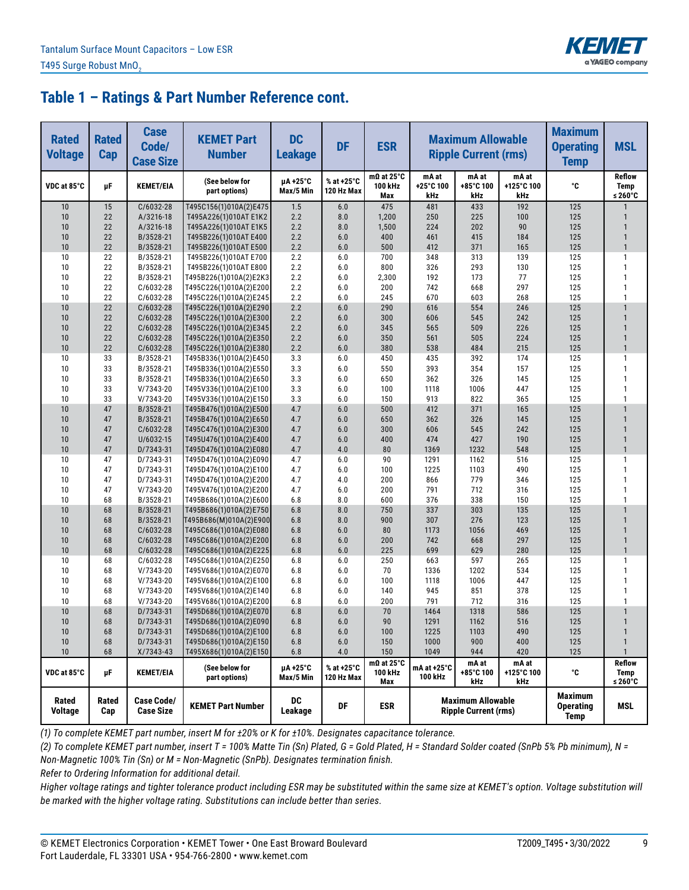

| <b>Rated</b><br><b>Voltage</b> | <b>Rated</b><br>Cap | <b>Case</b><br>Code/<br><b>Case Size</b> | <b>KEMET Part</b><br><b>Number</b>               | <b>DC</b><br><b>Leakage</b> | <b>DF</b>                | <b>ESR</b>                          | <b>Maximum Allowable</b><br><b>Ripple Current (rms)</b> |                                                         |                            | <b>Maximum</b><br><b>Operating</b><br><b>Temp</b> | <b>MSL</b>                              |
|--------------------------------|---------------------|------------------------------------------|--------------------------------------------------|-----------------------------|--------------------------|-------------------------------------|---------------------------------------------------------|---------------------------------------------------------|----------------------------|---------------------------------------------------|-----------------------------------------|
| VDC at 85°C                    | μF                  | <b>KEMET/EIA</b>                         | (See below for<br>part options)                  | µA +25°C<br>Max/5 Min       | % at +25°C<br>120 Hz Max | $m\Omega$ at 25°C<br>100 kHz<br>Max | mA at<br>+25°C 100<br>kHz                               | mA at<br>+85°C 100<br>kHz                               | mA at<br>+125°C 100<br>kHz | ۰c                                                | <b>Reflow</b><br><b>Temp</b><br>≤ 260°C |
| 10                             | 15                  | C/6032-28                                | T495C156(1)010A(2)E475                           | 1.5                         | 6.0                      | 475                                 | 481                                                     | 433                                                     | 192                        | 125                                               |                                         |
| 10                             | 22                  | A/3216-18                                | T495A226(1)010AT E1K2                            | 2.2                         | 8.0                      | 1,200                               | 250                                                     | 225                                                     | 100                        | 125                                               | 1                                       |
| 10                             | 22                  | A/3216-18                                | T495A226(1)010AT E1K5                            | 2.2                         | 8.0                      | 1,500                               | 224                                                     | 202                                                     | 90                         | 125                                               | $\mathbf{1}$                            |
| 10                             | 22                  | B/3528-21                                | T495B226(1)010AT E400                            | 2.2                         | 6.0                      | 400                                 | 461                                                     | 415                                                     | 184                        | 125                                               | $\mathbf{1}$                            |
| 10                             | 22                  | B/3528-21                                | T495B226(1)010AT E500                            | 2.2                         | 6.0                      | 500                                 | 412                                                     | 371                                                     | 165                        | 125                                               | $\mathbf{1}$                            |
| 10                             | 22                  | B/3528-21                                | T495B226(1)010AT E700                            | 2.2                         | 6.0                      | 700                                 | 348                                                     | 313                                                     | 139                        | 125                                               | 1                                       |
| 10<br>10                       | 22                  | B/3528-21                                | T495B226(1)010AT E800                            | 2.2                         | 6.0                      | 800                                 | 326                                                     | 293                                                     | 130                        | 125                                               | $\mathbf{1}$<br>1                       |
| 10                             | 22<br>22            | B/3528-21<br>C/6032-28                   | T495B226(1)010A(2)E2K3<br>T495C226(1)010A(2)E200 | 2.2<br>2.2                  | 6.0<br>6.0               | 2,300<br>200                        | 192<br>742                                              | 173<br>668                                              | 77<br>297                  | 125<br>125                                        | 1                                       |
| 10                             | 22                  | C/6032-28                                | T495C226(1)010A(2)E245                           | 2.2                         | 6.0                      | 245                                 | 670                                                     | 603                                                     | 268                        | 125                                               | 1                                       |
| 10                             | 22                  | C/6032-28                                | T495C226(1)010A(2)E290                           | 2.2                         | 6.0                      | 290                                 | 616                                                     | 554                                                     | 246                        | 125                                               | $\mathbf{1}$                            |
| 10                             | 22                  | C/6032-28                                | T495C226(1)010A(2)E300                           | 2.2                         | 6.0                      | 300                                 | 606                                                     | 545                                                     | 242                        | 125                                               | $\mathbf{1}$                            |
| 10                             | 22                  | C/6032-28                                | T495C226(1)010A(2)E345                           | 2.2                         | 6.0                      | 345                                 | 565                                                     | 509                                                     | 226                        | 125                                               | $\mathbf{1}$                            |
| 10                             | 22                  | C/6032-28                                | T495C226(1)010A(2)E350                           | 2.2                         | 6.0                      | 350                                 | 561                                                     | 505                                                     | 224                        | 125                                               | $\mathbf{1}$                            |
| 10                             | 22                  | C/6032-28                                | T495C226(1)010A(2)E380                           | 2.2                         | 6.0                      | 380                                 | 538                                                     | 484                                                     | 215                        | 125                                               | $\mathbf{1}$                            |
| 10                             | 33                  | B/3528-21                                | T495B336(1)010A(2)E450                           | 3.3                         | 6.0                      | 450                                 | 435                                                     | 392                                                     | 174                        | 125                                               | 1                                       |
| 10                             | 33                  | B/3528-21                                | T495B336(1)010A(2)E550                           | 3.3                         | 6.0                      | 550                                 | 393                                                     | 354                                                     | 157                        | 125                                               | $\mathbf{1}$                            |
| 10                             | 33                  | B/3528-21                                | T495B336(1)010A(2)E650                           | 3.3                         | 6.0                      | 650                                 | 362                                                     | 326                                                     | 145                        | 125                                               | 1                                       |
| 10                             | 33                  | V/7343-20                                | T495V336(1)010A(2)E100                           | 3.3                         | 6.0                      | 100                                 | 1118                                                    | 1006                                                    | 447                        | 125                                               | $\mathbf{1}$                            |
| 10                             | 33                  | V/7343-20                                | T495V336(1)010A(2)E150                           | 3.3                         | 6.0                      | 150                                 | 913                                                     | 822                                                     | 365                        | 125                                               | 1                                       |
| 10                             | 47                  | B/3528-21                                | T495B476(1)010A(2)E500                           | 4.7                         | 6.0                      | 500                                 | 412                                                     | 371                                                     | 165                        | 125                                               | $\mathbf{1}$                            |
| 10                             | 47                  | B/3528-21                                | T495B476(1)010A(2)E650                           | 4.7                         | 6.0                      | 650                                 | 362                                                     | 326                                                     | 145                        | 125                                               | $\mathbf{1}$                            |
| 10                             | 47                  | C/6032-28                                | T495C476(1)010A(2)E300                           | 4.7                         | 6.0                      | 300                                 | 606                                                     | 545                                                     | 242                        | 125                                               | $\mathbf{1}$                            |
| 10                             | 47                  | U/6032-15                                | T495U476(1)010A(2)E400                           | 4.7                         | 6.0                      | 400                                 | 474                                                     | 427                                                     | 190                        | 125                                               | $\mathbf{1}$                            |
| 10                             | 47                  | D/7343-31                                | T495D476(1)010A(2)E080                           | 4.7                         | 4.0                      | 80                                  | 1369                                                    | 1232                                                    | 548                        | 125                                               | $\mathbf{1}$                            |
| 10                             | 47                  | D/7343-31                                | T495D476(1)010A(2)E090                           | 4.7                         | 6.0                      | 90                                  | 1291                                                    | 1162                                                    | 516                        | 125                                               | 1                                       |
| 10                             | 47                  | D/7343-31                                | T495D476(1)010A(2)E100                           | 4.7                         | 6.0                      | 100                                 | 1225                                                    | 1103                                                    | 490                        | 125                                               | $\mathbf{1}$                            |
| 10                             | 47                  | D/7343-31                                | T495D476(1)010A(2)E200                           | 4.7                         | 4.0                      | 200                                 | 866                                                     | 779                                                     | 346                        | 125                                               | 1                                       |
| 10                             | 47                  | V/7343-20                                | T495V476(1)010A(2)E200                           | 4.7                         | 6.0                      | 200                                 | 791                                                     | 712                                                     | 316                        | 125                                               | $\mathbf{1}$<br>$\mathbf{1}$            |
| 10<br>10                       | 68<br>68            | B/3528-21<br>B/3528-21                   | T495B686(1)010A(2)E600                           | 6.8<br>6.8                  | 8.0<br>8.0               | 600<br>750                          | 376<br>337                                              | 338                                                     | 150<br>135                 | 125<br>125                                        | $\mathbf{1}$                            |
| 10                             | 68                  | B/3528-21                                | T495B686(1)010A(2)E750<br>T495B686(M)010A(2)E900 | 6.8                         | 8.0                      | 900                                 | 307                                                     | 303<br>276                                              | 123                        | 125                                               | $\mathbf{1}$                            |
| 10                             | 68                  | C/6032-28                                | T495C686(1)010A(2)E080                           | 6.8                         | 6.0                      | 80                                  | 1173                                                    | 1056                                                    | 469                        | 125                                               | $\mathbf{1}$                            |
| 10                             | 68                  | $C/6032-28$                              | T495C686(1)010A(2)E200                           | 6.8                         | 6.0                      | 200                                 | 742                                                     | 668                                                     | 297                        | 125                                               | $\mathbf{1}$                            |
| 10                             | 68                  | C/6032-28                                | T495C686(1)010A(2)E225                           | 6.8                         | 6.0                      | 225                                 | 699                                                     | 629                                                     | 280                        | 125                                               | $\mathbf{1}$                            |
| 10                             | 68                  | C/6032-28                                | T495C686(1)010A(2)E250                           | 6.8                         | 6.0                      | 250                                 | 663                                                     | 597                                                     | 265                        | 125                                               | $\mathbf{1}$                            |
| 10                             | 68                  | V/7343-20                                | T495V686(1)010A(2)E070                           | 6.8                         | 6.0                      | 70                                  | 1336                                                    | 1202                                                    | 534                        | 125                                               | $\mathbf{1}$                            |
| 10                             | 68                  | V/7343-20                                | T495V686(1)010A(2)E100                           | 6.8                         | 6.0                      | 100                                 | 1118                                                    | 1006                                                    | 447                        | 125                                               | $\mathbf{1}$                            |
| 10                             | 68                  | V/7343-20                                | T495V686(1)010A(2)E140                           | 6.8                         | 6.0                      | 140                                 | 945                                                     | 851                                                     | 378                        | 125                                               | 1                                       |
| 10                             | 68                  | V/7343-20                                | T495V686(1)010A(2)E200                           | 6.8                         | 6.0                      | 200                                 | 791                                                     | 712                                                     | 316                        | 125                                               | 1                                       |
| 10                             | 68                  | D/7343-31                                | T495D686(1)010A(2)E070                           | 6.8                         | 6.0                      | 70                                  | 1464                                                    | 1318                                                    | 586                        | 125                                               | $\mathbf{1}$                            |
| 10                             | 68                  | D/7343-31                                | T495D686(1)010A(2)E090                           | 6.8                         | 6.0                      | 90                                  | 1291                                                    | 1162                                                    | 516                        | 125                                               | $\mathbf{1}$                            |
| 10                             | 68                  | D/7343-31                                | T495D686(1)010A(2)E100                           | 6.8                         | 6.0                      | 100                                 | 1225                                                    | 1103                                                    | 490                        | 125                                               | $\mathbf{1}$                            |
| 10                             | 68                  | D/7343-31                                | T495D686(1)010A(2)E150                           | 6.8                         | 6.0                      | 150                                 | 1000                                                    | 900                                                     | 400                        | 125                                               | $\mathbf{1}$                            |
| 10                             | 68                  | X/7343-43                                | T495X686(1)010A(2)E150                           | $6.8$                       | 4.0                      | 150                                 | 1049                                                    | 944                                                     | 420                        | 125                                               | $\mathbf{1}$                            |
| VDC at 85°C                    | μF                  | <b>KEMET/EIA</b>                         | (See below for<br>part options)                  | µA+25°C<br>Max/5 Min        | % at +25°C<br>120 Hz Max | $m\Omega$ at 25°C<br>100 kHz<br>Max | mA at +25°C<br>100 kHz                                  | mA at<br>+85°C 100<br>kHz                               | mA at<br>+125°C 100<br>kHz | ۰c                                                | Reflow<br>Temp<br>≤ 260°C               |
| Rated<br>Voltage               | Rated<br>Cap        | <b>Case Code/</b><br><b>Case Size</b>    | <b>KEMET Part Number</b>                         | DC<br>Leakage               | DF                       | <b>ESR</b>                          |                                                         | <b>Maximum Allowable</b><br><b>Ripple Current (rms)</b> |                            | <b>Maximum</b><br><b>Operating</b><br><b>Temp</b> | MSL                                     |

*(1) To complete KEMET part number, insert M for ±20% or K for ±10%. Designates capacitance tolerance.*

*(2) To complete KEMET part number, insert T = 100% Matte Tin (Sn) Plated, G = Gold Plated, H = Standard Solder coated (SnPb 5% Pb minimum), N = Non-Magnetic 100% Tin (Sn) or M = Non-Magnetic (SnPb). Designates termination finish.*

*Refer to Ordering Information for additional detail.*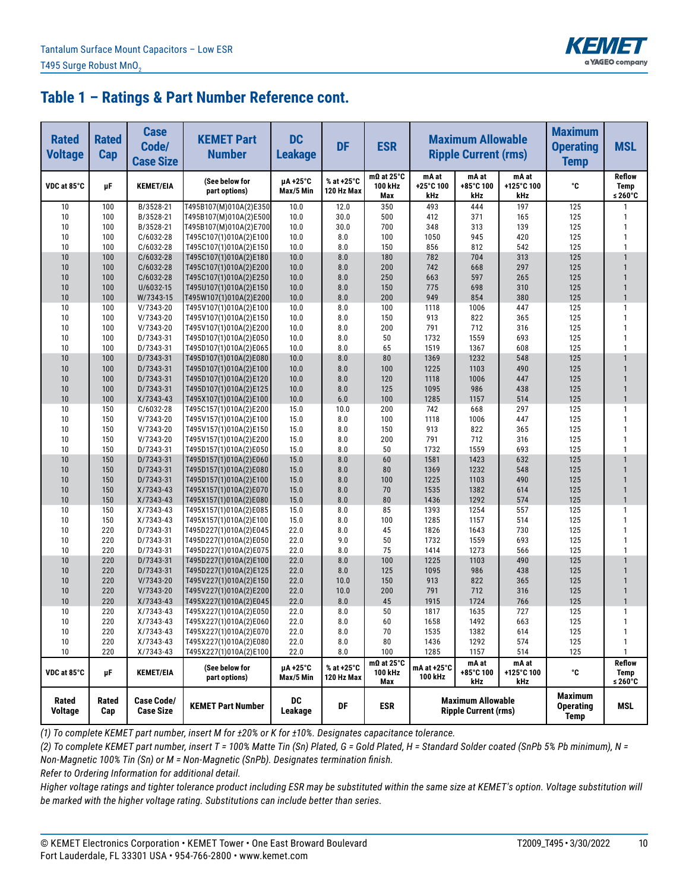

| <b>Rated</b><br><b>Voltage</b> | <b>Rated</b><br>Cap | <b>Case</b><br>Code/<br><b>Case Size</b> | <b>KEMET Part</b><br><b>Number</b>               | <b>DC</b><br><b>Leakage</b> | <b>DF</b>                | <b>ESR</b>                          | <b>Maximum Allowable</b><br><b>Ripple Current (rms)</b> |                                                         |                            | <b>Maximum</b><br><b>Operating</b><br><b>Temp</b> | <b>MSL</b>                       |
|--------------------------------|---------------------|------------------------------------------|--------------------------------------------------|-----------------------------|--------------------------|-------------------------------------|---------------------------------------------------------|---------------------------------------------------------|----------------------------|---------------------------------------------------|----------------------------------|
| VDC at 85°C                    | μF                  | <b>KEMET/EIA</b>                         | (See below for<br>part options)                  | uA+25°C<br>Max/5 Min        | % at +25°C<br>120 Hz Max | $m\Omega$ at 25°C<br>100 kHz<br>Max | mA at<br>+25°C 100<br>kHz                               | mA at<br>+85°C 100<br>kHz                               | mA at<br>+125°C 100<br>kHz | ۰c                                                | <b>Reflow</b><br>Temp<br>≤ 260°C |
| 10                             | 100                 | B/3528-21                                | T495B107(M)010A(2)E350                           | 10.0                        | 12.0                     | 350                                 | 493                                                     | 444                                                     | 197                        | 125                                               | 1                                |
| 10                             | 100                 | B/3528-21                                | T495B107(M)010A(2)E500                           | 10.0                        | 30.0                     | 500                                 | 412                                                     | 371                                                     | 165                        | 125                                               | 1                                |
| 10                             | 100                 | B/3528-21                                | T495B107(M)010A(2)E700                           | 10.0                        | 30.0                     | 700                                 | 348                                                     | 313                                                     | 139                        | 125                                               | 1                                |
| 10                             | 100                 | C/6032-28                                | T495C107(1)010A(2)E100                           | 10.0                        | 8.0                      | 100                                 | 1050                                                    | 945                                                     | 420                        | 125                                               | $\mathbf{1}$                     |
| 10                             | 100                 | C/6032-28                                | T495C107(1)010A(2)E150                           | 10.0                        | 8.0                      | 150                                 | 856                                                     | 812                                                     | 542                        | 125                                               | 1                                |
| 10                             | 100                 | $C/6032-28$                              | T495C107(1)010A(2)E180                           | 10.0                        | 8.0                      | 180                                 | 782                                                     | 704                                                     | 313                        | 125                                               |                                  |
| 10                             | 100                 | C/6032-28                                | T495C107(1)010A(2)E200                           | 10.0                        | 8.0                      | 200                                 | 742                                                     | 668                                                     | 297                        | 125                                               | $\mathbf{1}$                     |
| 10                             | 100                 | C/6032-28<br>U/6032-15                   | T495C107(1)010A(2)E250                           | 10.0                        | 8.0                      | 250                                 | 663                                                     | 597                                                     | 265                        | 125                                               | $\mathbf{1}$<br>$\mathbf{1}$     |
| 10<br>10                       | 100<br>100          | W/7343-15                                | T495U107(1)010A(2)E150<br>T495W107(1)010A(2)E200 | 10.0<br>10.0                | 8.0<br>8.0               | 150<br>200                          | 775<br>949                                              | 698<br>854                                              | 310<br>380                 | 125<br>125                                        | $\mathbf{1}$                     |
| 10                             | 100                 | V/7343-20                                | T495V107(1)010A(2)E100                           | 10.0                        | 8.0                      | 100                                 | 1118                                                    | 1006                                                    | 447                        | 125                                               | $\mathbf{1}$                     |
| 10                             | 100                 | V/7343-20                                | T495V107(1)010A(2)E150                           | 10.0                        | 8.0                      | 150                                 | 913                                                     | 822                                                     | 365                        | 125                                               | 1                                |
| 10                             | 100                 | V/7343-20                                | T495V107(1)010A(2)E200                           | 10.0                        | 8.0                      | 200                                 | 791                                                     | 712                                                     | 316                        | 125                                               | $\mathbf{1}$                     |
| 10                             | 100                 | D/7343-31                                | T495D107(1)010A(2)E050                           | 10.0                        | 8.0                      | 50                                  | 1732                                                    | 1559                                                    | 693                        | 125                                               | 1                                |
| 10                             | 100                 | D/7343-31                                | T495D107(1)010A(2)E065                           | 10.0                        | 8.0                      | 65                                  | 1519                                                    | 1367                                                    | 608                        | 125                                               | 1                                |
| 10                             | 100                 | D/7343-31                                | T495D107(1)010A(2)E080                           | 10.0                        | 8.0                      | 80                                  | 1369                                                    | 1232                                                    | 548                        | 125                                               |                                  |
| 10                             | 100                 | D/7343-31                                | T495D107(1)010A(2)E100                           | 10.0                        | 8.0                      | 100                                 | 1225                                                    | 1103                                                    | 490                        | 125                                               | $\mathbf{1}$                     |
| 10                             | 100                 | D/7343-31                                | T495D107(1)010A(2)E120                           | 10.0                        | 8.0                      | 120                                 | 1118                                                    | 1006                                                    | 447                        | 125                                               | $\mathbf{1}$                     |
| 10                             | 100                 | D/7343-31                                | T495D107(1)010A(2)E125                           | 10.0                        | 8.0                      | 125                                 | 1095                                                    | 986                                                     | 438                        | 125                                               | $\mathbf{1}$                     |
| 10                             | 100                 | X/7343-43                                | T495X107(1)010A(2)E100                           | 10.0                        | 6.0                      | 100                                 | 1285                                                    | 1157                                                    | 514                        | 125                                               | $\mathbf{1}$                     |
| 10                             | 150                 | C/6032-28                                | T495C157(1)010A(2)E200                           | 15.0                        | 10.0                     | 200                                 | 742                                                     | 668                                                     | 297                        | 125                                               | $\mathbf{1}$                     |
| 10                             | 150                 | V/7343-20                                | T495V157(1)010A(2)E100                           | 15.0                        | 8.0                      | 100                                 | 1118                                                    | 1006                                                    | 447                        | 125                                               | 1                                |
| 10                             | 150                 | V/7343-20                                | T495V157(1)010A(2)E150                           | 15.0                        | 8.0                      | 150                                 | 913                                                     | 822                                                     | 365                        | 125                                               | $\mathbf{1}$                     |
| 10                             | 150                 | V/7343-20                                | T495V157(1)010A(2)E200                           | 15.0                        | 8.0                      | 200                                 | 791                                                     | 712                                                     | 316                        | 125                                               | 1                                |
| 10                             | 150                 | D/7343-31                                | T495D157(1)010A(2)E050                           | 15.0                        | 8.0                      | 50                                  | 1732                                                    | 1559                                                    | 693                        | 125                                               | 1                                |
| 10                             | 150                 | D/7343-31                                | T495D157(1)010A(2)E060                           | 15.0                        | 8.0                      | 60                                  | 1581                                                    | 1423                                                    | 632                        | 125                                               |                                  |
| 10                             | 150                 | D/7343-31                                | T495D157(1)010A(2)E080                           | 15.0                        | 8.0                      | 80                                  | 1369                                                    | 1232                                                    | 548                        | 125                                               | $\mathbf{1}$                     |
| 10                             | 150                 | D/7343-31                                | T495D157(1)010A(2)E100                           | 15.0                        | 8.0                      | 100                                 | 1225                                                    | 1103                                                    | 490                        | 125                                               | $\mathbf{1}$                     |
| 10                             | 150                 | X/7343-43                                | T495X157(1)010A(2)E070                           | 15.0                        | 8.0                      | 70                                  | 1535                                                    | 1382                                                    | 614                        | 125                                               | $\mathbf{1}$<br>$\mathbf{1}$     |
| 10                             | 150                 | $X/7343-43$                              | T495X157(1)010A(2)E080                           | 15.0                        | 8.0                      | 80                                  | 1436                                                    | 1292                                                    | 574                        | 125                                               |                                  |
| 10<br>10                       | 150                 | $X/7343-43$<br>$X/7343-43$               | T495X157(1)010A(2)E085                           | 15.0                        | 8.0<br>8.0               | 85<br>100                           | 1393                                                    | 1254<br>1157                                            | 557<br>514                 | 125                                               | $\mathbf{1}$<br>$\mathbf{1}$     |
| 10                             | 150<br>220          | D/7343-31                                | T495X157(1)010A(2)E100<br>T495D227(1)010A(2)E045 | 15.0<br>22.0                | 8.0                      | 45                                  | 1285<br>1826                                            | 1643                                                    | 730                        | 125<br>125                                        | $\mathbf{1}$                     |
| 10                             | 220                 | D/7343-31                                | T495D227(1)010A(2)E050                           | 22.0                        | 9.0                      | 50                                  | 1732                                                    | 1559                                                    | 693                        | 125                                               | 1                                |
| 10                             | 220                 | D/7343-31                                | T495D227(1)010A(2)E075                           | 22.0                        | 8.0                      | 75                                  | 1414                                                    | 1273                                                    | 566                        | 125                                               | 1                                |
| 10                             | 220                 | D/7343-31                                | T495D227(1)010A(2)E100                           | 22.0                        | 8.0                      | 100                                 | 1225                                                    | 1103                                                    | 490                        | 125                                               |                                  |
| 10                             | 220                 | D/7343-31                                | T495D227(1)010A(2)E125                           | 22.0                        | 8.0                      | 125                                 | 1095                                                    | 986                                                     | 438                        | 125                                               | $\mathbf{1}$                     |
| 10                             | 220                 | $V/7343-20$                              | T495V227(1)010A(2)E150                           | 22.0                        | 10.0                     | 150                                 | 913                                                     | 822                                                     | 365                        | 125                                               | $\mathbf{1}$                     |
| 10                             | 220                 | $V/7343-20$                              | T495V227(1)010A(2)E200                           | 22.0                        | 10.0                     | 200                                 | 791                                                     | 712                                                     | 316                        | 125                                               | $\mathbf{1}$                     |
| 10                             | 220                 | $X/7343-43$                              | T495X227(1)010A(2)E045                           | 22.0                        | 8.0                      | 45                                  | 1915                                                    | 1724                                                    | 766                        | 125                                               | $\mathbf{1}$                     |
| 10                             | 220                 | $X/7343-43$                              | T495X227(1)010A(2)E050                           | 22.0                        | 8.0                      | 50                                  | 1817                                                    | 1635                                                    | 727                        | 125                                               | 1                                |
| 10                             | 220                 | $X/7343-43$                              | T495X227(1)010A(2)E060                           | 22.0                        | 8.0                      | 60                                  | 1658                                                    | 1492                                                    | 663                        | 125                                               | $\mathbf{1}$                     |
| 10                             | 220                 | $X/7343-43$                              | T495X227(1)010A(2)E070                           | 22.0                        | 8.0                      | 70                                  | 1535                                                    | 1382                                                    | 614                        | 125                                               | $\mathbf{1}$                     |
| 10                             | 220                 | X/7343-43                                | T495X227(1)010A(2)E080                           | 22.0                        | 8.0                      | 80                                  | 1436                                                    | 1292                                                    | 574                        | 125                                               | 1                                |
| 10                             | 220                 | X/7343-43                                | T495X227(1)010A(2)E100                           | 22.0                        | $8.0\,$                  | 100                                 | 1285                                                    | 1157                                                    | 514                        | 125                                               | 1                                |
| VDC at 85°C                    | μF                  | <b>KEMET/EIA</b>                         | (See below for<br>part options)                  | µA+25°C<br>Max/5 Min        | % at +25°C<br>120 Hz Max | $m\Omega$ at 25°C<br>100 kHz<br>Max | mA at +25°C<br>100 kHz                                  | mA at<br>+85°C 100<br>kHz                               | mA at<br>+125°C 100<br>kHz | ۰c                                                | Reflow<br>Temp<br>≤ 260 $°C$     |
| Rated<br>Voltage               | Rated<br>Cap        | <b>Case Code/</b><br><b>Case Size</b>    | <b>KEMET Part Number</b>                         | DC<br>Leakage               | DF                       | <b>ESR</b>                          |                                                         | <b>Maximum Allowable</b><br><b>Ripple Current (rms)</b> |                            | <b>Maximum</b><br><b>Operating</b><br><b>Temp</b> | MSL                              |

*(1) To complete KEMET part number, insert M for ±20% or K for ±10%. Designates capacitance tolerance.*

*(2) To complete KEMET part number, insert T = 100% Matte Tin (Sn) Plated, G = Gold Plated, H = Standard Solder coated (SnPb 5% Pb minimum), N = Non-Magnetic 100% Tin (Sn) or M = Non-Magnetic (SnPb). Designates termination finish.*

*Refer to Ordering Information for additional detail.*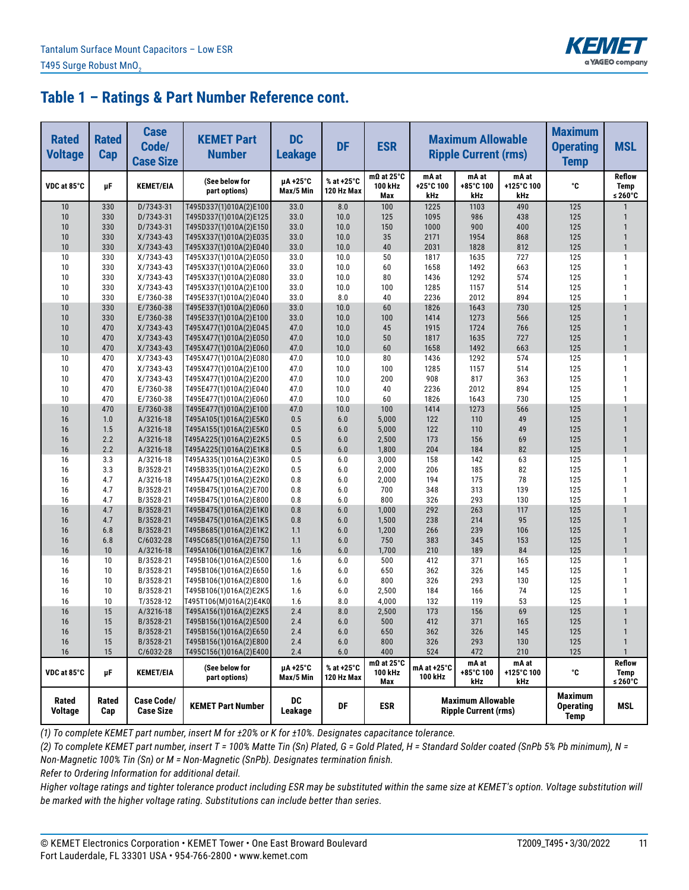

| <b>Rated</b><br><b>Voltage</b> | <b>Rated</b><br>Cap | <b>Case</b><br>Code/<br><b>Case Size</b> | <b>KEMET Part</b><br><b>Number</b>               | <b>DC</b><br><b>Leakage</b> | <b>DF</b>                | <b>ESR</b>                          | <b>Maximum Allowable</b><br><b>Ripple Current (rms)</b> |                                                         |                            | <b>Maximum</b><br><b>Operating</b><br><b>Temp</b> | <b>MSL</b>                              |
|--------------------------------|---------------------|------------------------------------------|--------------------------------------------------|-----------------------------|--------------------------|-------------------------------------|---------------------------------------------------------|---------------------------------------------------------|----------------------------|---------------------------------------------------|-----------------------------------------|
| VDC at 85°C                    | μF                  | <b>KEMET/EIA</b>                         | (See below for<br>part options)                  | µA+25°C<br>Max/5 Min        | % at +25°C<br>120 Hz Max | $m\Omega$ at 25°C<br>100 kHz<br>Max | mA at<br>+25°C 100<br>kHz                               | mA at<br>+85°C 100<br>kHz                               | mA at<br>+125°C 100<br>kHz | ۰c                                                | <b>Reflow</b><br><b>Temp</b><br>≤ 260°C |
| 10                             | 330                 | D/7343-31                                | T495D337(1)010A(2)E100                           | 33.0                        | 8.0                      | 100                                 | 1225                                                    | 1103                                                    | 490                        | 125                                               |                                         |
| 10                             | 330                 | D/7343-31                                | T495D337(1)010A(2)E125                           | 33.0                        | 10.0                     | 125                                 | 1095                                                    | 986                                                     | 438                        | 125                                               | 1                                       |
| 10                             | 330                 | D/7343-31                                | T495D337(1)010A(2)E150                           | 33.0                        | 10.0                     | 150                                 | 1000                                                    | 900                                                     | 400                        | 125                                               | $\mathbf{1}$                            |
| 10                             | 330                 | $X/7343-43$                              | T495X337(1)010A(2)E035                           | 33.0                        | 10.0                     | 35                                  | 2171                                                    | 1954                                                    | 868                        | 125                                               | $\mathbf{1}$                            |
| 10                             | 330                 | X/7343-43                                | T495X337(1)010A(2)E040                           | 33.0                        | 10.0                     | 40                                  | 2031                                                    | 1828                                                    | 812                        | 125                                               | $\mathbf{1}$                            |
| 10                             | 330                 | $X/7343-43$                              | T495X337(1)010A(2)E050                           | 33.0                        | 10.0                     | 50                                  | 1817                                                    | 1635                                                    | 727                        | 125                                               | 1                                       |
| 10                             | 330                 | $X/7343-43$                              | T495X337(1)010A(2)E060                           | 33.0                        | 10.0                     | 60                                  | 1658                                                    | 1492                                                    | 663                        | 125                                               | $\mathbf{1}$                            |
| 10                             | 330                 | $X/7343-43$<br>X/7343-43                 | T495X337(1)010A(2)E080                           | 33.0                        | 10.0                     | 80                                  | 1436                                                    | 1292                                                    | 574                        | 125                                               | $\mathbf{1}$<br>$\mathbf{1}$            |
| 10<br>10                       | 330<br>330          | E/7360-38                                | T495X337(1)010A(2)E100<br>T495E337(1)010A(2)E040 | 33.0<br>33.0                | 10.0<br>8.0              | 100<br>40                           | 1285<br>2236                                            | 1157<br>2012                                            | 514<br>894                 | 125<br>125                                        | $\mathbf{1}$                            |
| 10                             | 330                 | E/7360-38                                | T495E337(1)010A(2)E060                           | 33.0                        | 10.0                     | 60                                  | 1826                                                    | 1643                                                    | 730                        | 125                                               | $\mathbf{1}$                            |
| 10                             | 330                 | E/7360-38                                | T495E337(1)010A(2)E100                           | 33.0                        | 10.0                     | 100                                 | 1414                                                    | 1273                                                    | 566                        | 125                                               | $\mathbf{1}$                            |
| 10                             | 470                 | $X/7343-43$                              | T495X477(1)010A(2)E045                           | 47.0                        | 10.0                     | 45                                  | 1915                                                    | 1724                                                    | 766                        | 125                                               | $\mathbf{1}$                            |
| 10                             | 470                 | $X/7343-43$                              | T495X477(1)010A(2)E050                           | 47.0                        | 10.0                     | 50                                  | 1817                                                    | 1635                                                    | 727                        | 125                                               | $\mathbf{1}$                            |
| 10                             | 470                 | X/7343-43                                | T495X477(1)010A(2)E060                           | 47.0                        | 10.0                     | 60                                  | 1658                                                    | 1492                                                    | 663                        | 125                                               | $\mathbf{1}$                            |
| 10                             | 470                 | $X/7343-43$                              | T495X477(1)010A(2)E080                           | 47.0                        | 10.0                     | 80                                  | 1436                                                    | 1292                                                    | 574                        | 125                                               | 1                                       |
| 10                             | 470                 | X/7343-43                                | T495X477(1)010A(2)E100                           | 47.0                        | 10.0                     | 100                                 | 1285                                                    | 1157                                                    | 514                        | 125                                               | $\mathbf{1}$                            |
| 10                             | 470                 | X/7343-43                                | T495X477(1)010A(2)E200                           | 47.0                        | 10.0                     | 200                                 | 908                                                     | 817                                                     | 363                        | 125                                               | 1                                       |
| 10                             | 470                 | E/7360-38                                | T495E477(1)010A(2)E040                           | 47.0                        | 10.0                     | 40                                  | 2236                                                    | 2012                                                    | 894                        | 125                                               | $\mathbf{1}$                            |
| 10                             | 470                 | E/7360-38                                | T495E477(1)010A(2)E060                           | 47.0                        | 10.0                     | 60                                  | 1826                                                    | 1643                                                    | 730                        | 125                                               | 1                                       |
| 10                             | 470                 | E/7360-38                                | T495E477(1)010A(2)E100                           | 47.0                        | 10.0                     | 100                                 | 1414                                                    | 1273                                                    | 566                        | 125                                               | $\mathbf{1}$                            |
| 16                             | 1.0                 | A/3216-18                                | T495A105(1)016A(2)E5K0                           | 0.5                         | 6.0                      | 5,000                               | 122                                                     | 110                                                     | 49                         | 125                                               | $\mathbf{1}$                            |
| 16                             | 1.5                 | A/3216-18                                | T495A155(1)016A(2)E5K0                           | 0.5                         | 6.0                      | 5,000                               | 122                                                     | 110                                                     | 49                         | 125                                               | $\mathbf{1}$                            |
| 16                             | 2.2                 | A/3216-18                                | T495A225(1)016A(2)E2K5                           | 0.5                         | 6.0                      | 2,500                               | 173                                                     | 156                                                     | 69                         | 125                                               | $\mathbf{1}$                            |
| 16                             | 2.2                 | A/3216-18                                | T495A225(1)016A(2)E1K8                           | 0.5                         | 6.0                      | 1,800                               | 204                                                     | 184                                                     | 82                         | 125                                               | $\mathbf{1}$                            |
| 16                             | 3.3                 | A/3216-18                                | T495A335(1)016A(2)E3K0                           | 0.5                         | 6.0                      | 3,000                               | 158                                                     | 142                                                     | 63                         | 125                                               | 1                                       |
| 16                             | 3.3                 | B/3528-21                                | T495B335(1)016A(2)E2K0                           | 0.5                         | 6.0                      | 2,000                               | 206                                                     | 185                                                     | 82                         | 125                                               | $\mathbf{1}$                            |
| 16                             | 4.7                 | A/3216-18                                | T495A475(1)016A(2)E2K0                           | 0.8                         | 6.0                      | 2,000                               | 194                                                     | 175                                                     | 78                         | 125                                               | 1                                       |
| 16                             | 4.7                 | B/3528-21                                | T495B475(1)016A(2)E700                           | 0.8                         | 6.0                      | 700                                 | 348                                                     | 313                                                     | 139                        | 125                                               | $\mathbf{1}$                            |
| 16                             | 4.7                 | B/3528-21                                | T495B475(1)016A(2)E800                           | 0.8                         | 6.0                      | 800                                 | 326                                                     | 293                                                     | 130                        | 125                                               | 1<br>$\mathbf{1}$                       |
| 16<br>16                       | 4.7<br>4.7          | B/3528-21<br>B/3528-21                   | T495B475(1)016A(2)E1K0                           | 0.8                         | 6.0<br>6.0               | 1,000                               | 292                                                     | 263<br>214                                              | 117<br>95                  | 125                                               | $\mathbf{1}$                            |
| 16                             | 6.8                 | B/3528-21                                | T495B475(1)016A(2)E1K5<br>T495B685(1)016A(2)E1K2 | 0.8<br>1.1                  | 6.0                      | 1,500<br>1,200                      | 238<br>266                                              | 239                                                     | 106                        | 125<br>125                                        | $\mathbf{1}$                            |
| 16                             | 6.8                 | C/6032-28                                | T495C685(1)016A(2)E750                           | 1.1                         | 6.0                      | 750                                 | 383                                                     | 345                                                     | 153                        | 125                                               | $\mathbf{1}$                            |
| 16                             | 10                  | A/3216-18                                | T495A106(1)016A(2)E1K7                           | 1.6                         | 6.0                      | 1,700                               | 210                                                     | 189                                                     | 84                         | 125                                               | $\mathbf{1}$                            |
| 16                             | 10                  | B/3528-21                                | T495B106(1)016A(2)E500                           | 1.6                         | 6.0                      | 500                                 | 412                                                     | 371                                                     | 165                        | 125                                               | $\mathbf{1}$                            |
| 16                             | 10                  | B/3528-21                                | T495B106(1)016A(2)E650                           | 1.6                         | 6.0                      | 650                                 | 362                                                     | 326                                                     | 145                        | 125                                               | $\mathbf{1}$                            |
| 16                             | 10                  | B/3528-21                                | T495B106(1)016A(2)E800                           | 1.6                         | 6.0                      | 800                                 | 326                                                     | 293                                                     | 130                        | 125                                               | $\mathbf{1}$                            |
| 16                             | 10                  | B/3528-21                                | T495B106(1)016A(2)E2K5                           | 1.6                         | 6.0                      | 2,500                               | 184                                                     | 166                                                     | 74                         | 125                                               | 1                                       |
| 16                             | 10                  | T/3528-12                                | T495T106(M)016A(2)E4K0                           | 1.6                         | 8.0                      | 4,000                               | 132                                                     | 119                                                     | 53                         | 125                                               | 1                                       |
| 16                             | 15                  | A/3216-18                                | T495A156(1)016A(2)E2K5                           | 2.4                         | 8.0                      | 2,500                               | 173                                                     | 156                                                     | 69                         | 125                                               | $\mathbf{1}$                            |
| 16                             | 15                  | B/3528-21                                | T495B156(1)016A(2)E500                           | 2.4                         | 6.0                      | 500                                 | 412                                                     | 371                                                     | 165                        | 125                                               | $\mathbf{1}$                            |
| 16                             | 15                  | B/3528-21                                | T495B156(1)016A(2)E650                           | 2.4                         | 6.0                      | 650                                 | 362                                                     | 326                                                     | 145                        | 125                                               | $\mathbf{1}$                            |
| 16                             | 15                  | B/3528-21                                | T495B156(1)016A(2)E800                           | 2.4                         | 6.0                      | 800                                 | 326                                                     | 293                                                     | 130                        | 125                                               | $\mathbf{1}$                            |
| 16                             | 15                  | C/6032-28                                | T495C156(1)016A(2)E400                           | $2.4$                       | $6.0\,$                  | 400                                 | 524                                                     | 472                                                     | 210                        | 125                                               | $\mathbf{1}$                            |
| VDC at 85°C                    | μF                  | <b>KEMET/EIA</b>                         | (See below for<br>part options)                  | µA+25°C<br>Max/5 Min        | % at +25°C<br>120 Hz Max | $m\Omega$ at 25°C<br>100 kHz<br>Max | mA at +25°C<br>100 kHz                                  | mA at<br>+85°C 100<br>kHz                               | mA at<br>+125°C 100<br>kHz | ۰c                                                | Reflow<br>Temp<br>≤ 260 $°C$            |
| Rated<br>Voltage               | Rated<br>Cap        | <b>Case Code/</b><br><b>Case Size</b>    | <b>KEMET Part Number</b>                         | DC<br>Leakage               | DF                       | <b>ESR</b>                          |                                                         | <b>Maximum Allowable</b><br><b>Ripple Current (rms)</b> |                            | <b>Maximum</b><br><b>Operating</b><br><b>Temp</b> | MSL                                     |

*(1) To complete KEMET part number, insert M for ±20% or K for ±10%. Designates capacitance tolerance.*

*(2) To complete KEMET part number, insert T = 100% Matte Tin (Sn) Plated, G = Gold Plated, H = Standard Solder coated (SnPb 5% Pb minimum), N = Non-Magnetic 100% Tin (Sn) or M = Non-Magnetic (SnPb). Designates termination finish.*

*Refer to Ordering Information for additional detail.*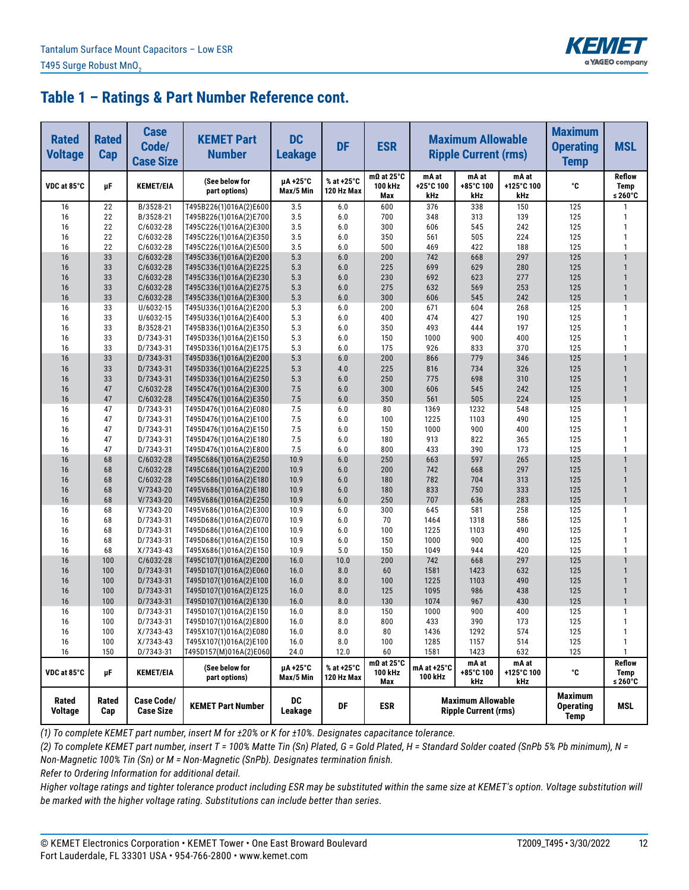

| <b>Rated</b><br><b>Voltage</b> | <b>Rated</b><br>Cap | <b>Case</b><br>Code/<br><b>Case Size</b> | <b>KEMET Part</b><br><b>Number</b>               | <b>DC</b><br><b>Leakage</b> | <b>DF</b>                | <b>ESR</b>                          | <b>Maximum Allowable</b><br><b>Ripple Current (rms)</b><br>mA at<br>mA at |                                                         |                            | <b>Maximum</b><br><b>Operating</b><br><b>Temp</b> | <b>MSL</b>                       |
|--------------------------------|---------------------|------------------------------------------|--------------------------------------------------|-----------------------------|--------------------------|-------------------------------------|---------------------------------------------------------------------------|---------------------------------------------------------|----------------------------|---------------------------------------------------|----------------------------------|
| VDC at 85°C                    | μF                  | <b>KEMET/EIA</b>                         | (See below for<br>part options)                  | µA+25°C<br>Max/5 Min        | % at +25°C<br>120 Hz Max | $m\Omega$ at 25°C<br>100 kHz<br>Max | +25°C 100<br>kHz                                                          | +85°C 100<br>kHz                                        | mA at<br>+125°C 100<br>kHz | °C                                                | <b>Reflow</b><br>Temp<br>≤ 260°C |
| 16                             | 22                  | B/3528-21                                | T495B226(1)016A(2)E600                           | 3.5                         | 6.0                      | 600                                 | 376                                                                       | 338                                                     | 150                        | 125                                               | $\mathbf{1}$                     |
| 16                             | 22                  | B/3528-21                                | T495B226(1)016A(2)E700                           | 3.5                         | 6.0                      | 700                                 | 348                                                                       | 313                                                     | 139                        | 125                                               | $\mathbf{1}$                     |
| 16                             | 22                  | C/6032-28                                | T495C226(1)016A(2)E300                           | 3.5                         | 6.0                      | 300                                 | 606                                                                       | 545                                                     | 242                        | 125                                               | $\mathbf{1}$                     |
| 16                             | 22                  | C/6032-28                                | T495C226(1)016A(2)E350                           | 3.5                         | 6.0                      | 350                                 | 561                                                                       | 505                                                     | 224                        | 125                                               | $\mathbf{1}$                     |
| 16                             | 22                  | C/6032-28                                | T495C226(1)016A(2)E500                           | 3.5                         | 6.0                      | 500                                 | 469                                                                       | 422                                                     | 188                        | 125                                               | 1                                |
| 16                             | 33                  | C/6032-28                                | T495C336(1)016A(2)E200                           | 5.3                         | 6.0                      | 200                                 | 742                                                                       | 668                                                     | 297                        | 125                                               | $\mathbf{1}$                     |
| 16                             | 33                  | C/6032-28                                | T495C336(1)016A(2)E225                           | 5.3                         | 6.0                      | 225                                 | 699                                                                       | 629                                                     | 280<br>277                 | 125<br>125                                        |                                  |
| 16<br>16                       | 33<br>33            | C/6032-28<br>C/6032-28                   | T495C336(1)016A(2)E230<br>T495C336(1)016A(2)E275 | 5.3<br>5.3                  | 6.0<br>6.0               | 230<br>275                          | 692<br>632                                                                | 623<br>569                                              | 253                        | 125                                               | $\mathbf{1}$                     |
| 16                             | 33                  | C/6032-28                                | T495C336(1)016A(2)E300                           | 5.3                         | 6.0                      | 300                                 | 606                                                                       | 545                                                     | 242                        | 125                                               | $\mathbf{1}$                     |
| 16                             | 33                  | U/6032-15                                | T495U336(1)016A(2)E200                           | 5.3                         | 6.0                      | 200                                 | 671                                                                       | 604                                                     | 268                        | 125                                               | $\mathbf{1}$                     |
| 16                             | 33                  | U/6032-15                                | T495U336(1)016A(2)E400                           | 5.3                         | 6.0                      | 400                                 | 474                                                                       | 427                                                     | 190                        | 125                                               | $\mathbf{1}$                     |
| 16                             | 33                  | B/3528-21                                | T495B336(1)016A(2)E350                           | 5.3                         | 6.0                      | 350                                 | 493                                                                       | 444                                                     | 197                        | 125                                               | 1                                |
| 16                             | 33                  | D/7343-31                                | T495D336(1)016A(2)E150                           | 5.3                         | 6.0                      | 150                                 | 1000                                                                      | 900                                                     | 400                        | 125                                               | $\mathbf{1}$                     |
| 16                             | 33                  | D/7343-31                                | T495D336(1)016A(2)E175                           | 5.3                         | 6.0                      | 175                                 | 926                                                                       | 833                                                     | 370                        | 125                                               | $\mathbf{1}$                     |
| 16                             | 33                  | D/7343-31                                | T495D336(1)016A(2)E200                           | 5.3                         | 6.0                      | 200                                 | 866                                                                       | 779                                                     | 346                        | 125                                               |                                  |
| 16                             | 33                  | D/7343-31                                | T495D336(1)016A(2)E225                           | 5.3                         | 4.0                      | 225                                 | 816                                                                       | 734                                                     | 326                        | 125                                               | $\mathbf{1}$                     |
| 16                             | 33                  | D/7343-31                                | T495D336(1)016A(2)E250                           | 5.3                         | 6.0                      | 250                                 | 775                                                                       | 698                                                     | 310                        | 125                                               | $\mathbf{1}$                     |
| 16                             | 47                  | C/6032-28                                | T495C476(1)016A(2)E300                           | 7.5                         | 6.0                      | 300                                 | 606                                                                       | 545                                                     | 242                        | 125                                               | $\mathbf{1}$                     |
| 16                             | 47                  | C/6032-28                                | T495C476(1)016A(2)E350                           | 7.5                         | 6.0                      | 350                                 | 561                                                                       | 505                                                     | 224                        | 125                                               | $\mathbf{1}$                     |
| 16                             | 47                  | D/7343-31                                | T495D476(1)016A(2)E080                           | 7.5                         | 6.0                      | 80                                  | 1369                                                                      | 1232                                                    | 548                        | 125                                               | 1                                |
| 16                             | 47                  | D/7343-31                                | T495D476(1)016A(2)E100                           | 7.5                         | 6.0                      | 100                                 | 1225                                                                      | 1103                                                    | 490                        | 125                                               | 1                                |
| 16                             | 47                  | D/7343-31                                | T495D476(1)016A(2)E150                           | 7.5                         | 6.0                      | 150                                 | 1000                                                                      | 900                                                     | 400                        | 125                                               | 1                                |
| 16                             | 47                  | D/7343-31                                | T495D476(1)016A(2)E180                           | 7.5                         | 6.0                      | 180                                 | 913                                                                       | 822                                                     | 365                        | 125                                               | $\mathbf{1}$                     |
| 16                             | 47                  | D/7343-31                                | T495D476(1)016A(2)E800                           | 7.5                         | 6.0                      | 800                                 | 433                                                                       | 390                                                     | 173                        | 125                                               | 1                                |
| 16                             | 68                  | C/6032-28                                | T495C686(1)016A(2)E250                           | 10.9                        | 6.0                      | 250                                 | 663                                                                       | 597                                                     | 265                        | 125                                               |                                  |
| 16                             | 68                  | C/6032-28                                | T495C686(1)016A(2)E200                           | 10.9                        | 6.0                      | 200                                 | 742                                                                       | 668                                                     | 297                        | 125                                               | $\mathbf{1}$                     |
| 16                             | 68                  | C/6032-28                                | T495C686(1)016A(2)E180                           | 10.9                        | 6.0                      | 180                                 | 782                                                                       | 704                                                     | 313                        | 125                                               |                                  |
| 16                             | 68                  | $V/7343-20$                              | T495V686(1)016A(2)E180                           | 10.9                        | 6.0                      | 180                                 | 833                                                                       | 750                                                     | 333                        | 125                                               | $\mathbf{1}$<br>$\mathbf{1}$     |
| 16                             | 68                  | V/7343-20                                | T495V686(1)016A(2)E250                           | 10.9                        | 6.0                      | 250                                 | 707                                                                       | 636                                                     | 283                        | 125                                               | 1                                |
| 16                             | 68                  | V/7343-20                                | T495V686(1)016A(2)E300                           | 10.9                        | 6.0                      | 300                                 | 645                                                                       | 581                                                     | 258                        | 125                                               | 1                                |
| 16<br>16                       | 68<br>68            | D/7343-31<br>D/7343-31                   | T495D686(1)016A(2)E070<br>T495D686(1)016A(2)E100 | 10.9<br>10.9                | 6.0<br>6.0               | 70<br>100                           | 1464<br>1225                                                              | 1318<br>1103                                            | 586<br>490                 | 125<br>125                                        | 1                                |
| 16                             | 68                  | D/7343-31                                | T495D686(1)016A(2)E150                           | 10.9                        | 6.0                      | 150                                 | 1000                                                                      | 900                                                     | 400                        | 125                                               | 1                                |
| 16                             | 68                  | $X/7343-43$                              | T495X686(1)016A(2)E150                           | 10.9                        | 5.0                      | 150                                 | 1049                                                                      | 944                                                     | 420                        | 125                                               | 1                                |
| 16                             | 100                 | C/6032-28                                | T495C107(1)016A(2)E200                           | 16.0                        | 10.0                     | 200                                 | 742                                                                       | 668                                                     | 297                        | 125                                               |                                  |
| 16                             | 100                 | D/7343-31                                | T495D107(1)016A(2)E060                           | 16.0                        | 8.0                      | 60                                  | 1581                                                                      | 1423                                                    | 632                        | 125                                               | $\mathbf{1}$                     |
| 16                             | 100                 | D/7343-31                                | T495D107(1)016A(2)E100                           | 16.0                        | 8.0                      | 100                                 | 1225                                                                      | 1103                                                    | 490                        | 125                                               | $\mathbf{1}$                     |
| 16                             | 100                 | D/7343-31                                | T495D107(1)016A(2)E125                           | 16.0                        | 8.0                      | 125                                 | 1095                                                                      | 986                                                     | 438                        | 125                                               | $\mathbf{1}$                     |
| 16                             | 100                 | D/7343-31                                | T495D107(1)016A(2)E130                           | 16.0                        | 8.0                      | 130                                 | 1074                                                                      | 967                                                     | 430                        | 125                                               | $\mathbf{1}$                     |
| 16                             | 100                 | D/7343-31                                | T495D107(1)016A(2)E150                           | 16.0                        | 8.0                      | 150                                 | 1000                                                                      | 900                                                     | 400                        | 125                                               | $\mathbf{1}$                     |
| 16                             | 100                 | D/7343-31                                | T495D107(1)016A(2)E800                           | 16.0                        | 8.0                      | 800                                 | 433                                                                       | 390                                                     | 173                        | 125                                               | $\mathbf{1}$                     |
| 16                             | 100                 | $X/7343-43$                              | T495X107(1)016A(2)E080                           | 16.0                        | 8.0                      | 80                                  | 1436                                                                      | 1292                                                    | 574                        | 125                                               | $\mathbf{1}$                     |
| 16                             | 100                 | X/7343-43                                | T495X107(1)016A(2)E100                           | 16.0                        | 8.0                      | 100                                 | 1285                                                                      | 1157                                                    | 514                        | 125                                               | $\mathbf{1}$                     |
| 16                             | 150                 | D/7343-31                                | T495D157(M)016A(2)E060                           | 24.0                        | 12.0                     | 60                                  | 1581                                                                      | 1423                                                    | 632                        | 125                                               | $\mathbf{1}$                     |
| VDC at 85°C                    | μF                  | <b>KEMET/EIA</b>                         | (See below for<br>part options)                  | µA +25°C<br>Max/5 Min       | % at +25°C<br>120 Hz Max | $m\Omega$ at 25°C<br>100 kHz<br>Max | mA at +25°C<br>100 kHz                                                    | mA at<br>+85°C 100<br>kHz                               | mA at<br>+125°C 100<br>kHz | ۰c                                                | <b>Reflow</b><br>Temp<br>≤ 260°C |
| Rated<br>Voltage               | Rated<br>Cap        | <b>Case Code/</b><br><b>Case Size</b>    | <b>KEMET Part Number</b>                         | <b>DC</b><br>Leakage        | DF                       | <b>ESR</b>                          |                                                                           | <b>Maximum Allowable</b><br><b>Ripple Current (rms)</b> |                            | <b>Maximum</b><br><b>Operating</b><br>Temp        | MSL                              |

*(1) To complete KEMET part number, insert M for ±20% or K for ±10%. Designates capacitance tolerance.*

*(2) To complete KEMET part number, insert T = 100% Matte Tin (Sn) Plated, G = Gold Plated, H = Standard Solder coated (SnPb 5% Pb minimum), N = Non-Magnetic 100% Tin (Sn) or M = Non-Magnetic (SnPb). Designates termination finish.*

*Refer to Ordering Information for additional detail.*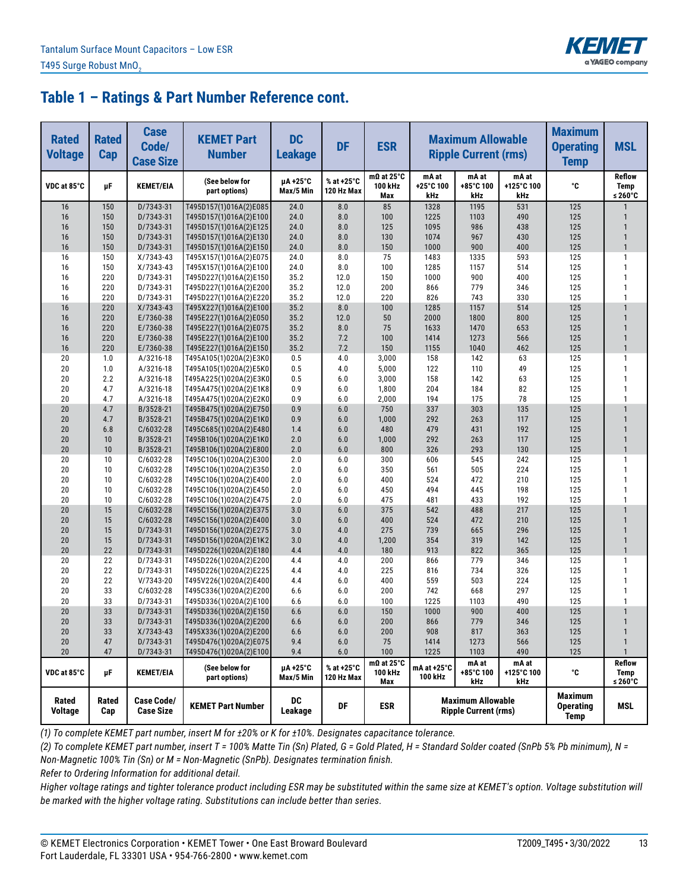

| <b>Rated</b><br><b>Voltage</b> | <b>Rated</b><br>Cap | <b>Case</b><br>Code/<br><b>Case Size</b> | <b>KEMET Part</b><br><b>Number</b>               | <b>DC</b><br><b>Leakage</b> | <b>DF</b>                | <b>ESR</b>                          | <b>Maximum Allowable</b><br><b>Ripple Current (rms)</b>                           |                                                         |                            | <b>Maximum</b><br><b>Operating</b><br><b>Temp</b> | <b>MSL</b>                              |
|--------------------------------|---------------------|------------------------------------------|--------------------------------------------------|-----------------------------|--------------------------|-------------------------------------|-----------------------------------------------------------------------------------|---------------------------------------------------------|----------------------------|---------------------------------------------------|-----------------------------------------|
| VDC at 85°C                    | μF                  | <b>KEMET/EIA</b>                         | (See below for<br>part options)                  | µA +25°C<br>Max/5 Min       | % at +25°C<br>120 Hz Max | $m\Omega$ at 25°C<br>100 kHz<br>Max | mA at<br>+25°C 100<br>kHz                                                         | mA at<br>+85°C 100<br>kHz                               | mA at<br>+125°C 100<br>kHz | ۰c                                                | <b>Reflow</b><br><b>Temp</b><br>≤ 260°C |
| 16                             | 150                 | D/7343-31                                | T495D157(1)016A(2)E085                           | 24.0                        | 8.0                      | 85                                  | 1328                                                                              | 1195                                                    | 531                        | 125                                               |                                         |
| 16                             | 150                 | D/7343-31                                | T495D157(1)016A(2)E100                           | 24.0                        | 8.0                      | 100                                 | 1225                                                                              | 1103                                                    | 490                        | 125                                               | 1                                       |
| 16                             | 150                 | D/7343-31                                | T495D157(1)016A(2)E125                           | 24.0                        | 8.0                      | 125                                 | 1095                                                                              | 986                                                     | 438                        | 125                                               | $\mathbf{1}$                            |
| 16                             | 150                 | D/7343-31                                | T495D157(1)016A(2)E130                           | 24.0                        | 8.0                      | 130                                 | 1074                                                                              | 967                                                     | 430                        | 125                                               | $\mathbf{1}$                            |
| 16                             | 150                 | D/7343-31                                | T495D157(1)016A(2)E150                           | 24.0                        | 8.0                      | 150                                 | 1000                                                                              | 900                                                     | 400                        | 125                                               | $\mathbf{1}$                            |
| 16                             | 150                 | $X/7343-43$                              | T495X157(1)016A(2)E075                           | 24.0                        | 8.0                      | 75                                  | 1483                                                                              | 1335                                                    | 593                        | 125                                               | 1                                       |
| 16                             | 150                 | X/7343-43                                | T495X157(1)016A(2)E100                           | 24.0                        | 8.0                      | 100                                 | 1285                                                                              | 1157                                                    | 514                        | 125                                               | $\mathbf{1}$                            |
| 16                             | 220                 | D/7343-31                                | T495D227(1)016A(2)E150                           | 35.2                        | 12.0                     | 150                                 | 1000                                                                              | 900                                                     | 400                        | 125                                               | $\mathbf{1}$                            |
| 16<br>16                       | 220<br>220          | D/7343-31                                | T495D227(1)016A(2)E200                           | 35.2                        | 12.0                     | 200<br>220                          | 866                                                                               | 779<br>743                                              | 346                        | 125                                               | $\mathbf{1}$<br>$\mathbf{1}$            |
| 16                             | 220                 | D/7343-31<br>$X/7343-43$                 | T495D227(1)016A(2)E220<br>T495X227(1)016A(2)E100 | 35.2<br>35.2                | 12.0<br>8.0              | 100                                 | 826<br>1285                                                                       | 1157                                                    | 330<br>514                 | 125<br>125                                        | $\mathbf{1}$                            |
| 16                             | 220                 | E/7360-38                                | T495E227(1)016A(2)E050                           | 35.2                        | 12.0                     | 50                                  | 2000                                                                              | 1800                                                    | 800                        | 125                                               | $\mathbf{1}$                            |
| 16                             | 220                 | E/7360-38                                | T495E227(1)016A(2)E075                           | 35.2                        | 8.0                      | 75                                  | 1633                                                                              | 1470                                                    | 653                        | 125                                               | $\mathbf{1}$                            |
| 16                             | 220                 | E/7360-38                                | T495E227(1)016A(2)E100                           | 35.2                        | 7.2                      | 100                                 | 1414                                                                              | 1273                                                    | 566                        | 125                                               | $\mathbf{1}$                            |
| 16                             | 220                 | E/7360-38                                | T495E227(1)016A(2)E150                           | 35.2                        | 7.2                      | 150                                 | 1155                                                                              | 1040                                                    | 462                        | 125                                               | $\mathbf{1}$                            |
| 20                             | 1.0                 | A/3216-18                                | T495A105(1)020A(2)E3K0                           | 0.5                         | 4.0                      | 3,000                               | 158                                                                               | 142                                                     | 63                         | 125                                               | 1                                       |
| 20                             | 1.0                 | A/3216-18                                | T495A105(1)020A(2)E5K0                           | 0.5                         | 4.0                      | 5,000                               | 122                                                                               | 110                                                     | 49                         | 125                                               | $\mathbf{1}$                            |
| 20                             | 2.2                 | A/3216-18                                | T495A225(1)020A(2)E3K0                           | 0.5                         | 6.0                      | 3,000                               | 158                                                                               | 142                                                     | 63                         | 125                                               | $\mathbf{1}$                            |
| 20                             | 4.7                 | A/3216-18                                | T495A475(1)020A(2)E1K8                           | 0.9                         | 6.0                      | 1,800                               | 204                                                                               | 184                                                     | 82                         | 125                                               | 1                                       |
| 20                             | 4.7                 | A/3216-18                                | T495A475(1)020A(2)E2K0                           | 0.9                         | 6.0                      | 2,000                               | 194                                                                               | 175                                                     | 78                         | 125                                               | $\mathbf{1}$                            |
| 20                             | 4.7                 | B/3528-21                                | T495B475(1)020A(2)E750                           | 0.9                         | 6.0                      | 750                                 | 337                                                                               | 303                                                     | 135                        | 125                                               | $\mathbf{1}$                            |
| 20                             | 4.7                 | B/3528-21                                | T495B475(1)020A(2)E1K0                           | 0.9                         | 6.0                      | 1,000                               | 292                                                                               | 263                                                     | 117                        | 125                                               | $\mathbf{1}$                            |
| 20                             | 6.8                 | C/6032-28                                | T495C685(1)020A(2)E480                           | 1.4                         | 6.0                      | 480                                 | 479                                                                               | 431                                                     | 192                        | 125                                               | $\mathbf{1}$                            |
| 20                             | 10                  | B/3528-21                                | T495B106(1)020A(2)E1K0                           | 2.0                         | 6.0                      | 1,000                               | 292                                                                               | 263                                                     | 117                        | 125                                               | $\mathbf{1}$                            |
| 20                             | 10                  | B/3528-21                                | T495B106(1)020A(2)E800                           | 2.0                         | 6.0                      | 800                                 | 326                                                                               | 293                                                     | 130                        | 125                                               | $\mathbf{1}$                            |
| 20                             | 10                  | C/6032-28                                | T495C106(1)020A(2)E300                           | 2.0                         | 6.0                      | 300                                 | 606                                                                               | 545                                                     | 242                        | 125                                               | $\mathbf{1}$                            |
| 20                             | 10                  | C/6032-28                                | T495C106(1)020A(2)E350                           | 2.0                         | 6.0                      | 350                                 | 561                                                                               | 505                                                     | 224                        | 125                                               | $\mathbf{1}$                            |
| 20                             | 10                  | C/6032-28                                | T495C106(1)020A(2)E400                           | 2.0                         | 6.0                      | 400                                 | 524                                                                               | 472                                                     | 210                        | 125                                               | $\mathbf{1}$                            |
| 20                             | 10                  | C/6032-28                                | T495C106(1)020A(2)E450                           | 2.0                         | 6.0                      | 450                                 | 494                                                                               | 445                                                     | 198                        | 125                                               | $\mathbf{1}$                            |
| 20                             | 10                  | C/6032-28                                | T495C106(1)020A(2)E475                           | 2.0                         | 6.0                      | 475                                 | 481                                                                               | 433                                                     | 192                        | 125                                               | $\mathbf{1}$                            |
| 20                             | 15                  | C/6032-28                                | T495C156(1)020A(2)E375                           | 3.0                         | 6.0                      | 375                                 | 542                                                                               | 488                                                     | 217                        | 125                                               | $\mathbf{1}$                            |
| 20                             | 15                  | C/6032-28                                | T495C156(1)020A(2)E400                           | 3.0                         | 6.0                      | 400                                 | 524                                                                               | 472                                                     | 210                        | 125                                               | $\mathbf{1}$<br>$\mathbf{1}$            |
| 20<br>20                       | 15<br>15            | D/7343-31<br>D/7343-31                   | T495D156(1)020A(2)E275                           | 3.0<br>3.0                  | 4.0<br>4.0               | 275<br>1,200                        | 739<br>354                                                                        | 665<br>319                                              | 296<br>142                 | 125<br>125                                        | $\mathbf{1}$                            |
| 20                             | 22                  | D/7343-31                                | T495D156(1)020A(2)E1K2<br>T495D226(1)020A(2)E180 | 4.4                         | 4.0                      | 180                                 | 913                                                                               | 822                                                     | 365                        | 125                                               | $\mathbf{1}$                            |
| 20                             | 22                  | D/7343-31                                | T495D226(1)020A(2)E200                           | 4.4                         | 4.0                      | 200                                 | 866                                                                               | 779                                                     | 346                        | 125                                               | $\mathbf{1}$                            |
| 20                             | 22                  | D/7343-31                                | T495D226(1)020A(2)E225                           | 4.4                         | 4.0                      | 225                                 | 816                                                                               | 734                                                     | 326                        | 125                                               | $\mathbf{1}$                            |
| 20                             | 22                  | V/7343-20                                | T495V226(1)020A(2)E400                           | 4.4                         | 6.0                      | 400                                 | 559                                                                               | 503                                                     | 224                        | 125                                               | $\mathbf{1}$                            |
| 20                             | 33                  | C/6032-28                                | T495C336(1)020A(2)E200                           | 6.6                         | 6.0                      | 200                                 | 742                                                                               | 668                                                     | 297                        | 125                                               | 1                                       |
| 20                             | 33                  | D/7343-31                                | T495D336(1)020A(2)E100                           | 6.6                         | 6.0                      | 100                                 | 1225                                                                              | 1103                                                    | 490                        | 125                                               | 1                                       |
| 20                             | 33                  | D/7343-31                                | T495D336(1)020A(2)E150                           | 6.6                         | 6.0                      | 150                                 | 1000                                                                              | 900                                                     | 400                        | 125                                               | $\mathbf{1}$                            |
| 20                             | 33                  | D/7343-31                                | T495D336(1)020A(2)E200                           | 6.6                         | 6.0                      | 200                                 | 866                                                                               | 779                                                     | 346                        | 125                                               | $\mathbf{1}$                            |
| 20                             | 33                  | $X/7343-43$                              | T495X336(1)020A(2)E200                           | 6.6                         | 6.0                      | 200                                 | 908                                                                               | 817                                                     | 363                        | 125                                               | $\mathbf{1}$                            |
| 20                             | 47                  | D/7343-31                                | T495D476(1)020A(2)E075                           | 9.4                         | 6.0                      | 75                                  | 1414                                                                              | 1273                                                    | 566                        | 125                                               | $\mathbf{1}$                            |
| 20                             | 47                  | D/7343-31                                | T495D476(1)020A(2)E100                           | 9.4                         | $6.0\,$                  | 100                                 | 1225                                                                              | 1103                                                    | 490                        | 125                                               | $\mathbf{1}$                            |
| VDC at 85°C                    | μF                  | <b>KEMET/EIA</b>                         | (See below for<br>part options)                  | µA+25°C<br>Max/5 Min        | % at +25°C<br>120 Hz Max | $m\Omega$ at 25°C<br>100 kHz<br>Max | mA at<br>mA at<br>mA at +25°C<br>+125°C 100<br>+85°C 100<br>100 kHz<br>kHz<br>kHz |                                                         | ۰c                         | Reflow<br>Temp<br>≤ 260 $°C$                      |                                         |
| Rated<br>Voltage               | Rated<br>Cap        | <b>Case Code/</b><br><b>Case Size</b>    | <b>KEMET Part Number</b>                         | DC<br>Leakage               | DF                       | <b>ESR</b>                          |                                                                                   | <b>Maximum Allowable</b><br><b>Ripple Current (rms)</b> |                            | <b>Maximum</b><br><b>Operating</b><br><b>Temp</b> | MSL                                     |

*(1) To complete KEMET part number, insert M for ±20% or K for ±10%. Designates capacitance tolerance.*

*(2) To complete KEMET part number, insert T = 100% Matte Tin (Sn) Plated, G = Gold Plated, H = Standard Solder coated (SnPb 5% Pb minimum), N = Non-Magnetic 100% Tin (Sn) or M = Non-Magnetic (SnPb). Designates termination finish.*

*Refer to Ordering Information for additional detail.*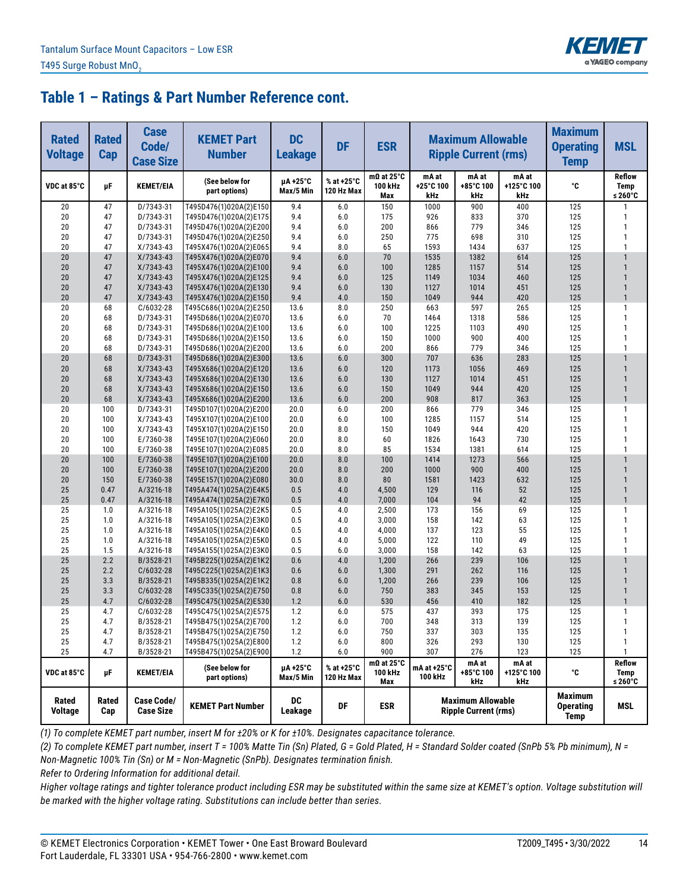

| <b>Rated</b><br><b>Voltage</b> | <b>Rated</b><br>Cap | <b>Case</b><br>Code/<br><b>Case Size</b> | <b>KEMET Part</b><br><b>Number</b>               | <b>DC</b><br><b>Leakage</b> | <b>DF</b>                | <b>ESR</b>                          | <b>Maximum Allowable</b><br><b>Ripple Current (rms)</b> |                                                         |                            | <b>Maximum</b><br><b>Operating</b><br><b>Temp</b> | <b>MSL</b>                       |
|--------------------------------|---------------------|------------------------------------------|--------------------------------------------------|-----------------------------|--------------------------|-------------------------------------|---------------------------------------------------------|---------------------------------------------------------|----------------------------|---------------------------------------------------|----------------------------------|
| VDC at 85°C                    | μF                  | <b>KEMET/EIA</b>                         | (See below for<br>part options)                  | µA+25°C<br>Max/5 Min        | % at +25°C<br>120 Hz Max | $m\Omega$ at 25°C<br>100 kHz<br>Max | mA at<br>+25°C 100<br>kHz                               | mA at<br>+85°C 100<br>kHz                               | mA at<br>+125°C 100<br>kHz | °C                                                | <b>Reflow</b><br>Temp<br>≤ 260°C |
| 20                             | 47                  | D/7343-31                                | T495D476(1)020A(2)E150                           | 9.4                         | 6.0                      | 150                                 | 1000                                                    | 900                                                     | 400                        | 125                                               | 1                                |
| 20                             | 47                  | D/7343-31                                | T495D476(1)020A(2)E175                           | 9.4                         | $6.0\,$                  | 175                                 | 926                                                     | 833                                                     | 370                        | 125                                               | $\mathbf{1}$                     |
| 20                             | 47                  | D/7343-31                                | T495D476(1)020A(2)E200                           | 9.4                         | 6.0                      | 200                                 | 866                                                     | 779                                                     | 346                        | 125                                               | $\mathbf{1}$                     |
| 20                             | 47                  | D/7343-31                                | T495D476(1)020A(2)E250                           | 9.4                         | 6.0                      | 250                                 | 775                                                     | 698                                                     | 310                        | 125                                               | $\mathbf{1}$                     |
| 20                             | 47                  | X/7343-43                                | T495X476(1)020A(2)E065                           | 9.4                         | 8.0                      | 65                                  | 1593                                                    | 1434                                                    | 637                        | 125                                               | $\mathbf{1}$                     |
| 20                             | 47                  | $X/7343-43$                              | T495X476(1)020A(2)E070                           | 9.4                         | 6.0                      | 70                                  | 1535                                                    | 1382                                                    | 614                        | 125                                               |                                  |
| 20                             | 47                  | X/7343-43                                | T495X476(1)020A(2)E100                           | 9.4                         | 6.0                      | 100                                 | 1285                                                    | 1157                                                    | 514                        | 125                                               | $\mathbf{1}$                     |
| 20                             | 47                  | $X/7343-43$                              | T495X476(1)020A(2)E125                           | 9.4                         | 6.0                      | 125                                 | 1149                                                    | 1034                                                    | 460                        | 125                                               | $\mathbf{1}$                     |
| 20<br>20                       | 47<br>47            | X/7343-43<br>X/7343-43                   | T495X476(1)020A(2)E130                           | 9.4<br>9.4                  | 6.0<br>4.0               | 130<br>150                          | 1127<br>1049                                            | 1014<br>944                                             | 451<br>420                 | 125<br>125                                        | $\mathbf{1}$                     |
| 20                             | 68                  | C/6032-28                                | T495X476(1)020A(2)E150<br>T495C686(1)020A(2)E250 | 13.6                        | 8.0                      | 250                                 | 663                                                     | 597                                                     | 265                        | 125                                               | $\mathbf{1}$                     |
| 20                             | 68                  | D/7343-31                                | T495D686(1)020A(2)E070                           | 13.6                        | 6.0                      | 70                                  | 1464                                                    | 1318                                                    | 586                        | 125                                               | $\mathbf{1}$                     |
| 20                             | 68                  | D/7343-31                                | T495D686(1)020A(2)E100                           | 13.6                        | 6.0                      | 100                                 | 1225                                                    | 1103                                                    | 490                        | 125                                               | 1                                |
| 20                             | 68                  | D/7343-31                                | T495D686(1)020A(2)E150                           | 13.6                        | 6.0                      | 150                                 | 1000                                                    | 900                                                     | 400                        | 125                                               | $\mathbf{1}$                     |
| 20                             | 68                  | D/7343-31                                | T495D686(1)020A(2)E200                           | 13.6                        | 6.0                      | 200                                 | 866                                                     | 779                                                     | 346                        | 125                                               | $\mathbf{1}$                     |
| 20                             | 68                  | D/7343-31                                | T495D686(1)020A(2)E300                           | 13.6                        | 6.0                      | 300                                 | 707                                                     | 636                                                     | 283                        | 125                                               |                                  |
| 20                             | 68                  | X/7343-43                                | T495X686(1)020A(2)E120                           | 13.6                        | 6.0                      | 120                                 | 1173                                                    | 1056                                                    | 469                        | 125                                               | $\mathbf{1}$                     |
| 20                             | 68                  | $X/7343-43$                              | T495X686(1)020A(2)E130                           | 13.6                        | 6.0                      | 130                                 | 1127                                                    | 1014                                                    | 451                        | 125                                               | $\mathbf{1}$                     |
| 20                             | 68                  | X/7343-43                                | T495X686(1)020A(2)E150                           | 13.6                        | 6.0                      | 150                                 | 1049                                                    | 944                                                     | 420                        | 125                                               | $\mathbf{1}$                     |
| 20                             | 68                  | X/7343-43                                | T495X686(1)020A(2)E200                           | 13.6                        | 6.0                      | 200                                 | 908                                                     | 817                                                     | 363                        | 125                                               | $\mathbf{1}$                     |
| 20                             | 100                 | D/7343-31                                | T495D107(1)020A(2)E200                           | 20.0                        | 6.0                      | 200                                 | 866                                                     | 779                                                     | 346                        | 125                                               | 1                                |
| 20                             | 100                 | X/7343-43                                | T495X107(1)020A(2)E100                           | 20.0                        | 6.0                      | 100                                 | 1285                                                    | 1157                                                    | 514                        | 125                                               | 1                                |
| 20                             | 100                 | X/7343-43                                | T495X107(1)020A(2)E150                           | 20.0                        | 8.0                      | 150                                 | 1049                                                    | 944                                                     | 420                        | 125                                               | 1                                |
| 20                             | 100                 | E/7360-38                                | T495E107(1)020A(2)E060                           | 20.0                        | 8.0                      | 60                                  | 1826                                                    | 1643                                                    | 730                        | 125                                               | $\mathbf{1}$                     |
| 20                             | 100                 | E/7360-38                                | T495E107(1)020A(2)E085                           | 20.0                        | 8.0                      | 85                                  | 1534                                                    | 1381                                                    | 614                        | 125                                               | 1                                |
| 20                             | 100                 | E/7360-38                                | T495E107(1)020A(2)E100                           | 20.0                        | 8.0                      | 100                                 | 1414                                                    | 1273                                                    | 566                        | 125                                               |                                  |
| 20                             | 100                 | E/7360-38                                | T495E107(1)020A(2)E200                           | 20.0                        | 8.0                      | 200                                 | 1000                                                    | 900                                                     | 400                        | 125                                               | $\mathbf{1}$                     |
| 20                             | 150                 | E/7360-38                                | T495E157(1)020A(2)E080                           | 30.0                        | 8.0                      | 80                                  | 1581                                                    | 1423                                                    | 632                        | 125                                               |                                  |
| 25                             | 0.47                | A/3216-18                                | T495A474(1)025A(2)E4K5                           | 0.5                         | 4.0                      | 4,500                               | 129                                                     | 116                                                     | 52                         | 125                                               | $\mathbf{1}$                     |
| 25                             | 0.47                | A/3216-18                                | T495A474(1)025A(2)E7K0                           | 0.5                         | 4.0                      | 7,000                               | 104                                                     | 94                                                      | 42                         | 125                                               | $\mathbf{1}$                     |
| 25                             | 1.0                 | A/3216-18                                | T495A105(1)025A(2)E2K5                           | 0.5                         | 4.0                      | 2,500                               | 173                                                     | 156                                                     | 69                         | 125                                               | 1                                |
| 25                             | 1.0                 | A/3216-18                                | T495A105(1)025A(2)E3K0                           | 0.5                         | 4.0                      | 3,000                               | 158                                                     | 142                                                     | 63                         | 125                                               | $\mathbf{1}$                     |
| 25                             | 1.0                 | A/3216-18                                | T495A105(1)025A(2)E4K0                           | 0.5                         | 4.0                      | 4,000                               | 137                                                     | 123                                                     | 55                         | 125                                               | $\mathbf{1}$                     |
| 25                             | 1.0                 | A/3216-18                                | T495A105(1)025A(2)E5K0                           | 0.5                         | 4.0                      | 5,000                               | 122                                                     | 110                                                     | 49                         | 125                                               | 1                                |
| 25                             | 1.5                 | A/3216-18                                | T495A155(1)025A(2)E3K0                           | 0.5                         | 6.0                      | 3,000                               | 158                                                     | 142                                                     | 63                         | 125                                               | 1                                |
| 25                             | 2.2                 | B/3528-21                                | T495B225(1)025A(2)E1K2                           | 0.6                         | 4.0                      | 1,200                               | 266                                                     | 239                                                     | 106                        | 125                                               | $\mathbf{1}$                     |
| 25<br>25                       | 2.2<br>3.3          | C/6032-28<br>B/3528-21                   | T495C225(1)025A(2)E1K3<br>T495B335(1)025A(2)E1K2 | 0.6<br>0.8                  | 6.0<br>6.0               | 1,300<br>1,200                      | 291<br>266                                              | 262<br>239                                              | 116<br>106                 | 125<br>125                                        | $\mathbf{1}$                     |
| 25                             | 3.3                 | C/6032-28                                | T495C335(1)025A(2)E750                           | 0.8                         | 6.0                      | 750                                 | 383                                                     | 345                                                     | 153                        | 125                                               | $\mathbf{1}$                     |
| 25                             | 4.7                 | C/6032-28                                | T495C475(1)025A(2)E530                           | 1.2                         | 6.0                      | 530                                 | 456                                                     | 410                                                     | 182                        | 125                                               | $\mathbf{1}$                     |
| 25                             | 4.7                 | C/6032-28                                | T495C475(1)025A(2)E575                           | 1.2                         | 6.0                      | 575                                 | 437                                                     | 393                                                     | 175                        | 125                                               | $\mathbf{1}$                     |
| 25                             | 4.7                 | B/3528-21                                | T495B475(1)025A(2)E700                           | 1.2                         | 6.0                      | 700                                 | 348                                                     | 313                                                     | 139                        | 125                                               | $\mathbf{1}$                     |
| 25                             | 4.7                 | B/3528-21                                | T495B475(1)025A(2)E750                           | 1.2                         | $6.0$                    | 750                                 | 337                                                     | 303                                                     | 135                        | 125                                               | 1                                |
| 25                             | 4.7                 | B/3528-21                                | T495B475(1)025A(2)E800                           | 1.2                         | 6.0                      | 800                                 | 326                                                     | 293                                                     | 130                        | 125                                               | 1                                |
| 25                             | 4.7                 | B/3528-21                                | T495B475(1)025A(2)E900                           | 1.2                         | 6.0                      | 900                                 | 307                                                     | 276                                                     | 123                        | 125                                               | 1                                |
| VDC at 85°C                    | μF                  | <b>KEMET/EIA</b>                         | (See below for<br>part options)                  | µA +25°C<br>Max/5 Min       | % at +25°C<br>120 Hz Max | $m\Omega$ at 25°C<br>100 kHz<br>Max | mA at +25°C<br>100 kHz                                  | mA at<br>+85°C 100<br>kHz                               | mA at<br>+125°C 100<br>kHz | ۰c                                                | <b>Reflow</b><br>Temp<br>≤ 260°C |
| Rated<br>Voltage               | Rated<br>Cap        | <b>Case Code/</b><br><b>Case Size</b>    | <b>KEMET Part Number</b>                         | <b>DC</b><br>Leakage        | DF                       | <b>ESR</b>                          |                                                         | <b>Maximum Allowable</b><br><b>Ripple Current (rms)</b> |                            | <b>Maximum</b><br><b>Operating</b><br><b>Temp</b> | MSL                              |

*(1) To complete KEMET part number, insert M for ±20% or K for ±10%. Designates capacitance tolerance.*

*(2) To complete KEMET part number, insert T = 100% Matte Tin (Sn) Plated, G = Gold Plated, H = Standard Solder coated (SnPb 5% Pb minimum), N = Non-Magnetic 100% Tin (Sn) or M = Non-Magnetic (SnPb). Designates termination finish.*

*Refer to Ordering Information for additional detail.*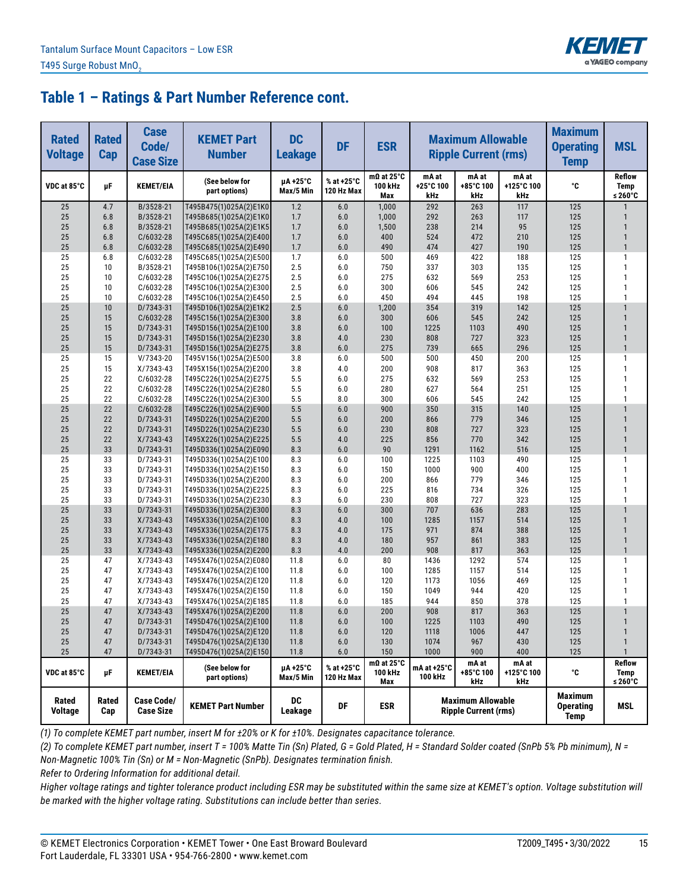

| <b>Rated</b><br><b>Voltage</b> | <b>Rated</b><br>Cap | <b>Case</b><br>Code/<br><b>Case Size</b> | <b>KEMET Part</b><br><b>Number</b>               | <b>DC</b><br><b>Leakage</b> | <b>DF</b>                | <b>ESR</b>                          | <b>Maximum Allowable</b><br><b>Ripple Current (rms)</b>                           |                           |                                                         | <b>Maximum</b><br><b>Operating</b><br><b>Temp</b> | <b>MSL</b>                              |
|--------------------------------|---------------------|------------------------------------------|--------------------------------------------------|-----------------------------|--------------------------|-------------------------------------|-----------------------------------------------------------------------------------|---------------------------|---------------------------------------------------------|---------------------------------------------------|-----------------------------------------|
| VDC at 85°C                    | μF                  | <b>KEMET/EIA</b>                         | (See below for<br>part options)                  | µA +25°C<br>Max/5 Min       | % at +25°C<br>120 Hz Max | $m\Omega$ at 25°C<br>100 kHz<br>Max | mA at<br>+25°C 100<br>kHz                                                         | mA at<br>+85°C 100<br>kHz | mA at<br>+125°C 100<br>kHz                              | °C                                                | <b>Reflow</b><br><b>Temp</b><br>≤ 260°C |
| 25                             | 4.7                 | B/3528-21                                | T495B475(1)025A(2)E1K0                           | 1.2                         | 6.0                      | 1,000                               | 292                                                                               | 263                       | 117                                                     | 125                                               |                                         |
| 25                             | 6.8                 | B/3528-21                                | T495B685(1)025A(2)E1K0                           | 1.7                         | 6.0                      | 1,000                               | 292                                                                               | 263                       | 117                                                     | 125                                               | 1                                       |
| 25                             | 6.8                 | B/3528-21                                | T495B685(1)025A(2)E1K5                           | 1.7                         | 6.0                      | 1,500                               | 238                                                                               | 214                       | 95                                                      | 125                                               | $\mathbf{1}$                            |
| 25                             | 6.8                 | C/6032-28                                | T495C685(1)025A(2)E400                           | 1.7                         | 6.0                      | 400                                 | 524                                                                               | 472                       | 210                                                     | 125                                               | $\mathbf{1}$                            |
| 25                             | 6.8                 | C/6032-28                                | T495C685(1)025A(2)E490                           | 1.7                         | 6.0                      | 490                                 | 474                                                                               | 427                       | 190                                                     | 125                                               | $\mathbf{1}$                            |
| 25<br>25                       | 6.8                 | $C/6032-28$                              | T495C685(1)025A(2)E500                           | 1.7                         | 6.0<br>6.0               | 500                                 | 469                                                                               | 422<br>303                | 188                                                     | 125                                               | 1<br>$\mathbf{1}$                       |
| 25                             | 10<br>10            | B/3528-21<br>$C/6032-28$                 | T495B106(1)025A(2)E750<br>T495C106(1)025A(2)E275 | 2.5<br>2.5                  | 6.0                      | 750<br>275                          | 337<br>632                                                                        | 569                       | 135<br>253                                              | 125<br>125                                        | $\mathbf{1}$                            |
| 25                             | 10                  | C/6032-28                                | T495C106(1)025A(2)E300                           | 2.5                         | 6.0                      | 300                                 | 606                                                                               | 545                       | 242                                                     | 125                                               | $\mathbf{1}$                            |
| 25                             | 10                  | C/6032-28                                | T495C106(1)025A(2)E450                           | 2.5                         | 6.0                      | 450                                 | 494                                                                               | 445                       | 198                                                     | 125                                               | $\mathbf{1}$                            |
| 25                             | 10                  | D/7343-31                                | T495D106(1)025A(2)E1K2                           | 2.5                         | 6.0                      | 1,200                               | 354                                                                               | 319                       | 142                                                     | 125                                               | $\mathbf{1}$                            |
| 25                             | 15                  | C/6032-28                                | T495C156(1)025A(2)E300                           | 3.8                         | 6.0                      | 300                                 | 606                                                                               | 545                       | 242                                                     | 125                                               | $\mathbf{1}$                            |
| 25                             | 15                  | D/7343-31                                | T495D156(1)025A(2)E100                           | 3.8                         | 6.0                      | 100                                 | 1225                                                                              | 1103                      | 490                                                     | 125                                               | $\mathbf{1}$                            |
| 25                             | 15                  | D/7343-31                                | T495D156(1)025A(2)E230                           | 3.8                         | 4.0                      | 230                                 | 808                                                                               | 727                       | 323                                                     | 125                                               | $\mathbf{1}$                            |
| 25                             | 15                  | D/7343-31                                | T495D156(1)025A(2)E275                           | 3.8                         | 6.0                      | 275                                 | 739                                                                               | 665                       | 296                                                     | 125                                               | $\mathbf{1}$                            |
| 25                             | 15                  | V/7343-20                                | T495V156(1)025A(2)E500                           | 3.8                         | 6.0                      | 500                                 | 500                                                                               | 450                       | 200                                                     | 125                                               | 1                                       |
| 25                             | 15                  | X/7343-43                                | T495X156(1)025A(2)E200                           | 3.8                         | 4.0                      | 200                                 | 908                                                                               | 817                       | 363                                                     | 125                                               | $\mathbf{1}$                            |
| 25                             | 22                  | C/6032-28                                | T495C226(1)025A(2)E275                           | 5.5                         | 6.0                      | 275                                 | 632                                                                               | 569                       | 253                                                     | 125                                               | 1                                       |
| 25                             | 22                  | C/6032-28                                | T495C226(1)025A(2)E280                           | 5.5                         | 6.0                      | 280                                 | 627                                                                               | 564                       | 251                                                     | 125                                               | $\mathbf{1}$                            |
| 25                             | 22                  | C/6032-28                                | T495C226(1)025A(2)E300                           | 5.5                         | 8.0                      | 300                                 | 606                                                                               | 545                       | 242                                                     | 125                                               | 1                                       |
| 25                             | 22                  | C/6032-28                                | T495C226(1)025A(2)E900                           | 5.5                         | 6.0                      | 900                                 | 350                                                                               | 315                       | 140                                                     | 125                                               | $\mathbf{1}$                            |
| 25                             | 22                  | D/7343-31                                | T495D226(1)025A(2)E200                           | 5.5                         | 6.0                      | 200                                 | 866                                                                               | 779                       | 346                                                     | 125                                               | $\mathbf{1}$                            |
| 25                             | 22                  | D/7343-31                                | T495D226(1)025A(2)E230                           | 5.5                         | 6.0                      | 230                                 | 808                                                                               | 727                       | 323                                                     | 125                                               | $\mathbf{1}$                            |
| 25                             | 22                  | $X/7343-43$                              | T495X226(1)025A(2)E225                           | 5.5                         | 4.0                      | 225                                 | 856                                                                               | 770                       | 342                                                     | 125                                               | $\mathbf{1}$                            |
| 25                             | 33                  | D/7343-31                                | T495D336(1)025A(2)E090                           | 8.3                         | 6.0                      | 90                                  | 1291                                                                              | 1162                      | 516                                                     | 125                                               | $\mathbf{1}$                            |
| 25<br>25                       | 33                  | D/7343-31                                | T495D336(1)025A(2)E100                           | 8.3                         | 6.0                      | 100                                 | 1225                                                                              | 1103                      | 490                                                     | 125                                               | 1<br>$\mathbf{1}$                       |
| 25                             | 33<br>33            | D/7343-31<br>D/7343-31                   | T495D336(1)025A(2)E150<br>T495D336(1)025A(2)E200 | 8.3<br>8.3                  | 6.0<br>6.0               | 150<br>200                          | 1000<br>866                                                                       | 900<br>779                | 400<br>346                                              | 125<br>125                                        | 1                                       |
| 25                             | 33                  | D/7343-31                                | T495D336(1)025A(2)E225                           | 8.3                         | 6.0                      | 225                                 | 816                                                                               | 734                       | 326                                                     | 125                                               | 1                                       |
| 25                             | 33                  | D/7343-31                                | T495D336(1)025A(2)E230                           | 8.3                         | 6.0                      | 230                                 | 808                                                                               | 727                       | 323                                                     | 125                                               | 1                                       |
| 25                             | 33                  | D/7343-31                                | T495D336(1)025A(2)E300                           | 8.3                         | 6.0                      | 300                                 | 707                                                                               | 636                       | 283                                                     | 125                                               | $\mathbf{1}$                            |
| 25                             | 33                  | $X/7343-43$                              | T495X336(1)025A(2)E100                           | 8.3                         | 4.0                      | 100                                 | 1285                                                                              | 1157                      | 514                                                     | 125                                               | $\mathbf{1}$                            |
| 25                             | 33                  | X/7343-43                                | T495X336(1)025A(2)E175                           | 8.3                         | 4.0                      | 175                                 | 971                                                                               | 874                       | 388                                                     | 125                                               | $\mathbf{1}$                            |
| 25                             | 33                  | $X/7343-43$                              | T495X336(1)025A(2)E180                           | 8.3                         | 4.0                      | 180                                 | 957                                                                               | 861                       | 383                                                     | 125                                               | $\mathbf{1}$                            |
| 25                             | 33                  | $X/7343-43$                              | T495X336(1)025A(2)E200                           | 8.3                         | 4.0                      | 200                                 | 908                                                                               | 817                       | 363                                                     | 125                                               | $\mathbf{1}$                            |
| 25                             | 47                  | X/7343-43                                | T495X476(1)025A(2)E080                           | 11.8                        | 6.0                      | 80                                  | 1436                                                                              | 1292                      | 574                                                     | 125                                               | $\mathbf{1}$                            |
| 25                             | 47                  | X/7343-43                                | T495X476(1)025A(2)E100                           | 11.8                        | 6.0                      | 100                                 | 1285                                                                              | 1157                      | 514                                                     | 125                                               | $\mathbf{1}$                            |
| 25                             | 47                  | X/7343-43                                | T495X476(1)025A(2)E120                           | 11.8                        | 6.0                      | 120                                 | 1173                                                                              | 1056                      | 469                                                     | 125                                               | $\mathbf{1}$                            |
| 25                             | 47                  | $X/7343-43$                              | T495X476(1)025A(2)E150                           | 11.8                        | 6.0                      | 150                                 | 1049                                                                              | 944                       | 420                                                     | 125                                               | 1                                       |
| 25                             | 47                  | X/7343-43                                | T495X476(1)025A(2)E185                           | 11.8                        | 6.0                      | 185                                 | 944                                                                               | 850                       | 378                                                     | 125                                               | 1                                       |
| 25                             | 47                  | $X/7343-43$                              | T495X476(1)025A(2)E200                           | 11.8                        | 6.0                      | 200                                 | 908                                                                               | 817                       | 363                                                     | 125                                               | $\mathbf{1}$                            |
| 25                             | 47                  | D/7343-31                                | T495D476(1)025A(2)E100                           | 11.8                        | 6.0                      | 100                                 | 1225                                                                              | 1103                      | 490                                                     | 125                                               | $\mathbf{1}$                            |
| 25                             | 47                  | D/7343-31                                | T495D476(1)025A(2)E120                           | 11.8                        | 6.0                      | 120                                 | 1118                                                                              | 1006                      | 447                                                     | 125                                               | $\mathbf{1}$                            |
| 25                             | 47                  | D/7343-31                                | T495D476(1)025A(2)E130                           | 11.8                        | 6.0                      | 130                                 | 1074                                                                              | 967                       | 430                                                     | 125                                               | $\mathbf{1}$                            |
| 25                             | 47                  | D/7343-31                                | T495D476(1)025A(2)E150                           | 11.8                        | $6.0\,$                  | 150                                 | 1000                                                                              | 900                       | 400                                                     | 125                                               | $\mathbf{1}$                            |
| VDC at 85°C                    | μF                  | <b>KEMET/EIA</b>                         | (See below for<br>part options)                  | µA+25°C<br>Max/5 Min        | % at +25°C<br>120 Hz Max | $m\Omega$ at 25°C<br>100 kHz<br>Max | mA at<br>mA at<br>mA at +25°C<br>+125°C 100<br>+85°C 100<br>100 kHz<br>kHz<br>kHz |                           | ۰c                                                      | Reflow<br>Temp<br>≤ 260°C                         |                                         |
| Rated<br>Voltage               | Rated<br>Cap        | <b>Case Code/</b><br><b>Case Size</b>    | <b>KEMET Part Number</b>                         | DC<br>Leakage               | DF                       | <b>ESR</b>                          |                                                                                   |                           | <b>Maximum Allowable</b><br><b>Ripple Current (rms)</b> |                                                   |                                         |

*(1) To complete KEMET part number, insert M for ±20% or K for ±10%. Designates capacitance tolerance.*

*(2) To complete KEMET part number, insert T = 100% Matte Tin (Sn) Plated, G = Gold Plated, H = Standard Solder coated (SnPb 5% Pb minimum), N = Non-Magnetic 100% Tin (Sn) or M = Non-Magnetic (SnPb). Designates termination finish.*

*Refer to Ordering Information for additional detail.*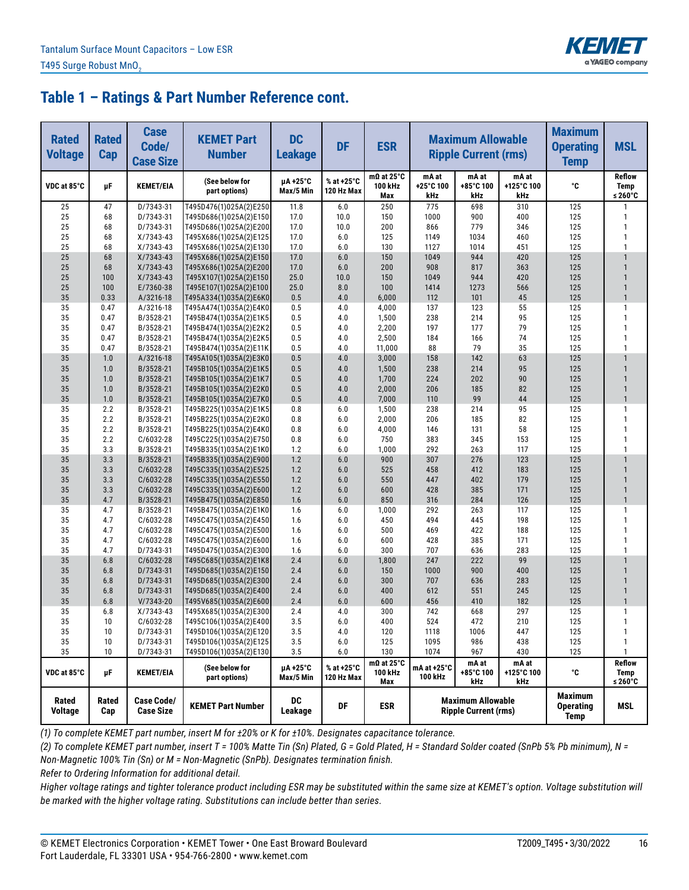

| <b>Rated</b><br><b>Voltage</b> | <b>Rated</b><br>Cap | <b>Case</b><br>Code/<br><b>Case Size</b> | <b>KEMET Part</b><br><b>Number</b>               | <b>DC</b><br><b>Leakage</b> | <b>DF</b>                | <b>ESR</b>                          | <b>Maximum Allowable</b><br><b>Ripple Current (rms)</b>               |                           |                            | <b>Maximum</b><br><b>Operating</b><br><b>Temp</b> | <b>MSL</b>                       |
|--------------------------------|---------------------|------------------------------------------|--------------------------------------------------|-----------------------------|--------------------------|-------------------------------------|-----------------------------------------------------------------------|---------------------------|----------------------------|---------------------------------------------------|----------------------------------|
| VDC at 85°C                    | μF                  | <b>KEMET/EIA</b>                         | (See below for<br>part options)                  | µA+25°C<br>Max/5 Min        | % at +25°C<br>120 Hz Max | $m\Omega$ at 25°C<br>100 kHz<br>Max | mA at<br>+25°C 100<br>kHz                                             | mA at<br>+85°C 100<br>kHz | mA at<br>+125°C 100<br>kHz | °C                                                | <b>Reflow</b><br>Temp<br>≤ 260°C |
| 25                             | 47                  | D/7343-31                                | T495D476(1)025A(2)E250                           | 11.8                        | 6.0                      | 250                                 | 775                                                                   | 698                       | 310                        | 125                                               | $\mathbf{1}$                     |
| 25                             | 68                  | D/7343-31                                | T495D686(1)025A(2)E150                           | 17.0                        | 10.0                     | 150                                 | 1000                                                                  | 900                       | 400                        | 125                                               | $\mathbf{1}$                     |
| 25                             | 68                  | D/7343-31                                | T495D686(1)025A(2)E200                           | 17.0                        | 10.0                     | 200                                 | 866                                                                   | 779                       | 346                        | 125                                               | $\mathbf{1}$                     |
| 25                             | 68                  | $X/7343-43$                              | T495X686(1)025A(2)E125                           | 17.0                        | 6.0                      | 125                                 | 1149                                                                  | 1034                      | 460                        | 125                                               | $\mathbf{1}$                     |
| 25                             | 68                  | X/7343-43                                | T495X686(1)025A(2)E130                           | 17.0                        | 6.0                      | 130                                 | 1127                                                                  | 1014                      | 451                        | 125                                               | $\mathbf{1}$                     |
| 25                             | 68                  | $X/7343-43$                              | T495X686(1)025A(2)E150                           | 17.0                        | 6.0                      | 150                                 | 1049                                                                  | 944                       | 420                        | 125                                               |                                  |
| 25                             | 68                  | $X/7343-43$                              | T495X686(1)025A(2)E200                           | 17.0                        | 6.0                      | 200                                 | 908                                                                   | 817                       | 363                        | 125                                               | $\mathbf{1}$                     |
| 25                             | 100                 | $X/7343-43$                              | T495X107(1)025A(2)E150                           | 25.0                        | 10.0                     | 150                                 | 1049                                                                  | 944                       | 420                        | 125                                               | $\mathbf{1}$<br>$\mathbf{1}$     |
| 25<br>35                       | 100<br>0.33         | E/7360-38<br>A/3216-18                   | T495E107(1)025A(2)E100                           | 25.0<br>0.5                 | 8.0<br>4.0               | 100                                 | 1414<br>112                                                           | 1273<br>101               | 566<br>45                  | 125<br>125                                        | $\mathbf{1}$                     |
| 35                             | 0.47                | A/3216-18                                | T495A334(1)035A(2)E6K0<br>T495A474(1)035A(2)E4K0 | 0.5                         | 4.0                      | 6,000<br>4,000                      | 137                                                                   | 123                       | 55                         | 125                                               | $\mathbf{1}$                     |
| 35                             | 0.47                | B/3528-21                                | T495B474(1)035A(2)E1K5                           | 0.5                         | 4.0                      | 1,500                               | 238                                                                   | 214                       | 95                         | 125                                               | $\mathbf{1}$                     |
| 35                             | 0.47                | B/3528-21                                | T495B474(1)035A(2)E2K2                           | 0.5                         | 4.0                      | 2,200                               | 197                                                                   | 177                       | 79                         | 125                                               | 1                                |
| 35                             | 0.47                | B/3528-21                                | T495B474(1)035A(2)E2K5                           | 0.5                         | 4.0                      | 2,500                               | 184                                                                   | 166                       | 74                         | 125                                               | $\mathbf{1}$                     |
| 35                             | 0.47                | B/3528-21                                | T495B474(1)035A(2)E11K                           | 0.5                         | 4.0                      | 11,000                              | 88                                                                    | 79                        | 35                         | 125                                               | $\mathbf{1}$                     |
| 35                             | 1.0                 | A/3216-18                                | T495A105(1)035A(2)E3K0                           | 0.5                         | 4.0                      | 3,000                               | 158                                                                   | 142                       | 63                         | 125                                               |                                  |
| 35                             | 1.0                 | B/3528-21                                | T495B105(1)035A(2)E1K5                           | 0.5                         | 4.0                      | 1,500                               | 238                                                                   | 214                       | 95                         | 125                                               | $\mathbf{1}$                     |
| 35                             | 1.0                 | B/3528-21                                | T495B105(1)035A(2)E1K7                           | 0.5                         | 4.0                      | 1,700                               | 224                                                                   | 202                       | 90                         | 125                                               | $\mathbf{1}$                     |
| 35                             | 1.0                 | B/3528-21                                | T495B105(1)035A(2)E2K0                           | 0.5                         | 4.0                      | 2,000                               | 206                                                                   | 185                       | 82                         | 125                                               | $\mathbf{1}$                     |
| 35                             | 1.0                 | B/3528-21                                | T495B105(1)035A(2)E7K0                           | 0.5                         | 4.0                      | 7,000                               | 110                                                                   | 99                        | 44                         | 125                                               | $\mathbf{1}$                     |
| 35                             | 2.2                 | B/3528-21                                | T495B225(1)035A(2)E1K5                           | 0.8                         | 6.0                      | 1,500                               | 238                                                                   | 214                       | 95                         | 125                                               | 1                                |
| 35                             | 2.2                 | B/3528-21                                | T495B225(1)035A(2)E2K0                           | 0.8                         | 6.0                      | 2,000                               | 206                                                                   | 185                       | 82                         | 125                                               | 1                                |
| 35                             | 2.2                 | B/3528-21                                | T495B225(1)035A(2)E4K0                           | 0.8                         | 6.0                      | 4,000                               | 146                                                                   | 131                       | 58                         | 125                                               | 1                                |
| 35                             | 2.2                 | $C/6032-28$                              | T495C225(1)035A(2)E750                           | 0.8                         | 6.0                      | 750                                 | 383                                                                   | 345                       | 153                        | 125                                               | 1                                |
| 35                             | 3.3                 | B/3528-21                                | T495B335(1)035A(2)E1K0                           | 1.2                         | 6.0                      | 1,000                               | 292                                                                   | 263                       | 117                        | 125                                               | 1                                |
| 35                             | 3.3                 | B/3528-21                                | T495B335(1)035A(2)E900                           | 1.2                         | 6.0                      | 900                                 | 307                                                                   | 276                       | 123                        | 125                                               |                                  |
| 35                             | 3.3                 | C/6032-28                                | T495C335(1)035A(2)E525                           | 1.2                         | 6.0                      | 525                                 | 458                                                                   | 412                       | 183                        | 125                                               | $\mathbf{1}$                     |
| 35                             | 3.3                 | C/6032-28                                | T495C335(1)035A(2)E550                           | 1.2                         | 6.0                      | 550                                 | 447                                                                   | 402                       | 179                        | 125                                               |                                  |
| 35                             | 3.3                 | C/6032-28                                | T495C335(1)035A(2)E600                           | 1.2                         | 6.0                      | 600                                 | 428                                                                   | 385                       | 171                        | 125                                               | $\mathbf{1}$                     |
| 35                             | 4.7                 | B/3528-21                                | T495B475(1)035A(2)E850                           | 1.6                         | 6.0                      | 850                                 | 316                                                                   | 284                       | 126                        | 125                                               | $\mathbf{1}$                     |
| 35                             | 4.7                 | B/3528-21                                | T495B475(1)035A(2)E1K0                           | 1.6                         | 6.0                      | 1,000                               | 292                                                                   | 263                       | 117                        | 125                                               | 1                                |
| 35                             | 4.7                 | C/6032-28                                | T495C475(1)035A(2)E450                           | 1.6                         | 6.0                      | 450                                 | 494                                                                   | 445                       | 198                        | 125                                               | $\mathbf{1}$<br>$\mathbf{1}$     |
| 35<br>35                       | 4.7<br>4.7          | C/6032-28<br>C/6032-28                   | T495C475(1)035A(2)E500<br>T495C475(1)035A(2)E600 | 1.6<br>1.6                  | 6.0<br>6.0               | 500<br>600                          | 469<br>428                                                            | 422<br>385                | 188<br>171                 | 125<br>125                                        | 1                                |
| 35                             | 4.7                 | D/7343-31                                | T495D475(1)035A(2)E300                           | 1.6                         | 6.0                      | 300                                 | 707                                                                   | 636                       | 283                        | 125                                               | $\mathbf{1}$                     |
| 35                             | 6.8                 | C/6032-28                                | T495C685(1)035A(2)E1K8                           | 2.4                         | 6.0                      | 1,800                               | 247                                                                   | 222                       | 99                         | 125                                               |                                  |
| 35                             | 6.8                 | D/7343-31                                | T495D685(1)035A(2)E150                           | 2.4                         | 6.0                      | 150                                 | 1000                                                                  | 900                       | 400                        | 125                                               | $\mathbf{1}$                     |
| 35                             | 6.8                 | D/7343-31                                | T495D685(1)035A(2)E300                           | 2.4                         | 6.0                      | 300                                 | 707                                                                   | 636                       | 283                        | 125                                               | $\mathbf{1}$                     |
| 35                             | 6.8                 | D/7343-31                                | T495D685(1)035A(2)E400                           | 2.4                         | 6.0                      | 400                                 | 612                                                                   | 551                       | 245                        | 125                                               | $\mathbf{1}$                     |
| 35                             | 6.8                 | $V/7343-20$                              | T495V685(1)035A(2)E600                           | 2.4                         | 6.0                      | 600                                 | 456                                                                   | 410                       | 182                        | 125                                               | $\mathbf{1}$                     |
| 35                             | 6.8                 | $X/7343-43$                              | T495X685(1)035A(2)E300                           | 2.4                         | 4.0                      | 300                                 | 742                                                                   | 668                       | 297                        | 125                                               | $\mathbf{1}$                     |
| 35                             | 10                  | C/6032-28                                | T495C106(1)035A(2)E400                           | 3.5                         | 6.0                      | 400                                 | 524                                                                   | 472                       | 210                        | 125                                               | $\mathbf{1}$                     |
| 35                             | 10                  | D/7343-31                                | T495D106(1)035A(2)E120                           | 3.5                         | 4.0                      | 120                                 | 1118                                                                  | 1006                      | 447                        | 125                                               | 1                                |
| 35                             | 10                  | D/7343-31                                | T495D106(1)035A(2)E125                           | 3.5                         | 6.0                      | 125                                 | 1095                                                                  | 986                       | 438                        | 125                                               | 1                                |
| 35                             | 10                  | D/7343-31                                | T495D106(1)035A(2)E130                           | 3.5                         | 6.0                      | 130                                 | 1074                                                                  | 967                       | 430                        | 125                                               | 1                                |
| VDC at 85°C                    | μF                  | <b>KEMET/EIA</b>                         | (See below for<br>part options)                  | µA+25°C<br>Max/5 Min        | % at +25°C<br>120 Hz Max | $m\Omega$ at 25°C<br>100 kHz<br>Max | mA at<br>mA at<br>mA at +25°C<br>+125°C 100<br>+85°C 100<br>100 kHz   |                           | ۰c                         | Reflow<br>Temp<br>≤ 260°C                         |                                  |
| Rated<br>Voltage               | Rated<br>Cap        | <b>Case Code/</b><br><b>Case Size</b>    | <b>KEMET Part Number</b>                         | <b>DC</b><br>Leakage        | DF                       | <b>ESR</b>                          | kHz<br>kHz<br><b>Maximum Allowable</b><br><b>Ripple Current (rms)</b> |                           |                            | <b>Maximum</b><br><b>Operating</b><br><b>Temp</b> | MSL                              |

*(1) To complete KEMET part number, insert M for ±20% or K for ±10%. Designates capacitance tolerance.*

*(2) To complete KEMET part number, insert T = 100% Matte Tin (Sn) Plated, G = Gold Plated, H = Standard Solder coated (SnPb 5% Pb minimum), N = Non-Magnetic 100% Tin (Sn) or M = Non-Magnetic (SnPb). Designates termination finish.*

*Refer to Ordering Information for additional detail.*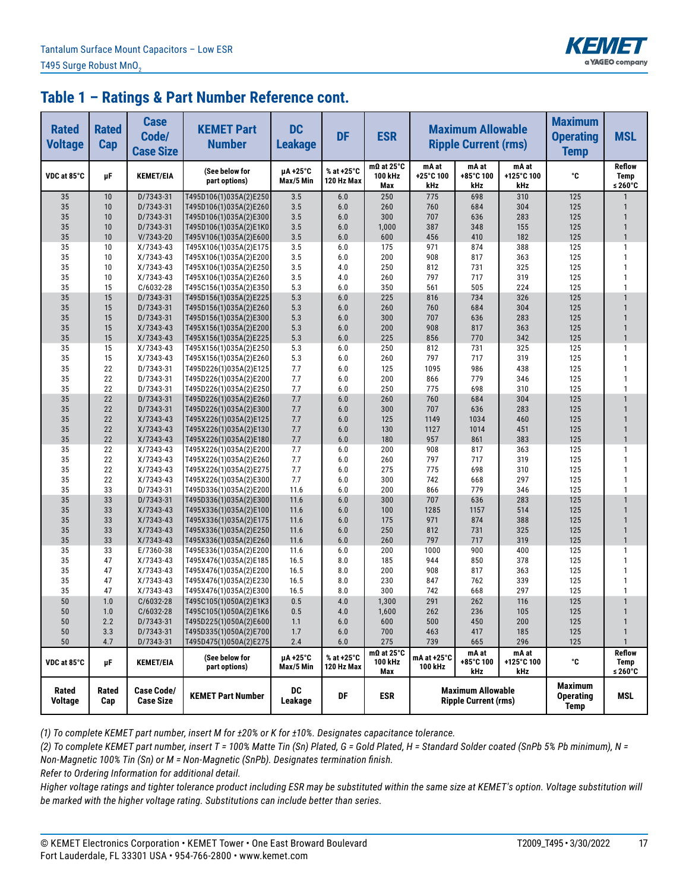

| <b>Rated</b><br><b>Voltage</b> | <b>Rated</b><br>Cap | <b>Case</b><br>Code/<br><b>Case Size</b> | <b>KEMET Part</b><br><b>Number</b>               | <b>DC</b><br><b>Leakage</b> | <b>DF</b>                | <b>ESR</b>                           | <b>Maximum Allowable</b><br><b>Ripple Current (rms)</b>                           |                           |                            | <b>Maximum</b><br><b>Operating</b><br><b>Temp</b> | <b>MSL</b>                       |
|--------------------------------|---------------------|------------------------------------------|--------------------------------------------------|-----------------------------|--------------------------|--------------------------------------|-----------------------------------------------------------------------------------|---------------------------|----------------------------|---------------------------------------------------|----------------------------------|
| VDC at 85°C                    | μF                  | <b>KEMET/EIA</b>                         | (See below for<br>part options)                  | µA +25°C<br>Max/5 Min       | % at +25°C<br>120 Hz Max | m $\Omega$ at 25°C<br>100 kHz<br>Max | mA at<br>+25°C 100<br>kHz                                                         | mA at<br>+85°C 100<br>kHz | mA at<br>+125°C 100<br>kHz | °C                                                | <b>Reflow</b><br>Temp<br>≤ 260°C |
| 35                             | 10                  | D/7343-31                                | T495D106(1)035A(2)E250                           | 3.5                         | 6.0                      | 250                                  | 775                                                                               | 698                       | 310                        | 125                                               |                                  |
| 35                             | 10                  | D/7343-31                                | T495D106(1)035A(2)E260                           | 3.5                         | 6.0                      | 260                                  | 760                                                                               | 684                       | 304                        | 125                                               | 1                                |
| 35                             | 10                  | D/7343-31                                | T495D106(1)035A(2)E300                           | 3.5                         | 6.0                      | 300                                  | 707                                                                               | 636                       | 283                        | 125                                               | $\mathbf{1}$                     |
| 35                             | 10                  | D/7343-31                                | T495D106(1)035A(2)E1K0                           | 3.5                         | 6.0                      | 1,000                                | 387                                                                               | 348                       | 155                        | 125                                               | $\mathbf{1}$                     |
| 35                             | 10                  | $V/7343-20$                              | T495V106(1)035A(2)E600                           | 3.5                         | 6.0                      | 600                                  | 456                                                                               | 410                       | 182                        | 125                                               | $\mathbf{1}$                     |
| 35<br>35                       | 10<br>10            | $X/7343-43$<br>$X/7343-43$               | T495X106(1)035A(2)E175                           | 3.5<br>3.5                  | 6.0<br>6.0               | 175<br>200                           | 971<br>908                                                                        | 874<br>817                | 388<br>363                 | 125<br>125                                        | $\mathbf{1}$<br>$\mathbf{1}$     |
| 35                             | 10                  | $X/7343-43$                              | T495X106(1)035A(2)E200<br>T495X106(1)035A(2)E250 | 3.5                         | 4.0                      | 250                                  | 812                                                                               | 731                       | 325                        | 125                                               | 1                                |
| 35                             | 10                  | X/7343-43                                | T495X106(1)035A(2)E260                           | 3.5                         | 4.0                      | 260                                  | 797                                                                               | 717                       | 319                        | 125                                               | 1                                |
| 35                             | 15                  | $C/6032-28$                              | T495C156(1)035A(2)E350                           | 5.3                         | 6.0                      | 350                                  | 561                                                                               | 505                       | 224                        | 125                                               | $\mathbf{1}$                     |
| 35                             | 15                  | D/7343-31                                | T495D156(1)035A(2)E225                           | 5.3                         | 6.0                      | 225                                  | 816                                                                               | 734                       | 326                        | 125                                               | $\mathbf{1}$                     |
| 35                             | 15                  | D/7343-31                                | T495D156(1)035A(2)E260                           | 5.3                         | 6.0                      | 260                                  | 760                                                                               | 684                       | 304                        | 125                                               | $\mathbf{1}$                     |
| 35                             | 15                  | D/7343-31                                | T495D156(1)035A(2)E300                           | 5.3                         | 6.0                      | 300                                  | 707                                                                               | 636                       | 283                        | 125                                               | $\mathbf{1}$                     |
| 35                             | 15                  | $X/7343-43$                              | T495X156(1)035A(2)E200                           | 5.3                         | 6.0                      | 200                                  | 908                                                                               | 817                       | 363                        | 125                                               | $\mathbf{1}$                     |
| 35                             | 15                  | X/7343-43                                | T495X156(1)035A(2)E225                           | 5.3                         | 6.0                      | 225                                  | 856                                                                               | 770                       | 342                        | 125                                               | $\mathbf{1}$                     |
| 35                             | 15                  | $X/7343-43$                              | T495X156(1)035A(2)E250                           | 5.3                         | 6.0                      | 250                                  | 812                                                                               | 731                       | 325                        | 125                                               | $\mathbf{1}$                     |
| 35                             | 15                  | X/7343-43                                | T495X156(1)035A(2)E260                           | 5.3                         | 6.0                      | 260                                  | 797                                                                               | 717                       | 319                        | 125                                               | $\mathbf{1}$                     |
| 35                             | 22                  | D/7343-31                                | T495D226(1)035A(2)E125                           | 7.7                         | 6.0                      | 125                                  | 1095                                                                              | 986                       | 438                        | 125                                               | $\mathbf{1}$                     |
| 35                             | 22                  | D/7343-31                                | T495D226(1)035A(2)E200                           | 7.7                         | 6.0                      | 200                                  | 866                                                                               | 779                       | 346                        | 125                                               | $\mathbf{1}$                     |
| 35                             | 22                  | D/7343-31                                | T495D226(1)035A(2)E250                           | 7.7                         | 6.0                      | 250                                  | 775                                                                               | 698                       | 310                        | 125                                               | $\mathbf{1}$                     |
| 35                             | 22                  | D/7343-31                                | T495D226(1)035A(2)E260                           | 7.7                         | 6.0                      | 260                                  | 760                                                                               | 684                       | 304                        | 125                                               | $\mathbf{1}$                     |
| 35                             | 22                  | D/7343-31                                | T495D226(1)035A(2)E300                           | 7.7                         | 6.0                      | 300                                  | 707                                                                               | 636                       | 283                        | 125                                               | $\mathbf{1}$                     |
| 35                             | 22                  | $X/7343-43$                              | T495X226(1)035A(2)E125                           | 7.7                         | 6.0                      | 125                                  | 1149                                                                              | 1034                      | 460                        | 125                                               | $\mathbf{1}$                     |
| 35                             | 22                  | $X/7343-43$                              | T495X226(1)035A(2)E130                           | 7.7                         | 6.0                      | 130                                  | 1127                                                                              | 1014                      | 451                        | 125                                               | $\mathbf{1}$                     |
| 35                             | 22                  | X/7343-43                                | T495X226(1)035A(2)E180                           | 7.7                         | 6.0                      | 180                                  | 957                                                                               | 861                       | 383                        | 125                                               | $\mathbf{1}$                     |
| 35<br>35                       | 22<br>22            | $X/7343-43$<br>$X/7343-43$               | T495X226(1)035A(2)E200                           | 7.7<br>7.7                  | 6.0<br>6.0               | 200<br>260                           | 908<br>797                                                                        | 817<br>717                | 363<br>319                 | 125<br>125                                        | $\mathbf{1}$<br>$\mathbf{1}$     |
| 35                             | 22                  | $X/7343-43$                              | T495X226(1)035A(2)E260<br>T495X226(1)035A(2)E275 | 7.7                         | 6.0                      | 275                                  | 775                                                                               | 698                       | 310                        | 125                                               | $\mathbf{1}$                     |
| 35                             | 22                  | $X/7343-43$                              | T495X226(1)035A(2)E300                           | 7.7                         | 6.0                      | 300                                  | 742                                                                               | 668                       | 297                        | 125                                               | $\mathbf{1}$                     |
| 35                             | 33                  | D/7343-31                                | T495D336(1)035A(2)E200                           | 11.6                        | 6.0                      | 200                                  | 866                                                                               | 779                       | 346                        | 125                                               | $\mathbf{1}$                     |
| 35                             | 33                  | D/7343-31                                | T495D336(1)035A(2)E300                           | 11.6                        | 6.0                      | 300                                  | 707                                                                               | 636                       | 283                        | 125                                               | $\mathbf{1}$                     |
| 35                             | 33                  | $X/7343-43$                              | T495X336(1)035A(2)E100                           | 11.6                        | 6.0                      | 100                                  | 1285                                                                              | 1157                      | 514                        | 125                                               | $\mathbf{1}$                     |
| 35                             | 33                  | $X/7343-43$                              | T495X336(1)035A(2)E175                           | 11.6                        | 6.0                      | 175                                  | 971                                                                               | 874                       | 388                        | 125                                               | $\mathbf{1}$                     |
| 35                             | 33                  | $X/7343-43$                              | T495X336(1)035A(2)E250                           | 11.6                        | 6.0                      | 250                                  | 812                                                                               | 731                       | 325                        | 125                                               | $\mathbf{1}$                     |
| 35                             | 33                  | $X/7343-43$                              | T495X336(1)035A(2)E260                           | 11.6                        | 6.0                      | 260                                  | 797                                                                               | 717                       | 319                        | 125                                               | $\mathbf{1}$                     |
| 35                             | 33                  | E/7360-38                                | T495E336(1)035A(2)E200                           | 11.6                        | 6.0                      | 200                                  | 1000                                                                              | 900                       | 400                        | 125                                               | $\mathbf{1}$                     |
| 35                             | 47                  | $X/7343-43$                              | T495X476(1)035A(2)E185                           | 16.5                        | 8.0                      | 185                                  | 944                                                                               | 850                       | 378                        | 125                                               | $\mathbf{1}$                     |
| 35                             | 47                  | X/7343-43                                | T495X476(1)035A(2)E200                           | 16.5                        | 8.0                      | 200                                  | 908                                                                               | 817                       | 363                        | 125                                               | $\mathbf{1}$                     |
| 35                             | 47                  | $X/7343-43$                              | T495X476(1)035A(2)E230                           | 16.5                        | 8.0                      | 230                                  | 847                                                                               | 762                       | 339                        | 125                                               | 1                                |
| 35                             | 47                  | $X/7343-43$                              | T495X476(1)035A(2)E300                           | 16.5                        | 8.0                      | 300                                  | 742                                                                               | 668                       | 297                        | 125                                               | 1                                |
| 50                             | 1.0                 | $C/6032-28$                              | T495C105(1)050A(2)E1K3                           | 0.5                         | 4.0                      | 1,300                                | 291                                                                               | 262                       | 116                        | 125                                               | $\mathbf{1}$                     |
| 50                             | 1.0                 | $C/6032-28$                              | T495C105(1)050A(2)E1K6                           | 0.5                         | 4.0                      | 1,600                                | 262                                                                               | 236                       | 105                        | 125                                               | $\mathbf{1}$                     |
| 50                             | 2.2                 | D/7343-31                                | T495D225(1)050A(2)E600                           | 1.1                         | 6.0                      | 600                                  | 500                                                                               | 450                       | 200                        | 125                                               | $\mathbf{1}$                     |
| 50                             | 3.3                 | D/7343-31                                | T495D335(1)050A(2)E700                           | 1.7                         | 6.0                      | 700                                  | 463                                                                               | 417                       | 185                        | 125                                               | $\mathbf{1}$                     |
| $50\,$                         | 4.7                 | D/7343-31                                | T495D475(1)050A(2)E275                           | $2.4\,$                     | $6.0\,$                  | 275                                  | 739                                                                               | 665                       | 296                        | 125                                               | $\mathbf{1}$                     |
| VDC at 85°C                    | μF                  | KEMET/EIA                                | (See below for<br>part options)                  | µA+25°C<br>Max/5 Min        | % at +25°C<br>120 Hz Max | $m\Omega$ at 25°C<br>100 kHz<br>Max  | mA at<br>mA at<br>mA at +25°C<br>+125°C 100<br>+85°C 100<br>100 kHz<br>kHz<br>kHz |                           | °C                         | Reflow<br>Temp<br>≤ 260°C                         |                                  |
| Rated<br><b>Voltage</b>        | <b>Rated</b><br>Cap | <b>Case Code/</b><br><b>Case Size</b>    | <b>KEMET Part Number</b>                         | DC<br>Leakage               | DF                       | <b>ESR</b>                           | <b>Maximum Allowable</b><br><b>Ripple Current (rms)</b>                           |                           |                            | Maximum<br><b>Operating</b><br><b>Temp</b>        | MSL                              |

*(1) To complete KEMET part number, insert M for ±20% or K for ±10%. Designates capacitance tolerance.*

*(2) To complete KEMET part number, insert T = 100% Matte Tin (Sn) Plated, G = Gold Plated, H = Standard Solder coated (SnPb 5% Pb minimum), N = Non-Magnetic 100% Tin (Sn) or M = Non-Magnetic (SnPb). Designates termination finish.*

*Refer to Ordering Information for additional detail.*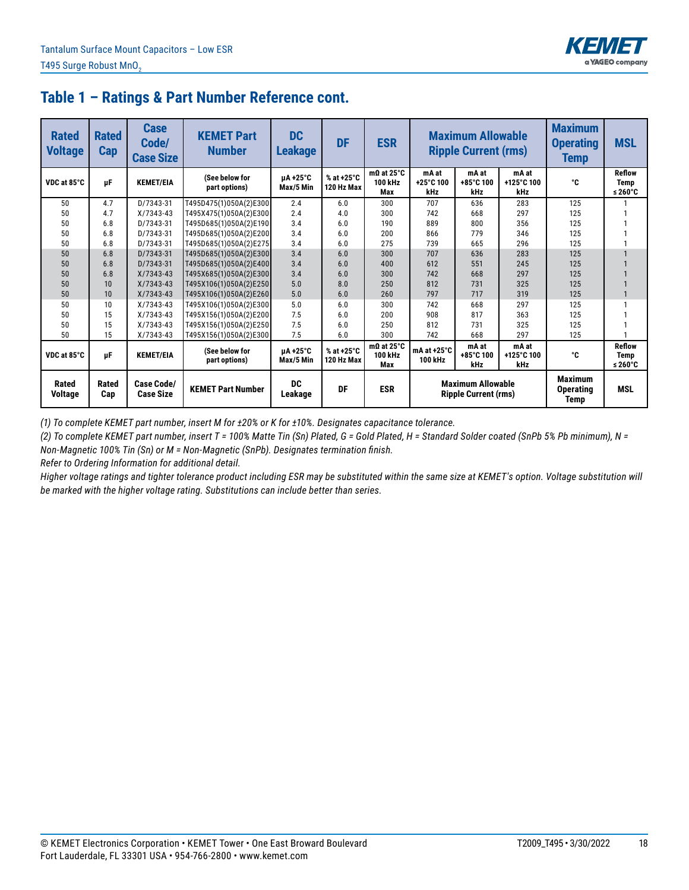

| <b>Rated</b><br><b>Voltage</b> | <b>Rated</b><br><b>Cap</b> | <b>Case</b><br>Code/<br><b>Case Size</b> | <b>KEMET Part</b><br><b>Number</b> | DC<br><b>Leakage</b>  | <b>DF</b>                | <b>ESR</b>                                 |                                                                                                  | <b>Maximum Allowable</b><br><b>Ripple Current (rms)</b> |                            | <b>Maximum</b><br><b>Operating</b><br>Temp | <b>MSL</b>                          |
|--------------------------------|----------------------------|------------------------------------------|------------------------------------|-----------------------|--------------------------|--------------------------------------------|--------------------------------------------------------------------------------------------------|---------------------------------------------------------|----------------------------|--------------------------------------------|-------------------------------------|
| VDC at 85°C                    | μF                         | <b>KEMET/EIA</b>                         | (See below for<br>part options)    | µA +25°C<br>Max/5 Min | % at +25°C<br>120 Hz Max | $m\Omega$ at 25°C<br><b>100 kHz</b><br>Max | mA at<br>+25°C 100<br>kHz                                                                        | mA at<br>+85°C 100<br>kHz                               | mA at<br>+125°C 100<br>kHz | ۰c                                         | <b>Reflow</b><br>Temp<br>≤ 260 $°C$ |
| 50                             | 4.7                        | D/7343-31                                | T495D475(1)050A(2)E300             | 2.4                   | 6.0                      | 300                                        | 707                                                                                              | 636                                                     | 283                        | 125                                        |                                     |
| 50                             | 4.7                        | $X/7343-43$                              | T495X475(1)050A(2)E300             | 2.4                   | 4.0                      | 300                                        | 742                                                                                              | 668                                                     | 297                        | 125                                        |                                     |
| 50                             | 6.8                        | D/7343-31                                | T495D685(1)050A(2)E190             | 3.4                   | 6.0                      | 190                                        | 889                                                                                              | 800                                                     | 356                        | 125                                        |                                     |
| 50                             | 6.8                        | D/7343-31                                | T495D685(1)050A(2)E200             | 3.4                   | 6.0                      | 200                                        | 866                                                                                              | 779                                                     | 346                        | 125                                        |                                     |
| 50                             | 6.8                        | D/7343-31                                | T495D685(1)050A(2)E275             | 3.4                   | 6.0                      | 275                                        | 739                                                                                              | 665                                                     | 296                        | 125                                        |                                     |
| 50                             | 6.8                        | D/7343-31                                | T495D685(1)050A(2)E300             | 3.4                   | 6.0                      | 300                                        | 707                                                                                              | 636                                                     | 283                        | 125                                        |                                     |
| 50                             | 6.8                        | D/7343-31                                | T495D685(1)050A(2)E400             | 3.4                   | 6.0                      | 400                                        | 612                                                                                              | 551                                                     | 245                        | 125                                        |                                     |
| 50                             | 6.8                        | $X/7343-43$                              | T495X685(1)050A(2)E300             | 3.4                   | 6.0                      | 300                                        | 742                                                                                              | 668                                                     | 297                        | 125                                        |                                     |
| 50                             | 10                         | $X/7343-43$                              | T495X106(1)050A(2)E250             | 5.0                   | 8.0                      | 250                                        | 812                                                                                              | 731                                                     | 325                        | 125                                        |                                     |
| 50                             | 10                         | $X/7343-43$                              | T495X106(1)050A(2)E260             | 5.0                   | 6.0                      | 260                                        | 797                                                                                              | 717                                                     | 319                        | 125                                        |                                     |
| 50                             | 10                         | $X/7343-43$                              | T495X106(1)050A(2)E300             | 5.0                   | 6.0                      | 300                                        | 742                                                                                              | 668                                                     | 297                        | 125                                        |                                     |
| 50                             | 15                         | $X/7343-43$                              | T495X156(1)050A(2)E200             | 7.5                   | 6.0                      | 200                                        | 908                                                                                              | 817                                                     | 363                        | 125                                        |                                     |
| 50                             | 15                         | $X/7343-43$                              | T495X156(1)050A(2)E250             | 7.5                   | 6.0                      | 250                                        | 812                                                                                              | 731                                                     | 325                        | 125                                        |                                     |
| 50                             | 15                         | $X/7343-43$                              | T495X156(1)050A(2)E300             | 7.5                   | 6.0                      | 300                                        | 742                                                                                              | 668                                                     | 297                        | 125                                        |                                     |
| VDC at 85°C                    | μF                         | <b>KEMET/EIA</b>                         | (See below for<br>part options)    | uA+25°C<br>Max/5 Min  | % at +25°C<br>120 Hz Max | $m\Omega$ at 25°C<br>100 kHz<br>Max        | mA at<br>mA at<br>mA at $+25^\circ$ C<br>+85°C 100<br>+125°C 100<br><b>100 kHz</b><br>kHz<br>kHz |                                                         | ۰c                         | <b>Reflow</b><br>Temp<br>≤ 260 $°C$        |                                     |
| Rated<br><b>Voltage</b>        | Rated<br>Cap               | <b>Case Code/</b><br><b>Case Size</b>    | <b>KEMET Part Number</b>           | <b>DC</b><br>Leakage  | DF                       | <b>ESR</b>                                 | <b>Maximum Allowable</b><br><b>Ripple Current (rms)</b>                                          |                                                         |                            | <b>Maximum</b><br><b>Operating</b><br>Temp | <b>MSL</b>                          |

*(1) To complete KEMET part number, insert M for ±20% or K for ±10%. Designates capacitance tolerance.*

*(2) To complete KEMET part number, insert T = 100% Matte Tin (Sn) Plated, G = Gold Plated, H = Standard Solder coated (SnPb 5% Pb minimum), N = Non-Magnetic 100% Tin (Sn) or M = Non-Magnetic (SnPb). Designates termination finish.*

*Refer to Ordering Information for additional detail.*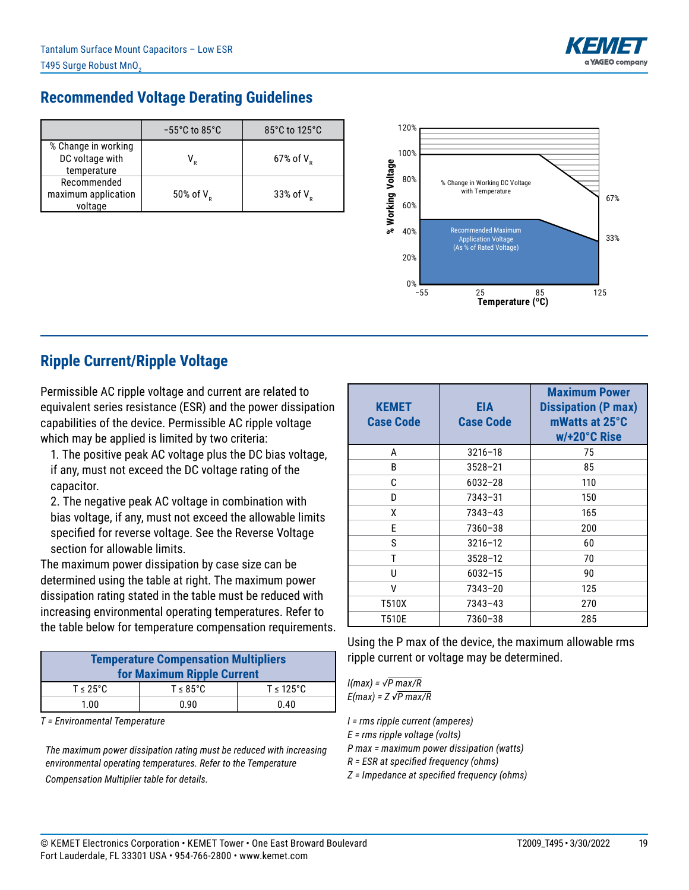

## **Recommended Voltage Derating Guidelines**

|                                                       | $-55^{\circ}$ C to 85 $^{\circ}$ C | 85°C to 125°C            |
|-------------------------------------------------------|------------------------------------|--------------------------|
| % Change in working<br>DC voltage with<br>temperature |                                    | $67\%$ of V <sub>p</sub> |
| Recommended<br>maximum application<br>voltage         | 50% of $V_p$                       | 33% of $V_p$             |



## **Ripple Current/Ripple Voltage**

Permissible AC ripple voltage and current are related to equivalent series resistance (ESR) and the power dissipation capabilities of the device. Permissible AC ripple voltage which may be applied is limited by two criteria:

1. The positive peak AC voltage plus the DC bias voltage, if any, must not exceed the DC voltage rating of the capacitor.

2. The negative peak AC voltage in combination with bias voltage, if any, must not exceed the allowable limits specified for reverse voltage. See the Reverse Voltage section for allowable limits.

The maximum power dissipation by case size can be determined using the table at right. The maximum power dissipation rating stated in the table must be reduced with increasing environmental operating temperatures. Refer to the table below for temperature compensation requirements.

| <b>Temperature Compensation Multipliers</b><br>for Maximum Ripple Current |                       |                        |  |  |  |  |  |  |  |
|---------------------------------------------------------------------------|-----------------------|------------------------|--|--|--|--|--|--|--|
| $T \leq 25^{\circ}$ C                                                     | $T \leq 85^{\circ}$ C | $T \leq 125^{\circ}$ C |  |  |  |  |  |  |  |
| 1.00                                                                      | 0.90                  | 0.40                   |  |  |  |  |  |  |  |

*T = Environmental Temperature*

*The maximum power dissipation rating must be reduced with increasing environmental operating temperatures. Refer to the Temperature Compensation Multiplier table for details.*

| <b>KEMET</b><br><b>Case Code</b> | EIA<br><b>Case Code</b> | <b>Maximum Power</b><br><b>Dissipation (P max)</b><br>mWatts at 25°C<br>w/+20°C Rise |
|----------------------------------|-------------------------|--------------------------------------------------------------------------------------|
| A                                | $3216 - 18$             | 75                                                                                   |
| B                                | $3528 - 21$             | 85                                                                                   |
| C                                | $6032 - 28$             | 110                                                                                  |
| D                                | 7343-31                 | 150                                                                                  |
| X                                | $7343 - 43$             | 165                                                                                  |
| F                                | 7360-38                 | 200                                                                                  |
| S                                | $3216 - 12$             | 60                                                                                   |
| T                                | $3528 - 12$             | 70                                                                                   |
| U                                | 6032-15                 | 90                                                                                   |
| ٧                                | $7343 - 20$             | 125                                                                                  |
| T510X                            | $7343 - 43$             | 270                                                                                  |
| T510E                            | 7360-38                 | 285                                                                                  |

Using the P max of the device, the maximum allowable rms ripple current or voltage may be determined.

*I(max) = √P max/R E(max) = Z √P max/R*

*I = rms ripple current (amperes)*

*E = rms ripple voltage (volts)*

*P max = maximum power dissipation (watts)*

*R = ESR at specified frequency (ohms)*

*Z = Impedance at specified frequency (ohms)*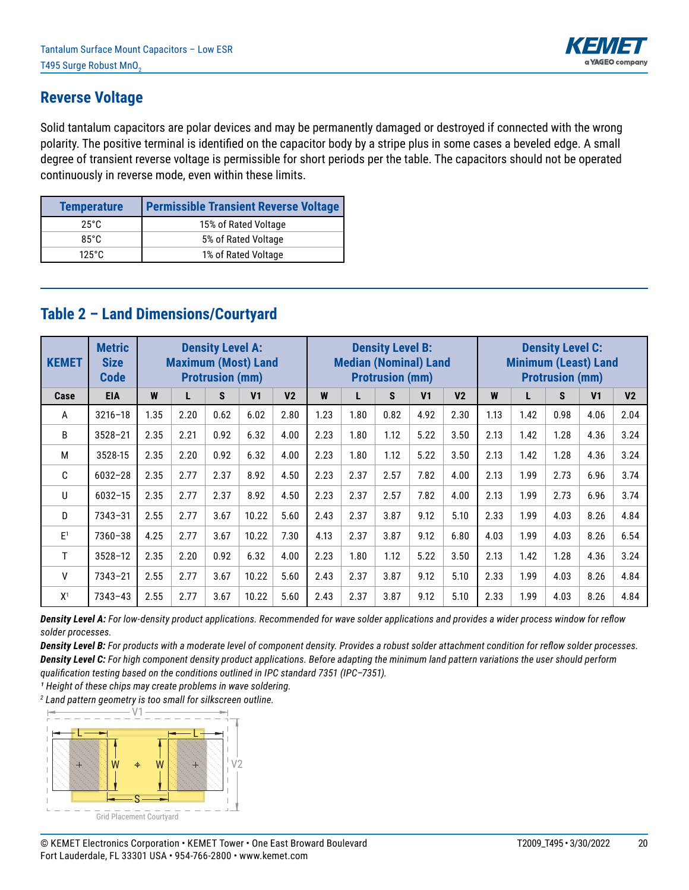

#### **Reverse Voltage**

Solid tantalum capacitors are polar devices and may be permanently damaged or destroyed if connected with the wrong polarity. The positive terminal is identified on the capacitor body by a stripe plus in some cases a beveled edge. A small degree of transient reverse voltage is permissible for short periods per the table. The capacitors should not be operated continuously in reverse mode, even within these limits.

| <b>Temperature</b> | <b>Permissible Transient Reverse Voltage</b> |
|--------------------|----------------------------------------------|
| 25°C               | 15% of Rated Voltage                         |
| $85^\circ C$       | 5% of Rated Voltage                          |
| $125^\circ$ C      | 1% of Rated Voltage                          |

# **Table 2 – Land Dimensions/Courtyard**

| <b>KEMET</b>   | <b>Metric</b><br><b>Size</b><br><b>Code</b> | <b>Density Level A:</b><br><b>Maximum (Most) Land</b><br><b>Protrusion (mm)</b> |      |      |                | <b>Density Level B:</b><br><b>Median (Nominal) Land</b><br><b>Protrusion (mm)</b> |      |      |      | <b>Density Level C:</b><br><b>Minimum (Least) Land</b><br><b>Protrusion (mm)</b> |                |      |      |      |                |                |
|----------------|---------------------------------------------|---------------------------------------------------------------------------------|------|------|----------------|-----------------------------------------------------------------------------------|------|------|------|----------------------------------------------------------------------------------|----------------|------|------|------|----------------|----------------|
| Case           | <b>EIA</b>                                  | W                                                                               | L    | S    | V <sub>1</sub> | V <sub>2</sub>                                                                    | W    | L    | S    | V <sub>1</sub>                                                                   | V <sub>2</sub> | W    | L    | S    | V <sub>1</sub> | V <sub>2</sub> |
| A              | $3216 - 18$                                 | 1.35                                                                            | 2.20 | 0.62 | 6.02           | 2.80                                                                              | 1.23 | 1.80 | 0.82 | 4.92                                                                             | 2.30           | 1.13 | 1.42 | 0.98 | 4.06           | 2.04           |
| B              | $3528 - 21$                                 | 2.35                                                                            | 2.21 | 0.92 | 6.32           | 4.00                                                                              | 2.23 | 1.80 | 1.12 | 5.22                                                                             | 3.50           | 2.13 | 1.42 | 1.28 | 4.36           | 3.24           |
| M              | 3528-15                                     | 2.35                                                                            | 2.20 | 0.92 | 6.32           | 4.00                                                                              | 2.23 | 1.80 | 1.12 | 5.22                                                                             | 3.50           | 2.13 | 1.42 | 1.28 | 4.36           | 3.24           |
| C              | $6032 - 28$                                 | 2.35                                                                            | 2.77 | 2.37 | 8.92           | 4.50                                                                              | 2.23 | 2.37 | 2.57 | 7.82                                                                             | 4.00           | 2.13 | 1.99 | 2.73 | 6.96           | 3.74           |
| U              | $6032 - 15$                                 | 2.35                                                                            | 2.77 | 2.37 | 8.92           | 4.50                                                                              | 2.23 | 2.37 | 2.57 | 7.82                                                                             | 4.00           | 2.13 | 1.99 | 2.73 | 6.96           | 3.74           |
| D              | $7343 - 31$                                 | 2.55                                                                            | 2.77 | 3.67 | 10.22          | 5.60                                                                              | 2.43 | 2.37 | 3.87 | 9.12                                                                             | 5.10           | 2.33 | 1.99 | 4.03 | 8.26           | 4.84           |
| E <sup>1</sup> | $7360 - 38$                                 | 4.25                                                                            | 2.77 | 3.67 | 10.22          | 7.30                                                                              | 4.13 | 2.37 | 3.87 | 9.12                                                                             | 6.80           | 4.03 | 1.99 | 4.03 | 8.26           | 6.54           |
| T              | $3528 - 12$                                 | 2.35                                                                            | 2.20 | 0.92 | 6.32           | 4.00                                                                              | 2.23 | 1.80 | 1.12 | 5.22                                                                             | 3.50           | 2.13 | 1.42 | 1.28 | 4.36           | 3.24           |
| v              | $7343 - 21$                                 | 2.55                                                                            | 2.77 | 3.67 | 10.22          | 5.60                                                                              | 2.43 | 2.37 | 3.87 | 9.12                                                                             | 5.10           | 2.33 | 1.99 | 4.03 | 8.26           | 4.84           |
| X <sup>1</sup> | $7343 - 43$                                 | 2.55                                                                            | 2.77 | 3.67 | 10.22          | 5.60                                                                              | 2.43 | 2.37 | 3.87 | 9.12                                                                             | 5.10           | 2.33 | 1.99 | 4.03 | 8.26           | 4.84           |

*Density Level A: For low-density product applications. Recommended for wave solder applications and provides a wider process window for reflow solder processes.* 

*Density Level B: For products with a moderate level of component density. Provides a robust solder attachment condition for reflow solder processes. Density Level C: For high component density product applications. Before adapting the minimum land pattern variations the user should perform qualification testing based on the conditions outlined in IPC standard 7351 (IPC–7351).*

<sup>1</sup> Height of these chips may create problems in wave soldering.

*2 Land pattern geometry is too small for silkscreen outline.*

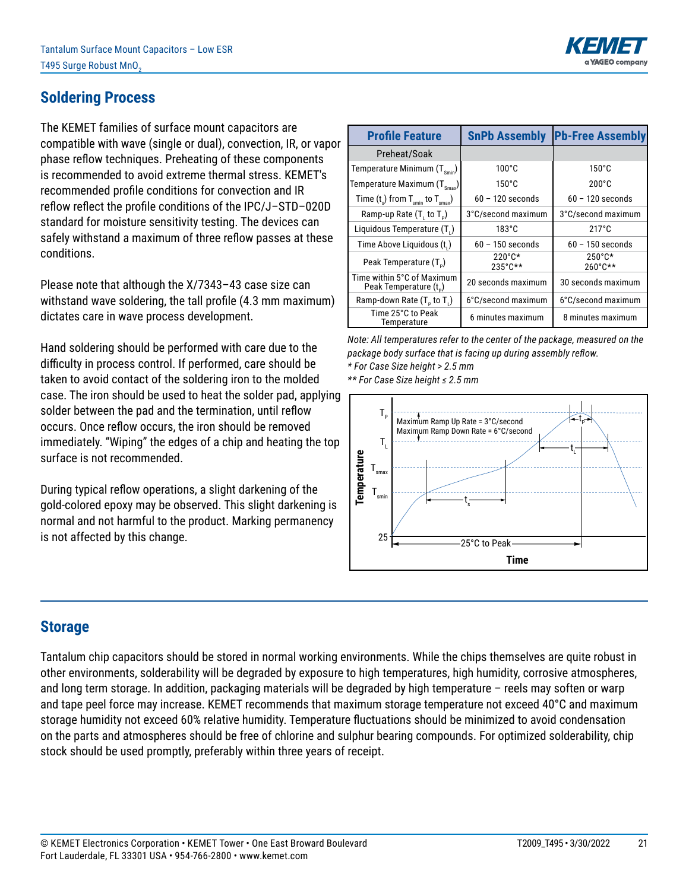

## **Soldering Process**

The KEMET families of surface mount capacitors are compatible with wave (single or dual), convection, IR, or vapor phase reflow techniques. Preheating of these components is recommended to avoid extreme thermal stress. KEMET's recommended profile conditions for convection and IR reflow reflect the profile conditions of the IPC/J–STD–020D standard for moisture sensitivity testing. The devices can safely withstand a maximum of three reflow passes at these conditions.

Please note that although the X/7343–43 case size can withstand wave soldering, the tall profile (4.3 mm maximum) dictates care in wave process development.

Hand soldering should be performed with care due to the difficulty in process control. If performed, care should be taken to avoid contact of the soldering iron to the molded case. The iron should be used to heat the solder pad, applying solder between the pad and the termination, until reflow occurs. Once reflow occurs, the iron should be removed immediately. "Wiping" the edges of a chip and heating the top surface is not recommended.

During typical reflow operations, a slight darkening of the gold-colored epoxy may be observed. This slight darkening is normal and not harmful to the product. Marking permanency is not affected by this change.

| <b>Profile Feature</b>                                     | <b>SnPb Assembly</b>                  | <b>Pb-Free Assembly</b>               |
|------------------------------------------------------------|---------------------------------------|---------------------------------------|
| Preheat/Soak                                               |                                       |                                       |
| Temperature Minimum $(T_{smin})$                           | $100^{\circ}$ C                       | $150^{\circ}$ C                       |
| Temperature Maximum $(T_{\text{Smax}})$                    | $150^{\circ}$ C                       | $200^{\circ}$ C                       |
| Time $(t_s)$ from $T_{\text{spin}}$ to $T_{\text{smax}}$ ) | $60 - 120$ seconds                    | $60 - 120$ seconds                    |
| Ramp-up Rate $(T, to T_p)$                                 | 3°C/second maximum                    | 3°C/second maximum                    |
| Liquidous Temperature (T.)                                 | $183^{\circ}$ C                       | $217^{\circ}$ C                       |
| Time Above Liquidous (t.)                                  | $60 - 150$ seconds                    | $60 - 150$ seconds                    |
| Peak Temperature (T <sub>n</sub> )                         | $220^{\circ}$ C*<br>$235^{\circ}$ C** | $250^{\circ}$ C*<br>$260^{\circ}$ C** |
| Time within 5°C of Maximum<br>Peak Temperature (t.)        | 20 seconds maximum                    | 30 seconds maximum                    |
| Ramp-down Rate $(T_5$ to $T_1$ )                           | 6°C/second maximum                    | 6°C/second maximum                    |
| Time 25°C to Peak<br>Temperature                           | 6 minutes maximum                     | 8 minutes maximum                     |

*Note: All temperatures refer to the center of the package, measured on the package body surface that is facing up during assembly reflow. \* For Case Size height > 2.5 mm \*\* For Case Size height ≤ 2.5 mm*



#### **Storage**

Tantalum chip capacitors should be stored in normal working environments. While the chips themselves are quite robust in other environments, solderability will be degraded by exposure to high temperatures, high humidity, corrosive atmospheres, and long term storage. In addition, packaging materials will be degraded by high temperature – reels may soften or warp and tape peel force may increase. KEMET recommends that maximum storage temperature not exceed 40°C and maximum storage humidity not exceed 60% relative humidity. Temperature fluctuations should be minimized to avoid condensation on the parts and atmospheres should be free of chlorine and sulphur bearing compounds. For optimized solderability, chip stock should be used promptly, preferably within three years of receipt.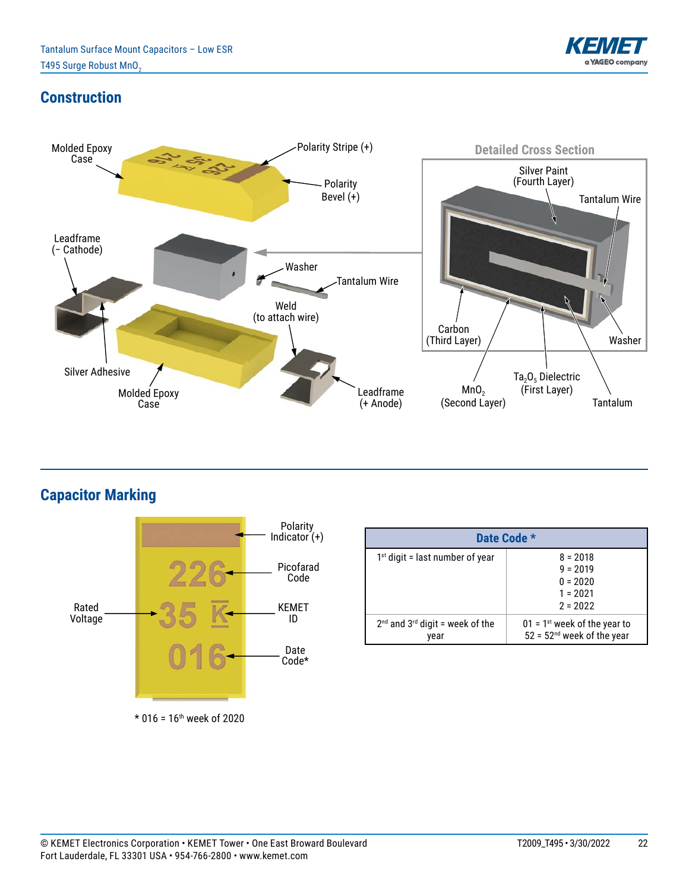

### **Construction**



**Capacitor Marking**



 $*$  016 = 16<sup>th</sup> week of 2020

| Date Code *                                 |                                                                            |  |  |  |  |
|---------------------------------------------|----------------------------------------------------------------------------|--|--|--|--|
| $1st$ digit = last number of year           | $8 = 2018$<br>$9 = 2019$<br>$0 = 2020$<br>$1 = 2021$<br>$2 = 2022$         |  |  |  |  |
| $2nd$ and $3rd$ digit = week of the<br>vear | $01 = 1$ <sup>st</sup> week of the year to<br>$52 = 52nd$ week of the year |  |  |  |  |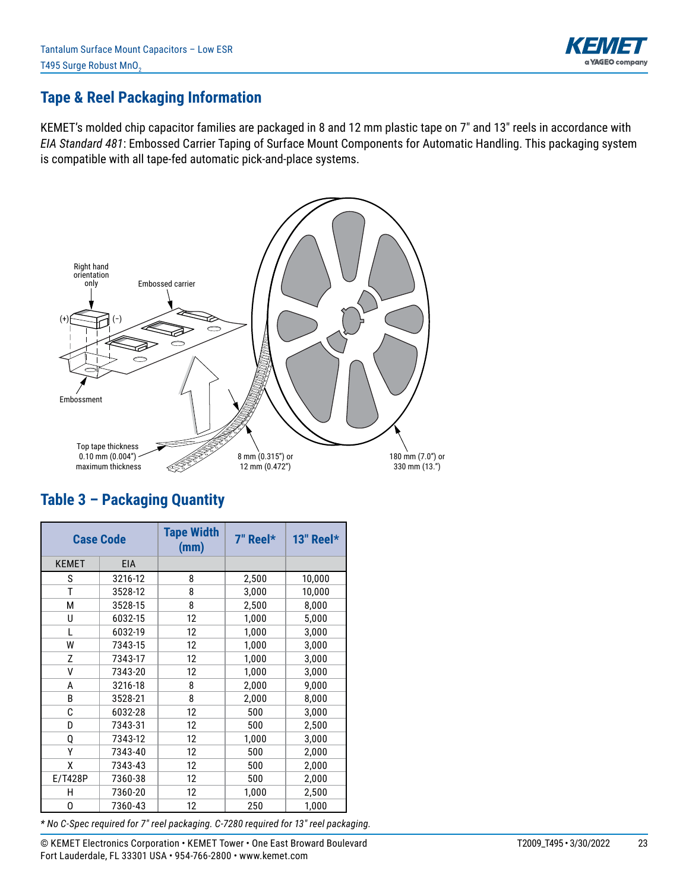

#### **Tape & Reel Packaging Information**

KEMET's molded chip capacitor families are packaged in 8 and 12 mm plastic tape on 7" and 13" reels in accordance with *EIA Standard 481*: Embossed Carrier Taping of Surface Mount Components for Automatic Handling. This packaging system is compatible with all tape-fed automatic pick-and-place systems.



## **Table 3 – Packaging Quantity**

| <b>Case Code</b> |            | <b>Tape Width</b><br>(mm) | 7" Reel* | 13" Reel $*$ |
|------------------|------------|---------------------------|----------|--------------|
| <b>KEMET</b>     | <b>EIA</b> |                           |          |              |
| S                | 3216-12    | 8                         | 2,500    | 10,000       |
| T                | 3528-12    | 8                         | 3,000    | 10,000       |
| М                | 3528-15    | 8                         | 2,500    | 8,000        |
| U                | 6032-15    | 12                        | 1,000    | 5,000        |
| L                | 6032-19    | 12                        | 1,000    | 3,000        |
| W                | 7343-15    | 12                        | 1,000    | 3,000        |
| Z                | 7343-17    | 12                        | 1,000    | 3,000        |
| V                | 7343-20    | 12                        | 1,000    | 3,000        |
| A                | 3216-18    | 8                         | 2,000    | 9,000        |
| B                | 3528-21    | 8                         | 2,000    | 8,000        |
| C                | 6032-28    | 12                        | 500      | 3,000        |
| D                | 7343-31    | 12                        | 500      | 2,500        |
| Q                | 7343-12    | 12                        | 1,000    | 3,000        |
| γ                | 7343-40    | 12                        | 500      | 2,000        |
| χ                | 7343-43    | 12                        | 500      | 2,000        |
| E/T428P          | 7360-38    | 12                        | 500      | 2,000        |
| н                | 7360-20    | 12                        | 1,000    | 2,500        |
| 0                | 7360-43    | 12                        | 250      | 1,000        |

*\* No C-Spec required for 7" reel packaging. C-7280 required for 13" reel packaging.*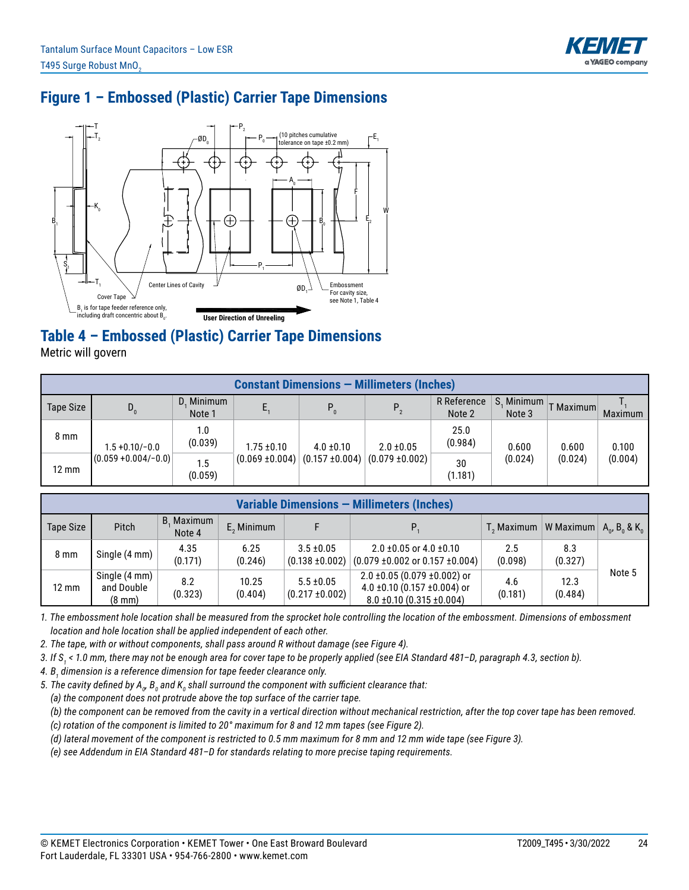

## **Figure 1 – Embossed (Plastic) Carrier Tape Dimensions**



## **Table 4 – Embossed (Plastic) Carrier Tape Dimensions**

Metric will govern

| <b>Constant Dimensions – Millimeters (Inches)</b> |                         |                      |                     |                     |                     |                       |                      |           |         |
|---------------------------------------------------|-------------------------|----------------------|---------------------|---------------------|---------------------|-----------------------|----------------------|-----------|---------|
| Tape Size                                         | $D_0$                   | D. Minimum<br>Note 1 |                     | $P_0$               | $P_{2}$             | R Reference<br>Note 2 | S. Minimum<br>Note 3 | T Maximum | Maximum |
| $8 \text{ mm}$                                    | $1.5 + 0.10/-0.0$       | 1.0<br>(0.039)       | $1.75 \pm 0.10$     | $4.0 \pm 0.10$      | $2.0 \pm 0.05$      | 25.0<br>(0.984)       | 0.600                | 0.600     | 0.100   |
| $12 \text{ mm}$                                   | $(0.059 + 0.004/- 0.0)$ | 1.5<br>(0.059)       | $(0.069 \pm 0.004)$ | $(0.157 \pm 0.004)$ | $(0.079 \pm 0.002)$ | 30<br>(1.181)         | (0.024)              | (0.024)   | (0.004) |

| Variable Dimensions - Millimeters (Inches) |                                                 |                      |                  |                                       |                                                                                                              |                                                            |                 |        |
|--------------------------------------------|-------------------------------------------------|----------------------|------------------|---------------------------------------|--------------------------------------------------------------------------------------------------------------|------------------------------------------------------------|-----------------|--------|
| Tape Size                                  | <b>Pitch</b>                                    | B. Maximum<br>Note 4 | $E2$ Minimum     |                                       |                                                                                                              | $T_2$ Maximum   W Maximum   $A_0$ , $B_0$ & K <sub>0</sub> |                 |        |
| 8 <sub>mm</sub>                            | Single (4 mm)                                   | 4.35<br>(0.171)      | 6.25<br>(0.246)  | $3.5 \pm 0.05$<br>$(0.138 \pm 0.002)$ | $2.0 \pm 0.05$ or $4.0 \pm 0.10$<br>$(0.079 \pm 0.002 \text{ or } 0.157 \pm 0.004)$                          | 2.5<br>(0.098)                                             | 8.3<br>(0.327)  |        |
| 12 mm                                      | Single (4 mm)<br>and Double<br>$(8 \text{ mm})$ | 8.2<br>(0.323)       | 10.25<br>(0.404) | $5.5 \pm 0.05$<br>$(0.217 \pm 0.002)$ | $2.0 \pm 0.05$ (0.079 $\pm 0.002$ ) or<br>4.0 ±0.10 (0.157 ±0.004) or<br>$8.0 \pm 0.10$ (0.315 $\pm 0.004$ ) | 4.6<br>(0.181)                                             | 12.3<br>(0.484) | Note 5 |

*1. The embossment hole location shall be measured from the sprocket hole controlling the location of the embossment. Dimensions of embossment location and hole location shall be applied independent of each other.*

*2. The tape, with or without components, shall pass around R without damage (see Figure 4).*

*3. If S<sup>1</sup> < 1.0 mm, there may not be enough area for cover tape to be properly applied (see EIA Standard 481–D, paragraph 4.3, section b).*

*4. B<sup>1</sup> dimension is a reference dimension for tape feeder clearance only.*

5. The cavity defined by A<sub>o</sub>, B<sub>o</sub> and K<sub>o</sub> shall surround the component with sufficient clearance that:

 *(a) the component does not protrude above the top surface of the carrier tape.*

 *(b) the component can be removed from the cavity in a vertical direction without mechanical restriction, after the top cover tape has been removed.*

 *(c) rotation of the component is limited to 20° maximum for 8 and 12 mm tapes (see Figure 2).*

 *(d) lateral movement of the component is restricted to 0.5 mm maximum for 8 mm and 12 mm wide tape (see Figure 3).*

 *(e) see Addendum in EIA Standard 481–D for standards relating to more precise taping requirements.*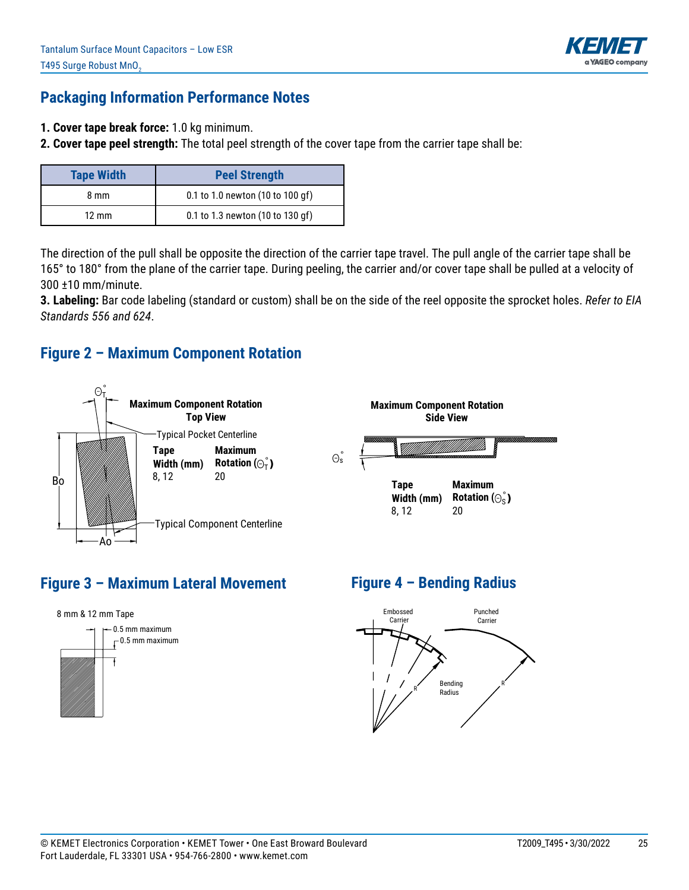

#### **Packaging Information Performance Notes**

- **1. Cover tape break force:** 1.0 kg minimum.
- **2. Cover tape peel strength:** The total peel strength of the cover tape from the carrier tape shall be:

| <b>Tape Width</b> | <b>Peel Strength</b>             |
|-------------------|----------------------------------|
| 8 mm              | 0.1 to 1.0 newton (10 to 100 gf) |
| $12 \text{ mm}$   | 0.1 to 1.3 newton (10 to 130 gf) |

The direction of the pull shall be opposite the direction of the carrier tape travel. The pull angle of the carrier tape shall be 165° to 180° from the plane of the carrier tape. During peeling, the carrier and/or cover tape shall be pulled at a velocity of 300 ±10 mm/minute.

**3. Labeling:** Bar code labeling (standard or custom) shall be on the side of the reel opposite the sprocket holes. *Refer to EIA Standards 556 and 624*.

#### **Figure 2 – Maximum Component Rotation**



## **Figure 3 – Maximum Lateral Movement**



## **Figure 4 – Bending Radius**

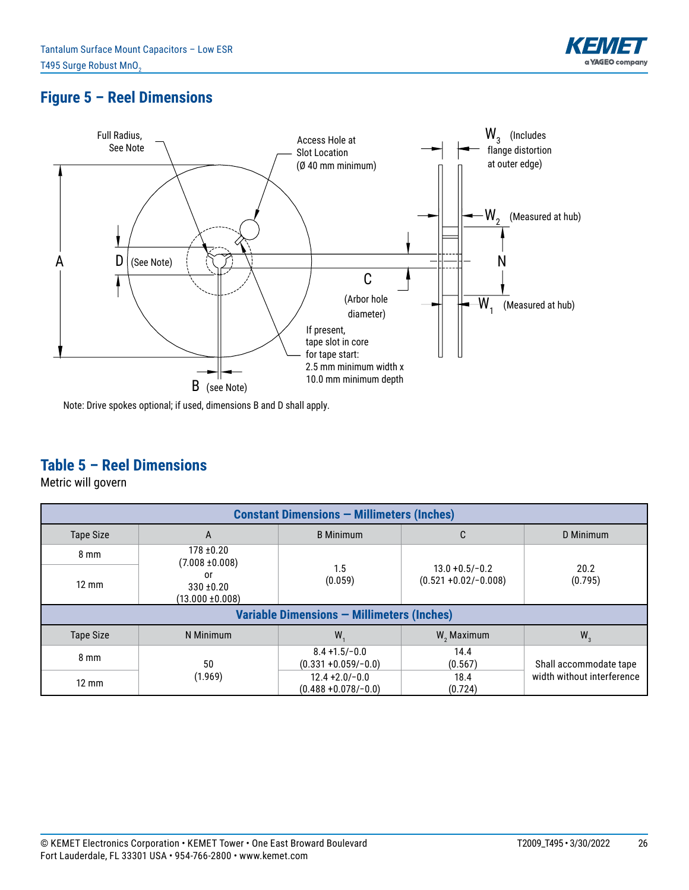

## **Figure 5 – Reel Dimensions**



Note: Drive spokes optional; if used, dimensions B and D shall apply.

### **Table 5 – Reel Dimensions**

Metric will govern

| <b>Constant Dimensions - Millimeters (Inches)</b> |                                            |                                              |                                               |                            |  |  |  |  |
|---------------------------------------------------|--------------------------------------------|----------------------------------------------|-----------------------------------------------|----------------------------|--|--|--|--|
| <b>Tape Size</b>                                  | A                                          | <b>B</b> Minimum                             | C                                             |                            |  |  |  |  |
| $8 \text{ mm}$                                    | $178 + 0.20$<br>$(7.008 \pm 0.008)$        |                                              |                                               |                            |  |  |  |  |
| $12 \text{ mm}$                                   | or<br>$330 + 0.20$<br>$(13.000 \pm 0.008)$ | 1.5<br>(0.059)                               | $13.0 + 0.5/-0.2$<br>$(0.521 + 0.02/- 0.008)$ | 20.2<br>(0.795)            |  |  |  |  |
|                                                   | Variable Dimensions - Millimeters (Inches) |                                              |                                               |                            |  |  |  |  |
| <b>Tape Size</b>                                  | N Minimum                                  | W.                                           | $W$ , Maximum                                 | $W_{3}$                    |  |  |  |  |
| $8 \text{ mm}$                                    | 50                                         | $8.4 + 1.5/-0.0$<br>$(0.331 + 0.059/-0.0)$   | 14.4<br>(0.567)                               | Shall accommodate tape     |  |  |  |  |
| $12 \text{ mm}$                                   | (1.969)                                    | $12.4 + 2.0 - 0.0$<br>$(0.488 + 0.078/-0.0)$ | 18.4<br>(0.724)                               | width without interference |  |  |  |  |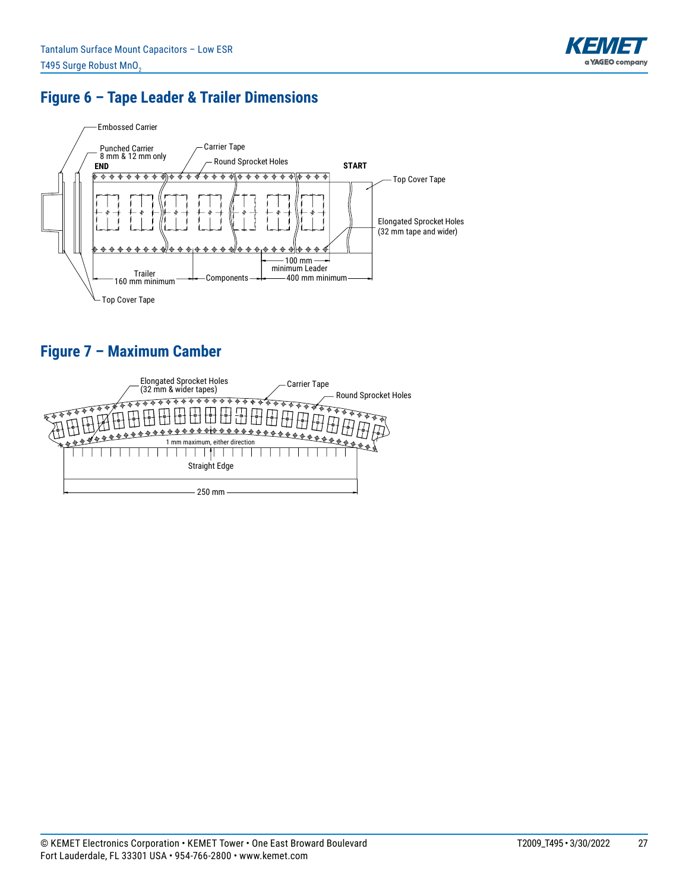

## **Figure 6 – Tape Leader & Trailer Dimensions**



## **Figure 7 – Maximum Camber**